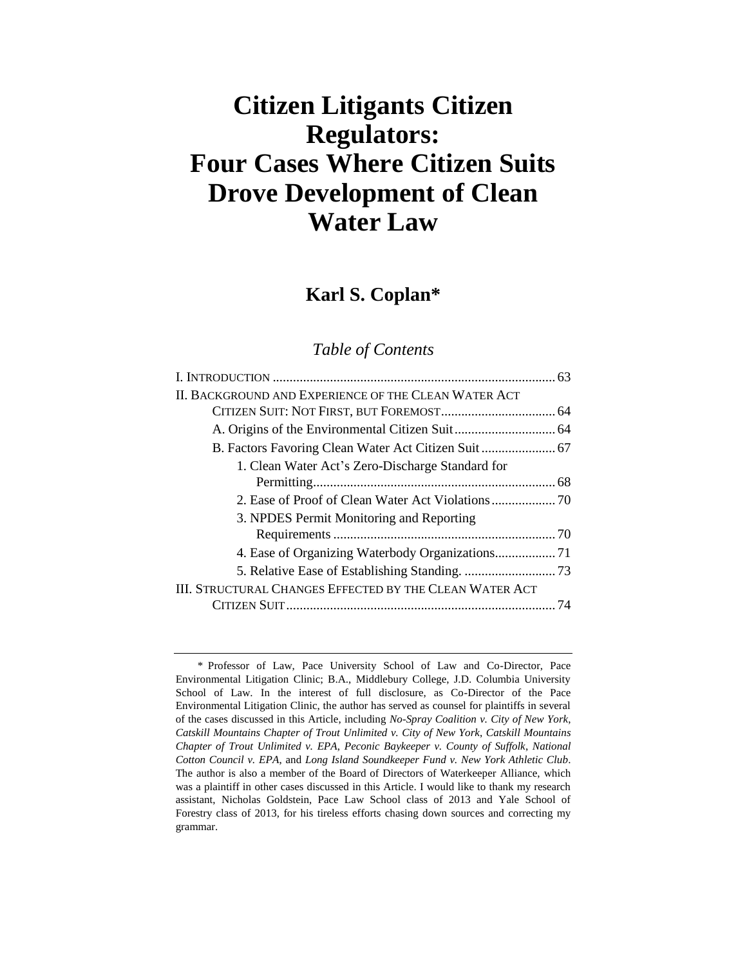# **Citizen Litigants Citizen Regulators: Four Cases Where Citizen Suits Drove Development of Clean Water Law**

## **Karl S. Coplan\***

## *Table of Contents*

| II. BACKGROUND AND EXPERIENCE OF THE CLEAN WATER ACT    |    |
|---------------------------------------------------------|----|
|                                                         |    |
|                                                         |    |
|                                                         |    |
| 1. Clean Water Act's Zero-Discharge Standard for        |    |
|                                                         |    |
|                                                         |    |
| 3. NPDES Permit Monitoring and Reporting                |    |
|                                                         |    |
|                                                         |    |
|                                                         |    |
| III. STRUCTURAL CHANGES EFFECTED BY THE CLEAN WATER ACT |    |
|                                                         | 74 |
|                                                         |    |

<sup>\*</sup> Professor of Law, Pace University School of Law and Co-Director, Pace Environmental Litigation Clinic; B.A., Middlebury College, J.D. Columbia University School of Law. In the interest of full disclosure, as Co-Director of the Pace Environmental Litigation Clinic, the author has served as counsel for plaintiffs in several of the cases discussed in this Article, including *No-Spray Coalition v. City of New York*, *Catskill Mountains Chapter of Trout Unlimited v. City of New York*, *Catskill Mountains Chapter of Trout Unlimited v. EPA*, *Peconic Baykeeper v. County of Suffolk*, *National Cotton Council v. EPA*, and *Long Island Soundkeeper Fund v. New York Athletic Club*. The author is also a member of the Board of Directors of Waterkeeper Alliance, which was a plaintiff in other cases discussed in this Article. I would like to thank my research assistant, Nicholas Goldstein, Pace Law School class of 2013 and Yale School of Forestry class of 2013, for his tireless efforts chasing down sources and correcting my grammar.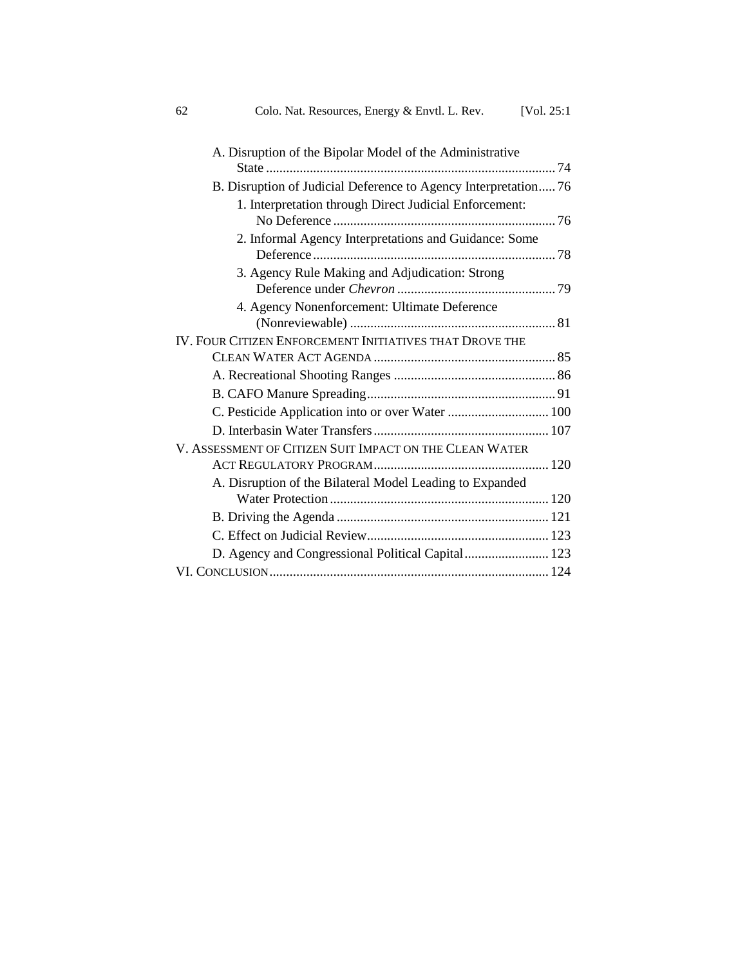| [Vol. $25:1$ ] | 62<br>Colo. Nat. Resources, Energy & Envtl. L. Rev.             |
|----------------|-----------------------------------------------------------------|
|                | A. Disruption of the Bipolar Model of the Administrative        |
|                | B. Disruption of Judicial Deference to Agency Interpretation 76 |
|                | 1. Interpretation through Direct Judicial Enforcement:          |
|                | 2. Informal Agency Interpretations and Guidance: Some           |
|                | 3. Agency Rule Making and Adjudication: Strong                  |
|                | 4. Agency Nonenforcement: Ultimate Deference                    |
|                | IV. FOUR CITIZEN ENFORCEMENT INITIATIVES THAT DROVE THE         |
|                |                                                                 |
|                |                                                                 |
|                |                                                                 |
|                | C. Pesticide Application into or over Water  100                |
|                |                                                                 |
|                | V. ASSESSMENT OF CITIZEN SUIT IMPACT ON THE CLEAN WATER         |
|                | A. Disruption of the Bilateral Model Leading to Expanded        |
|                |                                                                 |
|                |                                                                 |
|                | D. Agency and Congressional Political Capital 123               |
|                |                                                                 |
|                |                                                                 |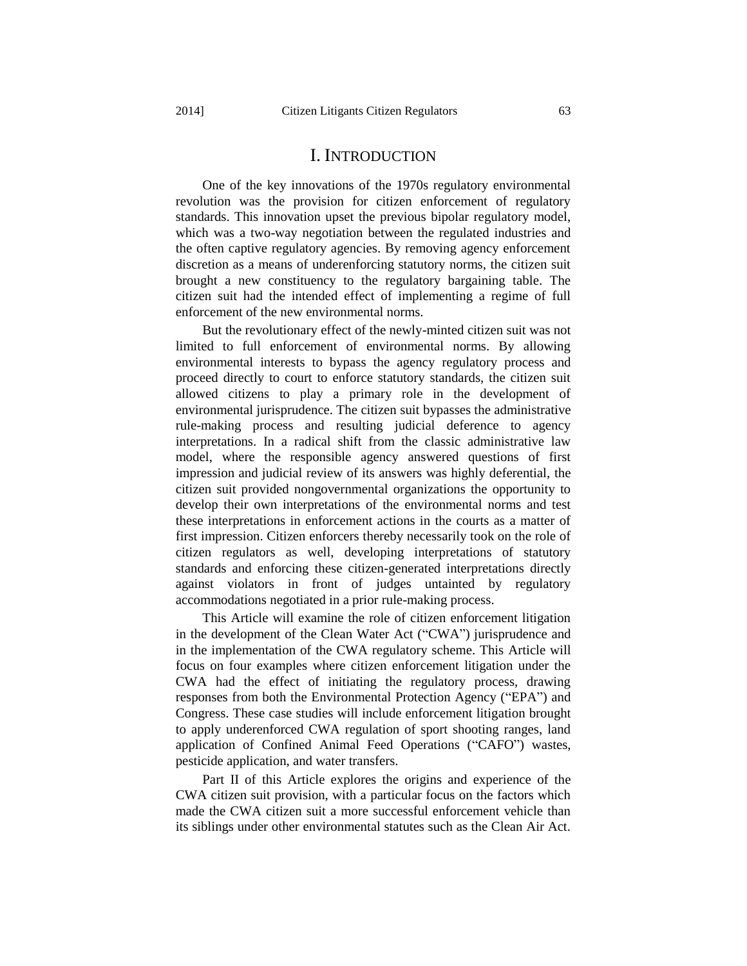One of the key innovations of the 1970s regulatory environmental revolution was the provision for citizen enforcement of regulatory standards. This innovation upset the previous bipolar regulatory model, which was a two-way negotiation between the regulated industries and the often captive regulatory agencies. By removing agency enforcement discretion as a means of underenforcing statutory norms, the citizen suit brought a new constituency to the regulatory bargaining table. The citizen suit had the intended effect of implementing a regime of full enforcement of the new environmental norms.

But the revolutionary effect of the newly-minted citizen suit was not limited to full enforcement of environmental norms. By allowing environmental interests to bypass the agency regulatory process and proceed directly to court to enforce statutory standards, the citizen suit allowed citizens to play a primary role in the development of environmental jurisprudence. The citizen suit bypasses the administrative rule-making process and resulting judicial deference to agency interpretations. In a radical shift from the classic administrative law model, where the responsible agency answered questions of first impression and judicial review of its answers was highly deferential, the citizen suit provided nongovernmental organizations the opportunity to develop their own interpretations of the environmental norms and test these interpretations in enforcement actions in the courts as a matter of first impression. Citizen enforcers thereby necessarily took on the role of citizen regulators as well, developing interpretations of statutory standards and enforcing these citizen-generated interpretations directly against violators in front of judges untainted by regulatory accommodations negotiated in a prior rule-making process.

This Article will examine the role of citizen enforcement litigation in the development of the Clean Water Act ("CWA") jurisprudence and in the implementation of the CWA regulatory scheme. This Article will focus on four examples where citizen enforcement litigation under the CWA had the effect of initiating the regulatory process, drawing responses from both the Environmental Protection Agency ("EPA") and Congress. These case studies will include enforcement litigation brought to apply underenforced CWA regulation of sport shooting ranges, land application of Confined Animal Feed Operations ("CAFO") wastes, pesticide application, and water transfers.

Part II of this Article explores the origins and experience of the CWA citizen suit provision, with a particular focus on the factors which made the CWA citizen suit a more successful enforcement vehicle than its siblings under other environmental statutes such as the Clean Air Act.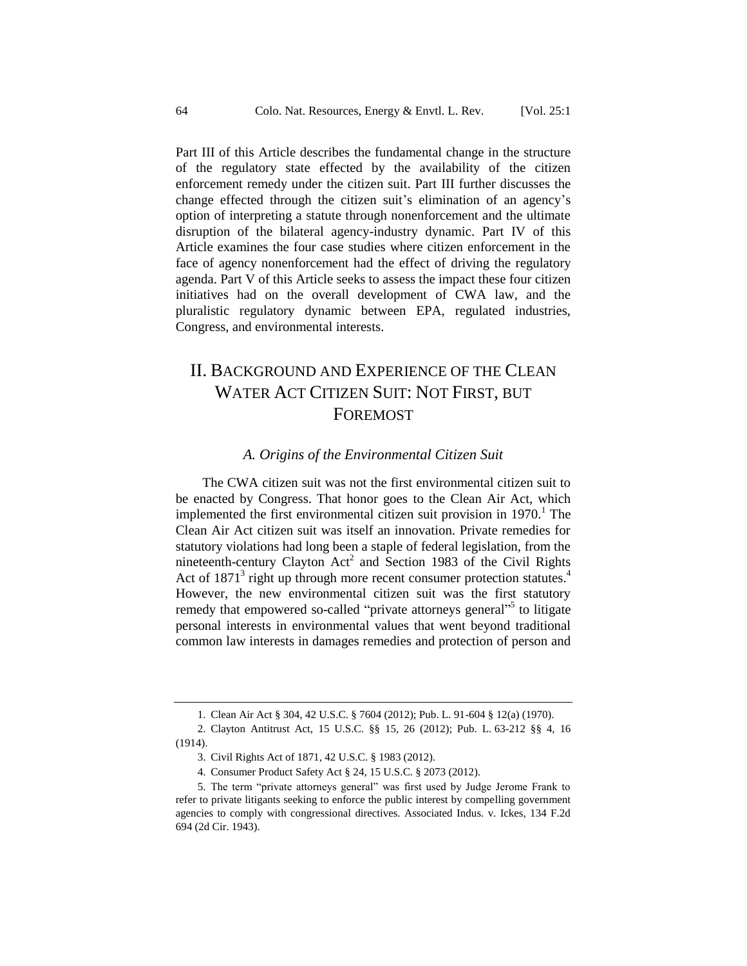Part III of this Article describes the fundamental change in the structure of the regulatory state effected by the availability of the citizen enforcement remedy under the citizen suit. Part III further discusses the change effected through the citizen suit's elimination of an agency's option of interpreting a statute through nonenforcement and the ultimate disruption of the bilateral agency-industry dynamic. Part IV of this Article examines the four case studies where citizen enforcement in the face of agency nonenforcement had the effect of driving the regulatory agenda. Part V of this Article seeks to assess the impact these four citizen initiatives had on the overall development of CWA law, and the pluralistic regulatory dynamic between EPA, regulated industries, Congress, and environmental interests.

## II. BACKGROUND AND EXPERIENCE OF THE CLEAN WATER ACT CITIZEN SUIT: NOT FIRST, BUT FOREMOST

#### *A. Origins of the Environmental Citizen Suit*

The CWA citizen suit was not the first environmental citizen suit to be enacted by Congress. That honor goes to the Clean Air Act, which implemented the first environmental citizen suit provision in  $1970<sup>1</sup>$ . The Clean Air Act citizen suit was itself an innovation. Private remedies for statutory violations had long been a staple of federal legislation, from the nineteenth-century Clayton Act<sup>2</sup> and Section 1983 of the Civil Rights Act of 1871<sup>3</sup> right up through more recent consumer protection statutes.<sup>4</sup> However, the new environmental citizen suit was the first statutory remedy that empowered so-called "private attorneys general"<sup>5</sup> to litigate personal interests in environmental values that went beyond traditional common law interests in damages remedies and protection of person and

<sup>1.</sup> Clean Air Act § 304, 42 U.S.C. § 7604 (2012); Pub. L. 91-604 § 12(a) (1970).

<sup>2.</sup> Clayton Antitrust Act, 15 U.S.C. §§ 15, 26 (2012); Pub. L. 63-212 §§ 4, 16 (1914).

<sup>3.</sup> Civil Rights Act of 1871, 42 U.S.C. § 1983 (2012).

<sup>4.</sup> Consumer Product Safety Act § 24, 15 U.S.C. § 2073 (2012).

<sup>5.</sup> The term "private attorneys general" was first used by Judge Jerome Frank to refer to private litigants seeking to enforce the public interest by compelling government agencies to comply with congressional directives. Associated Indus. v. Ickes, 134 F.2d 694 (2d Cir. 1943).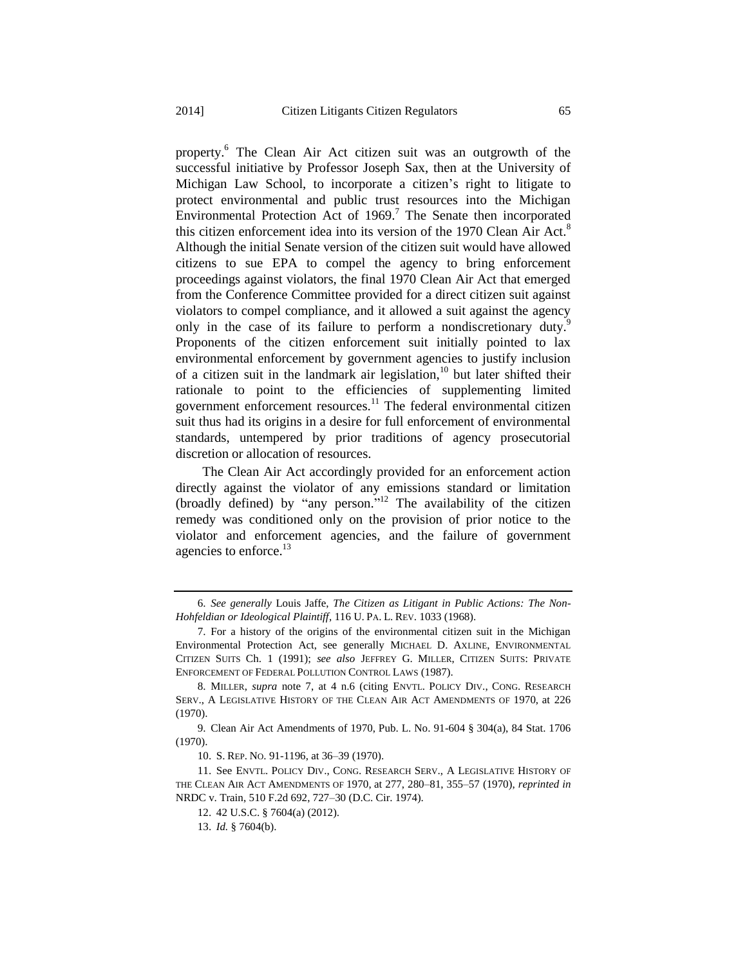<span id="page-4-0"></span>property.<sup>6</sup> The Clean Air Act citizen suit was an outgrowth of the successful initiative by Professor Joseph Sax, then at the University of Michigan Law School, to incorporate a citizen's right to litigate to protect environmental and public trust resources into the Michigan Environmental Protection Act of  $1969$ .<sup>7</sup> The Senate then incorporated this citizen enforcement idea into its version of the 1970 Clean Air Act.<sup>8</sup> Although the initial Senate version of the citizen suit would have allowed citizens to sue EPA to compel the agency to bring enforcement proceedings against violators, the final 1970 Clean Air Act that emerged from the Conference Committee provided for a direct citizen suit against violators to compel compliance, and it allowed a suit against the agency only in the case of its failure to perform a nondiscretionary duty.<sup>9</sup> Proponents of the citizen enforcement suit initially pointed to lax environmental enforcement by government agencies to justify inclusion of a citizen suit in the landmark air legislation,<sup>10</sup> but later shifted their rationale to point to the efficiencies of supplementing limited government enforcement resources.<sup>11</sup> The federal environmental citizen suit thus had its origins in a desire for full enforcement of environmental standards, untempered by prior traditions of agency prosecutorial discretion or allocation of resources.

The Clean Air Act accordingly provided for an enforcement action directly against the violator of any emissions standard or limitation (broadly defined) by "any person."<sup>12</sup> The availability of the citizen remedy was conditioned only on the provision of prior notice to the violator and enforcement agencies, and the failure of government agencies to enforce. $^{13}$ 

<sup>6.</sup> *See generally* Louis Jaffe, *The Citizen as Litigant in Public Actions: The Non-Hohfeldian or Ideological Plaintiff*, 116 U. PA. L. REV. 1033 (1968).

<sup>7.</sup> For a history of the origins of the environmental citizen suit in the Michigan Environmental Protection Act, see generally MICHAEL D. AXLINE, ENVIRONMENTAL CITIZEN SUITS Ch. 1 (1991); *see also* JEFFREY G. MILLER, CITIZEN SUITS: PRIVATE ENFORCEMENT OF FEDERAL POLLUTION CONTROL LAWS (1987).

<sup>8.</sup> MILLER, *supra* note [7,](#page-4-0) at 4 n.6 (citing ENVTL. POLICY DIV., CONG. RESEARCH SERV., A LEGISLATIVE HISTORY OF THE CLEAN AIR ACT AMENDMENTS OF 1970, at 226 (1970).

<sup>9.</sup> Clean Air Act Amendments of 1970, Pub. L. No. 91-604 § 304(a), 84 Stat. 1706 (1970).

<sup>10.</sup> S. REP. NO. 91-1196, at 36–39 (1970).

<sup>11.</sup> See ENVTL. POLICY DIV., CONG. RESEARCH SERV., A LEGISLATIVE HISTORY OF THE CLEAN AIR ACT AMENDMENTS OF 1970, at 277, 280–81, 355–57 (1970), *reprinted in* NRDC v. Train, 510 F.2d 692, 727–30 (D.C. Cir. 1974).

<sup>12.</sup> 42 U.S.C. § 7604(a) (2012).

<sup>13.</sup> *Id.* § 7604(b).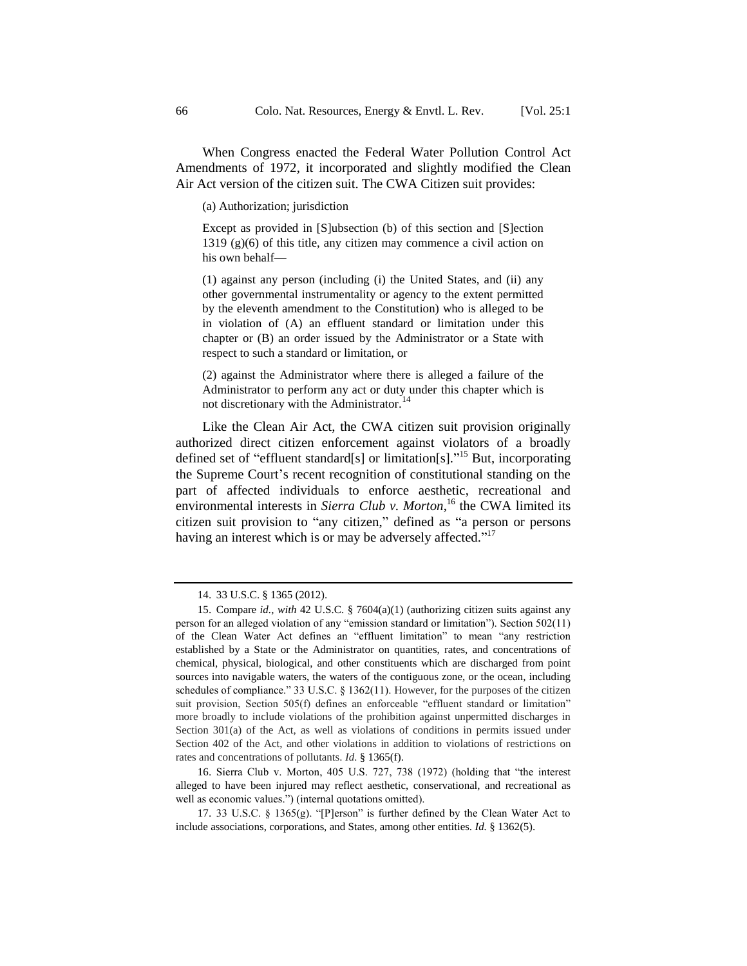When Congress enacted the Federal Water Pollution Control Act Amendments of 1972, it incorporated and slightly modified the Clean Air Act version of the citizen suit. The CWA Citizen suit provides:

(a) Authorization; jurisdiction

Except as provided in [S]ubsection (b) of this section and [S]ection 1319 (g)(6) of this title, any citizen may commence a civil action on his own behalf—

(1) against any person (including (i) the United States, and (ii) any other governmental instrumentality or agency to the extent permitted by the eleventh amendment to the Constitution) who is alleged to be in violation of (A) an effluent standard or limitation under this chapter or (B) an order issued by the Administrator or a State with respect to such a standard or limitation, or

(2) against the Administrator where there is alleged a failure of the Administrator to perform any act or duty under this chapter which is not discretionary with the Administrator.<sup>14</sup>

Like the Clean Air Act, the CWA citizen suit provision originally authorized direct citizen enforcement against violators of a broadly defined set of "effluent standard[s] or limitation[s]." <sup>15</sup> But, incorporating the Supreme Court's recent recognition of constitutional standing on the part of affected individuals to enforce aesthetic, recreational and environmental interests in *Sierra Club v. Morton*, <sup>16</sup> the CWA limited its citizen suit provision to "any citizen," defined as "a person or persons having an interest which is or may be adversely affected."<sup>17</sup>

16. Sierra Club v. Morton, 405 U.S. 727, 738 (1972) (holding that "the interest alleged to have been injured may reflect aesthetic, conservational, and recreational as well as economic values.") (internal quotations omitted).

<sup>14.</sup> 33 U.S.C. § 1365 (2012).

<sup>15.</sup> Compare *id.*, *with* 42 U.S.C. § 7604(a)(1) (authorizing citizen suits against any person for an alleged violation of any "emission standard or limitation"). Section 502(11) of the Clean Water Act defines an "effluent limitation" to mean "any restriction established by a State or the Administrator on quantities, rates, and concentrations of chemical, physical, biological, and other constituents which are discharged from point sources into navigable waters, the waters of the contiguous zone, or the ocean, including schedules of compliance." 33 U.S.C. § 1362(11). However, for the purposes of the citizen suit provision, Section 505(f) defines an enforceable "effluent standard or limitation" more broadly to include violations of the prohibition against unpermitted discharges in Section 301(a) of the Act, as well as violations of conditions in permits issued under Section 402 of the Act, and other violations in addition to violations of restrictions on rates and concentrations of pollutants. *Id.* § 1365(f).

<sup>17.</sup> 33 U.S.C. § 1365(g). "[P]erson" is further defined by the Clean Water Act to include associations, corporations, and States, among other entities. *Id.* § 1362(5).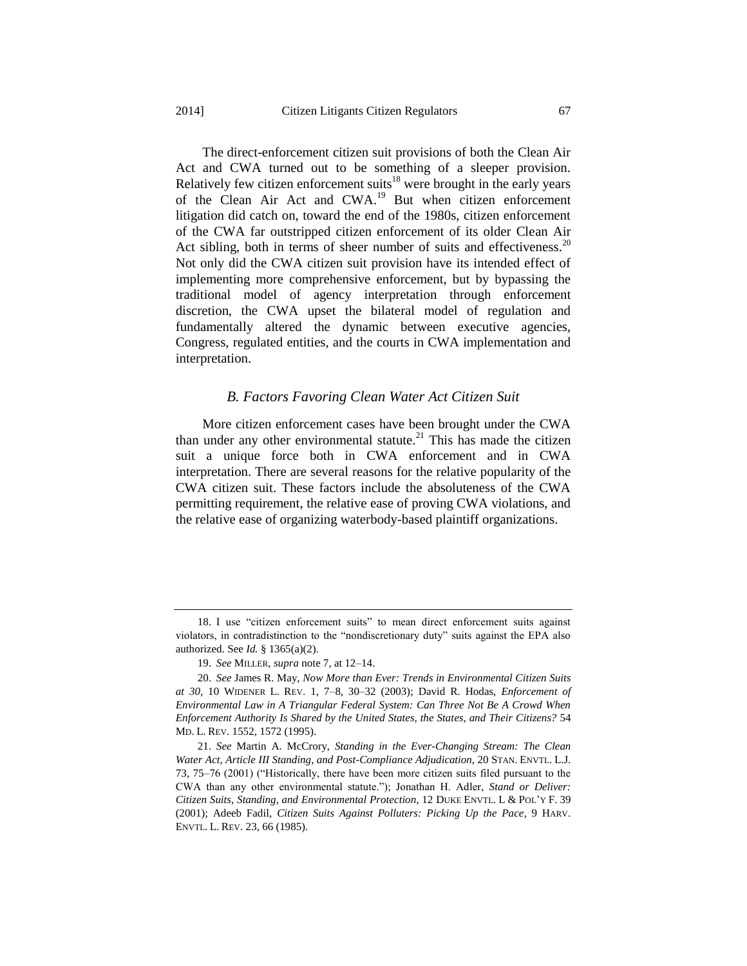The direct-enforcement citizen suit provisions of both the Clean Air Act and CWA turned out to be something of a sleeper provision. Relatively few citizen enforcement suits<sup>18</sup> were brought in the early years of the Clean Air Act and CWA.<sup>19</sup> But when citizen enforcement litigation did catch on, toward the end of the 1980s, citizen enforcement of the CWA far outstripped citizen enforcement of its older Clean Air Act sibling, both in terms of sheer number of suits and effectiveness.<sup>20</sup> Not only did the CWA citizen suit provision have its intended effect of implementing more comprehensive enforcement, but by bypassing the traditional model of agency interpretation through enforcement discretion, the CWA upset the bilateral model of regulation and fundamentally altered the dynamic between executive agencies, Congress, regulated entities, and the courts in CWA implementation and interpretation.

#### <span id="page-6-0"></span>*B. Factors Favoring Clean Water Act Citizen Suit*

More citizen enforcement cases have been brought under the CWA than under any other environmental statute.<sup>21</sup> This has made the citizen suit a unique force both in CWA enforcement and in CWA interpretation. There are several reasons for the relative popularity of the CWA citizen suit. These factors include the absoluteness of the CWA permitting requirement, the relative ease of proving CWA violations, and the relative ease of organizing waterbody-based plaintiff organizations.

<sup>18.</sup> I use "citizen enforcement suits" to mean direct enforcement suits against violators, in contradistinction to the "nondiscretionary duty" suits against the EPA also authorized. See *Id.* § 1365(a)(2).

<sup>19.</sup> *See* MILLER, *supra* note [7,](#page-4-0) at 12–14.

<sup>20.</sup> *See* James R. May, *Now More than Ever: Trends in Environmental Citizen Suits at 30*, 10 WIDENER L. REV. 1, 7–8, 30–32 (2003); David R. Hodas, *Enforcement of Environmental Law in A Triangular Federal System: Can Three Not Be A Crowd When Enforcement Authority Is Shared by the United States, the States, and Their Citizens?* 54 MD. L. REV. 1552, 1572 (1995).

<sup>21.</sup> *See* Martin A. McCrory, *Standing in the Ever-Changing Stream: The Clean Water Act, Article III Standing, and Post-Compliance Adjudication*, 20 STAN. ENVTL. L.J. 73, 75–76 (2001) ("Historically, there have been more citizen suits filed pursuant to the CWA than any other environmental statute."); Jonathan H. Adler, *Stand or Deliver: Citizen Suits, Standing, and Environmental Protection*, 12 DUKE ENVTL. L & POL'Y F. 39 (2001); Adeeb Fadil, *Citizen Suits Against Polluters: Picking Up the Pace*, 9 HARV. ENVTL. L. REV. 23, 66 (1985).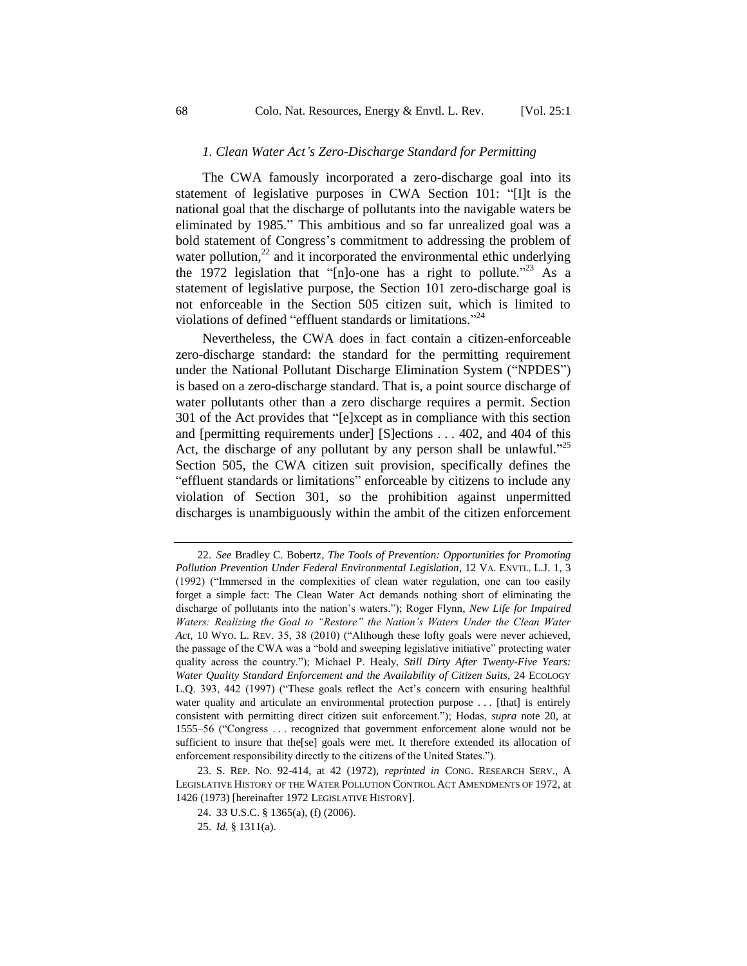#### <span id="page-7-0"></span>*1. Clean Water Act's Zero-Discharge Standard for Permitting*

The CWA famously incorporated a zero-discharge goal into its statement of legislative purposes in CWA Section 101: "[I]t is the national goal that the discharge of pollutants into the navigable waters be eliminated by 1985." This ambitious and so far unrealized goal was a bold statement of Congress's commitment to addressing the problem of water pollution, $^{22}$  and it incorporated the environmental ethic underlying the 1972 legislation that "[n]o-one has a right to pollute."<sup>23</sup> As a statement of legislative purpose, the Section 101 zero-discharge goal is not enforceable in the Section 505 citizen suit, which is limited to violations of defined "effluent standards or limitations."<sup>24</sup>

Nevertheless, the CWA does in fact contain a citizen-enforceable zero-discharge standard: the standard for the permitting requirement under the National Pollutant Discharge Elimination System ("NPDES") is based on a zero-discharge standard. That is, a point source discharge of water pollutants other than a zero discharge requires a permit. Section 301 of the Act provides that "[e]xcept as in compliance with this section and [permitting requirements under] [S]ections . . . 402, and 404 of this Act, the discharge of any pollutant by any person shall be unlawful."<sup>25</sup> Section 505, the CWA citizen suit provision, specifically defines the "effluent standards or limitations" enforceable by citizens to include any violation of Section 301, so the prohibition against unpermitted discharges is unambiguously within the ambit of the citizen enforcement

23. S. REP. NO. 92-414, at 42 (1972), *reprinted in* CONG. RESEARCH SERV., A LEGISLATIVE HISTORY OF THE WATER POLLUTION CONTROL ACT AMENDMENTS OF 1972, at 1426 (1973) [hereinafter 1972 LEGISLATIVE HISTORY].

<sup>22.</sup> *See* Bradley C. Bobertz, *The Tools of Prevention: Opportunities for Promoting Pollution Prevention Under Federal Environmental Legislation*, 12 VA. ENVTL. L.J. 1, 3 (1992) ("Immersed in the complexities of clean water regulation, one can too easily forget a simple fact: The Clean Water Act demands nothing short of eliminating the discharge of pollutants into the nation's waters."); Roger Flynn, *New Life for Impaired Waters: Realizing the Goal to "Restore" the Nation's Waters Under the Clean Water Act*, 10 WYO. L. REV. 35, 38 (2010) ("Although these lofty goals were never achieved, the passage of the CWA was a "bold and sweeping legislative initiative" protecting water quality across the country."); Michael P. Healy, *Still Dirty After Twenty-Five Years: Water Quality Standard Enforcement and the Availability of Citizen Suits*, 24 ECOLOGY L.Q. 393, 442 (1997) ("These goals reflect the Act's concern with ensuring healthful water quality and articulate an environmental protection purpose . . . [that] is entirely consistent with permitting direct citizen suit enforcement."); Hodas, *supra* note [20,](#page-6-0) at 1555–56 ("Congress . . . recognized that government enforcement alone would not be sufficient to insure that the[se] goals were met. It therefore extended its allocation of enforcement responsibility directly to the citizens of the United States.").

<sup>24.</sup> 33 U.S.C. § 1365(a), (f) (2006).

<sup>25.</sup> *Id.* § 1311(a).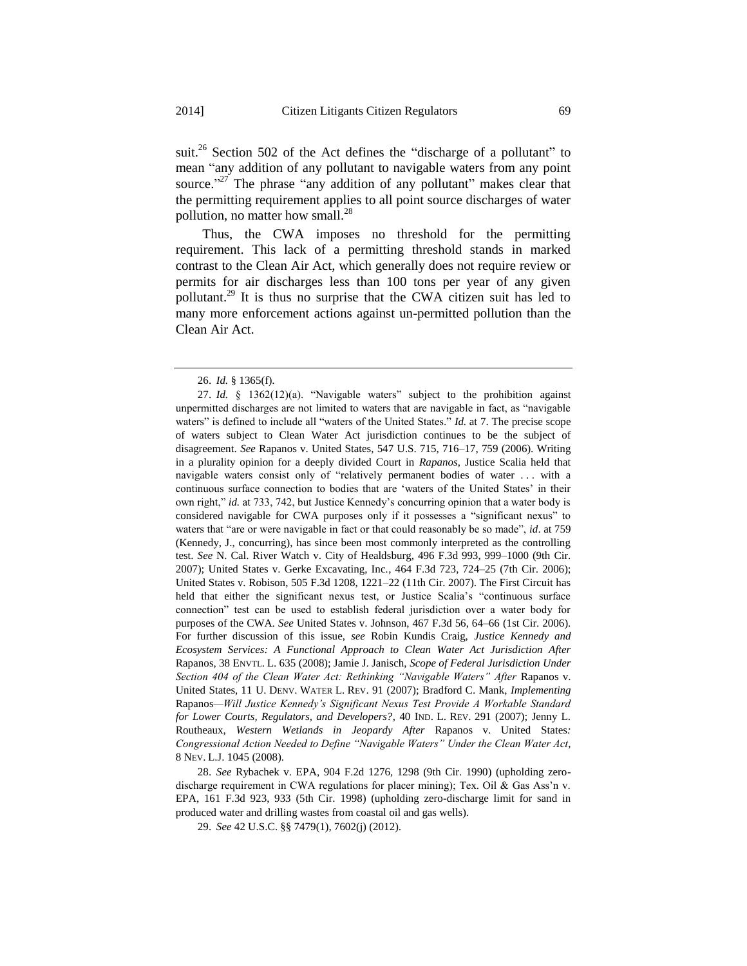suit.<sup>26</sup> Section 502 of the Act defines the "discharge of a pollutant" to mean "any addition of any pollutant to navigable waters from any point source."<sup>27</sup> The phrase "any addition of any pollutant" makes clear that the permitting requirement applies to all point source discharges of water pollution, no matter how small.<sup>28</sup>

Thus, the CWA imposes no threshold for the permitting requirement. This lack of a permitting threshold stands in marked contrast to the Clean Air Act, which generally does not require review or permits for air discharges less than 100 tons per year of any given pollutant.<sup>29</sup> It is thus no surprise that the CWA citizen suit has led to many more enforcement actions against un-permitted pollution than the Clean Air Act.

<sup>26.</sup> *Id.* § 1365(f).

<sup>27.</sup> *Id.* § 1362(12)(a). "Navigable waters" subject to the prohibition against unpermitted discharges are not limited to waters that are navigable in fact, as "navigable waters" is defined to include all "waters of the United States." *Id.* at 7. The precise scope of waters subject to Clean Water Act jurisdiction continues to be the subject of disagreement. *See* Rapanos v. United States, 547 U.S. 715, 716–17, 759 (2006). Writing in a plurality opinion for a deeply divided Court in *Rapanos*, Justice Scalia held that navigable waters consist only of "relatively permanent bodies of water . . . with a continuous surface connection to bodies that are 'waters of the United States' in their own right," *id.* at 733, 742, but Justice Kennedy's concurring opinion that a water body is considered navigable for CWA purposes only if it possesses a "significant nexus" to waters that "are or were navigable in fact or that could reasonably be so made", *id*. at 759 (Kennedy, J., concurring), has since been most commonly interpreted as the controlling test. *See* N. Cal. River Watch v. City of Healdsburg, 496 F.3d 993, 999–1000 (9th Cir. 2007); United States v. Gerke Excavating, Inc*.*, 464 F.3d 723, 724–25 (7th Cir. 2006); United States v. Robison, 505 F.3d 1208, 1221–22 (11th Cir. 2007). The First Circuit has held that either the significant nexus test, or Justice Scalia's "continuous surface connection" test can be used to establish federal jurisdiction over a water body for purposes of the CWA. *See* United States v. Johnson, 467 F.3d 56, 64–66 (1st Cir. 2006). For further discussion of this issue, *see* Robin Kundis Craig, *Justice Kennedy and Ecosystem Services: A Functional Approach to Clean Water Act Jurisdiction After*  Rapanos, 38 ENVTL. L. 635 (2008); Jamie J. Janisch, *Scope of Federal Jurisdiction Under Section 404 of the Clean Water Act: Rethinking "Navigable Waters" After* Rapanos v. United States, 11 U. DENV. WATER L. REV. 91 (2007); Bradford C. Mank, *Implementing*  Rapanos*—Will Justice Kennedy's Significant Nexus Test Provide A Workable Standard for Lower Courts, Regulators, and Developers?*, 40 IND. L. REV. 291 (2007); Jenny L. Routheaux, *Western Wetlands in Jeopardy After* Rapanos v. United States*: Congressional Action Needed to Define "Navigable Waters" Under the Clean Water Act*, 8 NEV. L.J. 1045 (2008).

<sup>28.</sup> *See* Rybachek v. EPA, 904 F.2d 1276, 1298 (9th Cir. 1990) (upholding zerodischarge requirement in CWA regulations for placer mining); Tex. Oil & Gas Ass'n v. EPA, 161 F.3d 923, 933 (5th Cir. 1998) (upholding zero-discharge limit for sand in produced water and drilling wastes from coastal oil and gas wells).

<sup>29.</sup> *See* 42 U.S.C. §§ 7479(1), 7602(j) (2012).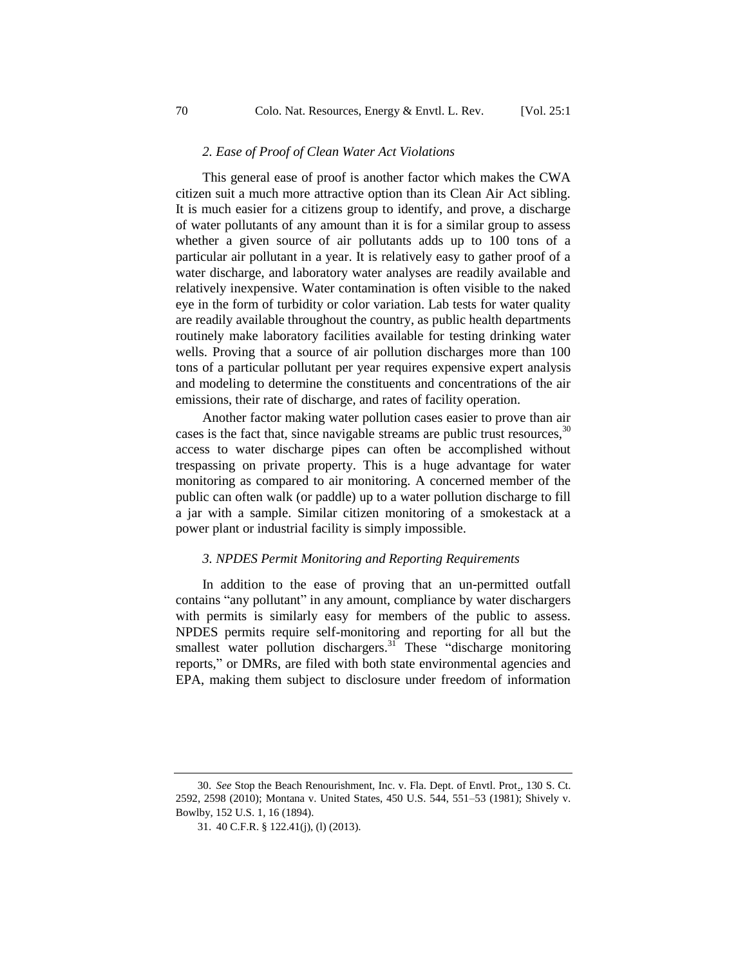#### *2. Ease of Proof of Clean Water Act Violations*

This general ease of proof is another factor which makes the CWA citizen suit a much more attractive option than its Clean Air Act sibling. It is much easier for a citizens group to identify, and prove, a discharge of water pollutants of any amount than it is for a similar group to assess whether a given source of air pollutants adds up to 100 tons of a particular air pollutant in a year. It is relatively easy to gather proof of a water discharge, and laboratory water analyses are readily available and relatively inexpensive. Water contamination is often visible to the naked eye in the form of turbidity or color variation. Lab tests for water quality are readily available throughout the country, as public health departments routinely make laboratory facilities available for testing drinking water wells. Proving that a source of air pollution discharges more than 100 tons of a particular pollutant per year requires expensive expert analysis and modeling to determine the constituents and concentrations of the air emissions, their rate of discharge, and rates of facility operation.

Another factor making water pollution cases easier to prove than air cases is the fact that, since navigable streams are public trust resources,  $30$ access to water discharge pipes can often be accomplished without trespassing on private property. This is a huge advantage for water monitoring as compared to air monitoring. A concerned member of the public can often walk (or paddle) up to a water pollution discharge to fill a jar with a sample. Similar citizen monitoring of a smokestack at a power plant or industrial facility is simply impossible.

#### *3. NPDES Permit Monitoring and Reporting Requirements*

In addition to the ease of proving that an un-permitted outfall contains "any pollutant" in any amount, compliance by water dischargers with permits is similarly easy for members of the public to assess. NPDES permits require self-monitoring and reporting for all but the smallest water pollution dischargers.<sup>31</sup> These "discharge monitoring" reports," or DMRs, are filed with both state environmental agencies and EPA, making them subject to disclosure under freedom of information

<sup>30.</sup> *See* Stop the Beach Renourishment, Inc. v. Fla. Dept. of Envtl. Prot., 130 S. Ct. 2592, 2598 (2010); Montana v. United States, 450 U.S. 544, 551–53 (1981); Shively v. Bowlby, 152 U.S. 1, 16 (1894).

<sup>31.</sup> 40 C.F.R. § 122.41(j), (l) (2013).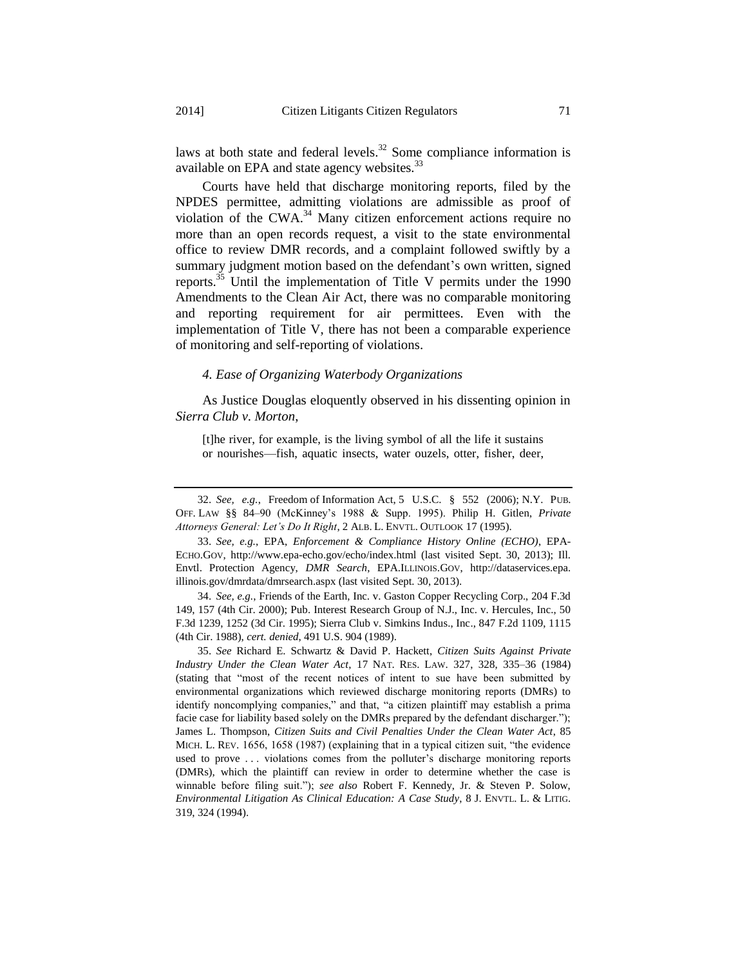laws at both state and federal levels. $32$  Some compliance information is available on EPA and state agency websites.<sup>33</sup>

Courts have held that discharge monitoring reports, filed by the NPDES permittee, admitting violations are admissible as proof of violation of the CWA.<sup>34</sup> Many citizen enforcement actions require no more than an open records request, a visit to the state environmental office to review DMR records, and a complaint followed swiftly by a summary judgment motion based on the defendant's own written, signed reports.<sup>35</sup> Until the implementation of Title V permits under the 1990 Amendments to the Clean Air Act, there was no comparable monitoring and reporting requirement for air permittees. Even with the implementation of Title V, there has not been a comparable experience of monitoring and self-reporting of violations.

#### *4. Ease of Organizing Waterbody Organizations*

As Justice Douglas eloquently observed in his dissenting opinion in *Sierra Club v. Morton*,

[t]he river, for example, is the living symbol of all the life it sustains or nourishes—fish, aquatic insects, water ouzels, otter, fisher, deer,

34. *See, e.g.*, Friends of the Earth, Inc. v. Gaston Copper Recycling Corp., 204 F.3d 149, 157 (4th Cir. 2000); Pub. Interest Research Group of N.J., Inc. v. Hercules, Inc., 50 F.3d 1239, 1252 (3d Cir. 1995); Sierra Club v. Simkins Indus., Inc., 847 F.2d 1109, 1115 (4th Cir. 1988), *cert. denied*, [491 U.S. 904 \(1989\).](https://1.next.westlaw.com/Link/Document/FullText?findType=Y&serNum=1989093545&pubNum=708&originationContext=document&transitionType=DocumentItem&contextData=(sc.Keycite))

<sup>32.</sup> *See, e.g.*, Freedom of Information Act, 5 U.S.C. § 552 (2006); N.Y. PUB. OFF. LAW §§ 84–90 (McKinney's 1988 & Supp. 1995). Philip H. Gitlen, *Private Attorneys General: Let's Do It Right*, 2 ALB. L. ENVTL. OUTLOOK 17 (1995).

<sup>33.</sup> *See, e.g.*, EPA, *Enforcement & Compliance History Online (ECHO)*, EPA-ECHO.GOV, http://www.epa-echo.gov/echo/index.html (last visited Sept. 30, 2013); Ill. Envtl. Protection Agency, *DMR Search*, EPA.ILLINOIS.GOV, http://dataservices.epa. illinois.gov/dmrdata/dmrsearch.aspx (last visited Sept. 30, 2013).

<sup>35.</sup> *See* Richard E. Schwartz & David P. Hackett, *Citizen Suits Against Private Industry Under the Clean Water Act*, 17 NAT. RES. LAW. 327, 328, 335–36 (1984) (stating that "most of the recent notices of intent to sue have been submitted by environmental organizations which reviewed discharge monitoring reports (DMRs) to identify noncomplying companies," and that, "a citizen plaintiff may establish a prima facie case for liability based solely on the DMRs prepared by the defendant discharger."); James L. Thompson, *Citizen Suits and Civil Penalties Under the Clean Water Act*, 85 MICH. L. REV. 1656, 1658 (1987) (explaining that in a typical citizen suit, "the evidence used to prove . . . violations comes from the polluter's discharge monitoring reports (DMRs), which the plaintiff can review in order to determine whether the case is winnable before filing suit."); *see also* Robert F. Kennedy, Jr. & Steven P. Solow, *Environmental Litigation As Clinical Education: A Case Study*, 8 J. ENVTL. L. & LITIG. 319, 324 (1994).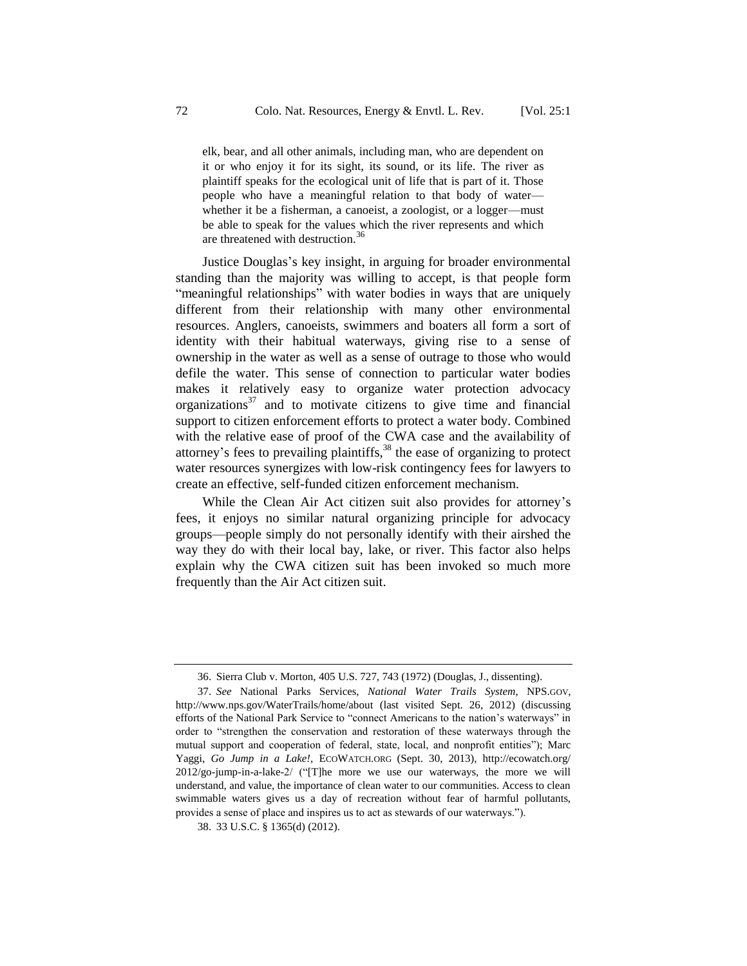elk, bear, and all other animals, including man, who are dependent on it or who enjoy it for its sight, its sound, or its life. The river as plaintiff speaks for the ecological unit of life that is part of it. Those people who have a meaningful relation to that body of water whether it be a fisherman, a canoeist, a zoologist, or a logger—must be able to speak for the values which the river represents and which are threatened with destruction.<sup>36</sup>

Justice Douglas's key insight, in arguing for broader environmental standing than the majority was willing to accept, is that people form "meaningful relationships" with water bodies in ways that are uniquely different from their relationship with many other environmental resources. Anglers, canoeists, swimmers and boaters all form a sort of identity with their habitual waterways, giving rise to a sense of ownership in the water as well as a sense of outrage to those who would defile the water. This sense of connection to particular water bodies makes it relatively easy to organize water protection advocacy organizations<sup>37</sup> and to motivate citizens to give time and financial support to citizen enforcement efforts to protect a water body. Combined with the relative ease of proof of the CWA case and the availability of attorney's fees to prevailing plaintiffs,  $38$  the ease of organizing to protect water resources synergizes with low-risk contingency fees for lawyers to create an effective, self-funded citizen enforcement mechanism.

While the Clean Air Act citizen suit also provides for attorney's fees, it enjoys no similar natural organizing principle for advocacy groups—people simply do not personally identify with their airshed the way they do with their local bay, lake, or river. This factor also helps explain why the CWA citizen suit has been invoked so much more frequently than the Air Act citizen suit.

<sup>36.</sup> Sierra Club v. Morton, 405 U.S. 727, 743 (1972) (Douglas, J., dissenting).

<sup>37.</sup> *See* National Parks Services, *National Water Trails System*, NPS.GOV, <http://www.nps.gov/WaterTrails/home/about> (last visited Sept. 26, 2012) (discussing efforts of the National Park Service to "connect Americans to the nation's waterways" in order to "strengthen the conservation and restoration of these waterways through the mutual support and cooperation of federal, state, local, and nonprofit entities"); Marc Yaggi, *Go Jump in a Lake!*, ECOWATCH.ORG (Sept. 30, 2013), http://ecowatch.org/ 2012/go-jump-in-a-lake-2/ ("[T]he more we use our waterways, the more we will understand, and value, the importance of clean water to our communities. Access to clean swimmable waters gives us a day of recreation without fear of harmful pollutants, provides a sense of place and inspires us to act as stewards of our waterways.").

<sup>38.</sup> 33 U.S.C. § 1365(d) (2012).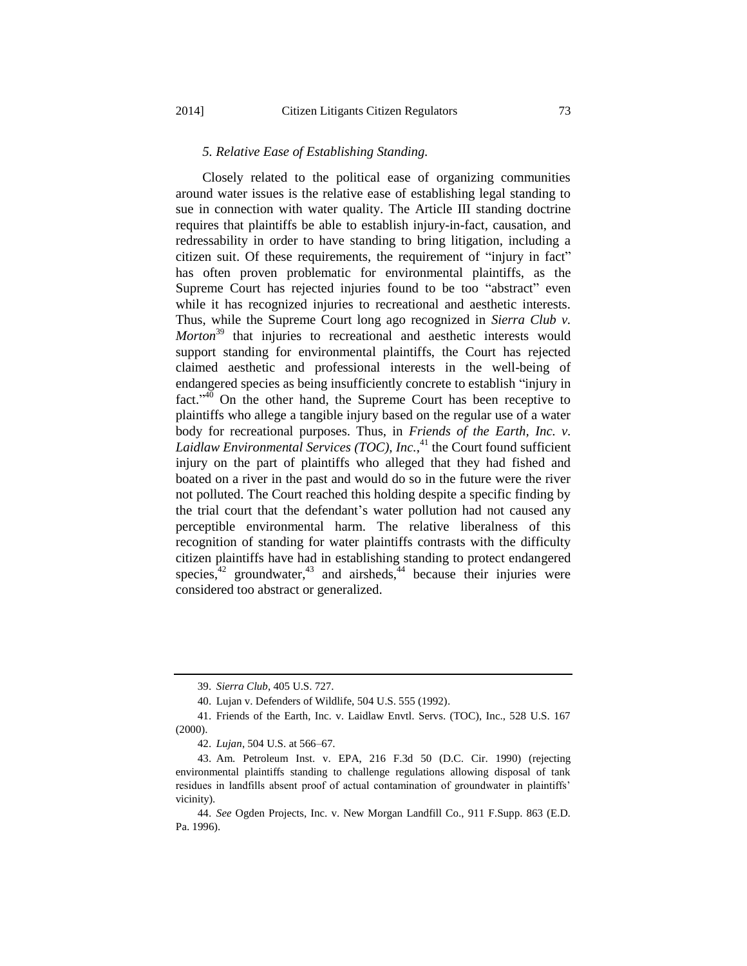#### *5. Relative Ease of Establishing Standing.*

Closely related to the political ease of organizing communities around water issues is the relative ease of establishing legal standing to sue in connection with water quality. The Article III standing doctrine requires that plaintiffs be able to establish injury-in-fact, causation, and redressability in order to have standing to bring litigation, including a citizen suit. Of these requirements, the requirement of "injury in fact" has often proven problematic for environmental plaintiffs, as the Supreme Court has rejected injuries found to be too "abstract" even while it has recognized injuries to recreational and aesthetic interests. Thus, while the Supreme Court long ago recognized in *Sierra Club v. Morton*<sup>39</sup> that injuries to recreational and aesthetic interests would support standing for environmental plaintiffs, the Court has rejected claimed aesthetic and professional interests in the well-being of endangered species as being insufficiently concrete to establish "injury in fact." $\phi$  On the other hand, the Supreme Court has been receptive to plaintiffs who allege a tangible injury based on the regular use of a water body for recreational purposes. Thus, in *Friends of the Earth, Inc. v. Laidlaw Environmental Services (TOC), Inc.*, <sup>41</sup> the Court found sufficient injury on the part of plaintiffs who alleged that they had fished and boated on a river in the past and would do so in the future were the river not polluted. The Court reached this holding despite a specific finding by the trial court that the defendant's water pollution had not caused any perceptible environmental harm. The relative liberalness of this recognition of standing for water plaintiffs contrasts with the difficulty citizen plaintiffs have had in establishing standing to protect endangered species, $42 \text{ groundwater}, 43 \text{ and airsheds}, 44 \text{ because their injuries were}$ considered too abstract or generalized.

<sup>39.</sup> *Sierra Club*, 405 U.S. 727.

<sup>40.</sup> Lujan v. Defenders of Wildlife, 504 U.S. 555 (1992).

<sup>41.</sup> Friends of the Earth, Inc. v. Laidlaw Envtl. Servs. (TOC), Inc., 528 U.S. 167 (2000).

<sup>42.</sup> *Lujan*, 504 U.S. at 566–67.

<sup>43.</sup> Am. Petroleum Inst. v. EPA, 216 F.3d 50 (D.C. Cir. 1990) (rejecting environmental plaintiffs standing to challenge regulations allowing disposal of tank residues in landfills absent proof of actual contamination of groundwater in plaintiffs' vicinity).

<sup>44.</sup> *See* Ogden Projects, Inc. v. New Morgan Landfill Co., 911 F.Supp. 863 (E.D. Pa. 1996).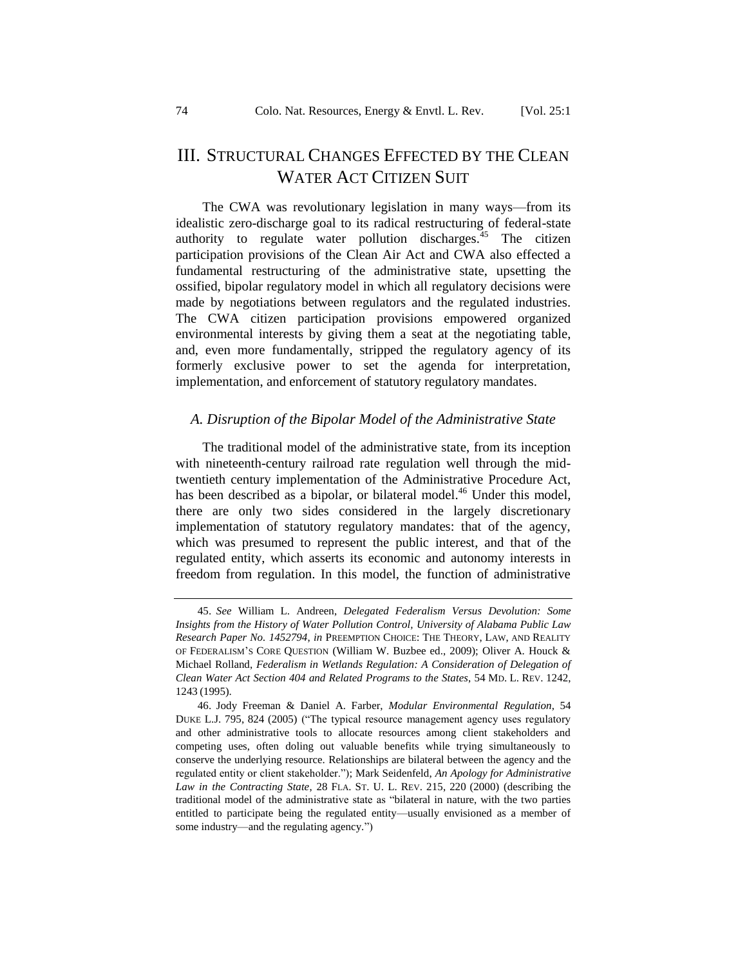## III. STRUCTURAL CHANGES EFFECTED BY THE CLEAN WATER ACT CITIZEN SUIT

The CWA was revolutionary legislation in many ways—from its idealistic zero-discharge goal to its radical restructuring of federal-state authority to regulate water pollution discharges.<sup>45</sup> The citizen participation provisions of the Clean Air Act and CWA also effected a fundamental restructuring of the administrative state, upsetting the ossified, bipolar regulatory model in which all regulatory decisions were made by negotiations between regulators and the regulated industries. The CWA citizen participation provisions empowered organized environmental interests by giving them a seat at the negotiating table, and, even more fundamentally, stripped the regulatory agency of its formerly exclusive power to set the agenda for interpretation, implementation, and enforcement of statutory regulatory mandates.

#### <span id="page-13-0"></span>*A. Disruption of the Bipolar Model of the Administrative State*

The traditional model of the administrative state, from its inception with nineteenth-century railroad rate regulation well through the midtwentieth century implementation of the Administrative Procedure Act, has been described as a bipolar, or bilateral model.<sup>46</sup> Under this model, there are only two sides considered in the largely discretionary implementation of statutory regulatory mandates: that of the agency, which was presumed to represent the public interest, and that of the regulated entity, which asserts its economic and autonomy interests in freedom from regulation. In this model, the function of administrative

<span id="page-13-1"></span><sup>45.</sup> *See* William L. Andreen, *Delegated Federalism Versus Devolution: Some Insights from the History of Water Pollution Control, [University of Alabama Public Law](http://papers.ssrn.com/sol3/papers.cfm?abstract_id=1452794#%23)  [Research Paper No. 1452794](http://papers.ssrn.com/sol3/papers.cfm?abstract_id=1452794#%23)*, *in* PREEMPTION CHOICE: THE THEORY, LAW, AND REALITY OF FEDERALISM'S CORE QUESTION (William W. Buzbee ed., 2009); Oliver A. Houck & Michael Rolland, *Federalism in Wetlands Regulation: A Consideration of Delegation of Clean Water Act Section 404 and Related Programs to the States*, 54 MD. L. REV. 1242, 1243 (1995).

<sup>46.</sup> Jody Freeman & Daniel A. Farber, *Modular Environmental Regulation*, 54 DUKE L.J. 795, 824 (2005) ("The typical resource management agency uses regulatory and other administrative tools to allocate resources among client stakeholders and competing uses, often doling out valuable benefits while trying simultaneously to conserve the underlying resource. Relationships are bilateral between the agency and the regulated entity or client stakeholder."); Mark Seidenfeld, *An Apology for Administrative Law in the Contracting State*, 28 FLA. ST. U. L. REV. 215, 220 (2000) (describing the traditional model of the administrative state as "bilateral in nature, with the two parties entitled to participate being the regulated entity—usually envisioned as a member of some industry—and the regulating agency.")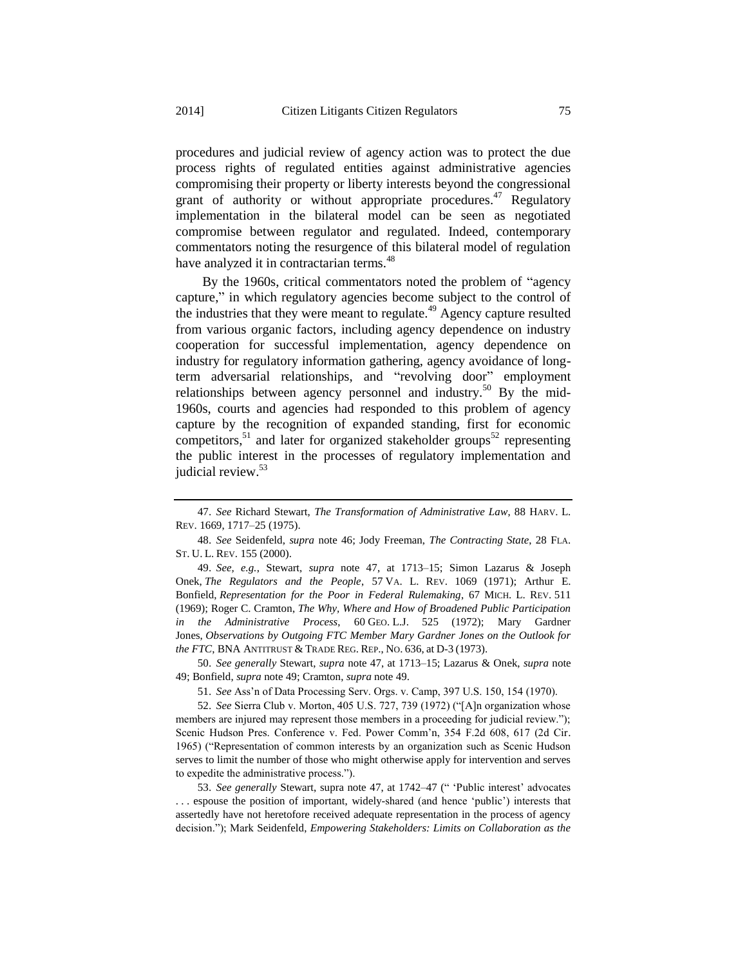procedures and judicial review of agency action was to protect the due process rights of regulated entities against administrative agencies compromising their property or liberty interests beyond the congressional grant of authority or without appropriate procedures.<sup>47</sup> Regulatory implementation in the bilateral model can be seen as negotiated compromise between regulator and regulated. Indeed, contemporary commentators noting the resurgence of this bilateral model of regulation have analyzed it in contractarian terms.<sup>48</sup>

<span id="page-14-0"></span>By the 1960s, critical commentators noted the problem of "agency capture," in which regulatory agencies become subject to the control of the industries that they were meant to regulate.<sup>49</sup> Agency capture resulted from various organic factors, including agency dependence on industry cooperation for successful implementation, agency dependence on industry for regulatory information gathering, agency avoidance of longterm adversarial relationships, and "revolving door" employment relationships between agency personnel and industry.<sup>50</sup> By the mid-1960s, courts and agencies had responded to this problem of agency capture by the recognition of expanded standing, first for economic competitors,<sup>51</sup> and later for organized stakeholder groups<sup>52</sup> representing the public interest in the processes of regulatory implementation and judicial review.<sup>53</sup>

50. *See generally* Stewart, *supra* note [47,](#page-13-1) at 1713–15; Lazarus & Onek, *supra* note [49;](#page-14-0) Bonfield, *supra* not[e 49;](#page-14-0) Cramton, *supra* not[e 49.](#page-14-0)

51. *See* Ass'n of Data Processing Serv. Orgs. v. Camp, 397 U.S. 150, 154 (1970).

52. *See* Sierra Club v. Morton, 405 U.S. 727, 739 (1972) ("[A]n organization whose members are injured may represent those members in a proceeding for judicial review."); Scenic Hudson Pres. Conference v. Fed. Power Comm'n, 354 F.2d 608, 617 (2d Cir. 1965) ("Representation of common interests by an organization such as Scenic Hudson serves to limit the number of those who might otherwise apply for intervention and serves to expedite the administrative process.").

53. *See generally* Stewart, supra note [47,](#page-13-1) at 1742–47 (" 'Public interest' advocates . . . espouse the position of important, widely-shared (and hence 'public') interests that assertedly have not heretofore received adequate representation in the process of agency decision."); Mark Seidenfeld, *Empowering Stakeholders: Limits on Collaboration as the* 

<sup>47.</sup> *See* Richard Stewart, *The Transformation of Administrative Law*, 88 HARV. L. REV. 1669, 1717–25 (1975).

<sup>48.</sup> *See* Seidenfeld, *supra* note [46;](#page-13-0) Jody Freeman, *The Contracting State*, 28 FLA. ST. U. L. REV. 155 (2000).

<sup>49.</sup> *See, e.g.*, Stewart, *supra* note [47,](#page-13-1) at 1713–15; Simon Lazarus & Joseph Onek, *The Regulators and the People*, 57 VA. L. REV. 1069 (1971); Arthur E. Bonfield, *Representation for the Poor in Federal Rulemaking*, 67 MICH. L. REV. 511 (1969); Roger C. Cramton, *The Why, Where and How of Broadened Public Participation in the Administrative Process*, 60 GEO. L.J. 525 (1972); Mary Gardner Jones, *Observations by Outgoing FTC Member Mary Gardner Jones on the Outlook for the FTC*, BNA ANTITRUST & TRADE REG. REP., NO. 636, at D-3 (1973).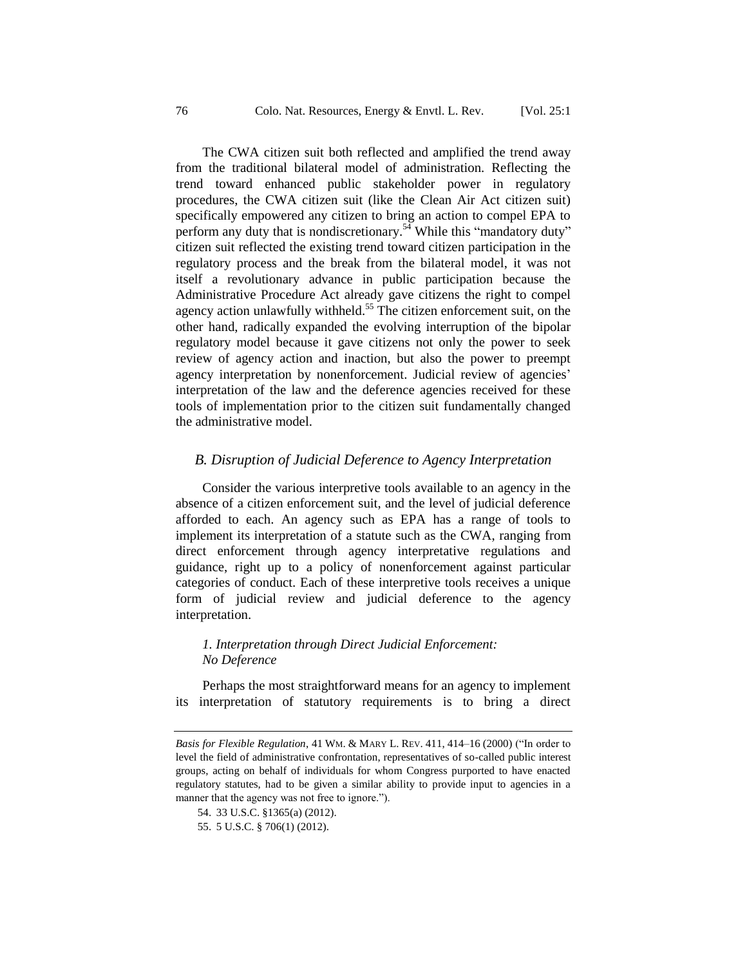The CWA citizen suit both reflected and amplified the trend away from the traditional bilateral model of administration. Reflecting the trend toward enhanced public stakeholder power in regulatory procedures, the CWA citizen suit (like the Clean Air Act citizen suit) specifically empowered any citizen to bring an action to compel EPA to perform any duty that is nondiscretionary.<sup>54</sup> While this "mandatory duty" citizen suit reflected the existing trend toward citizen participation in the regulatory process and the break from the bilateral model, it was not itself a revolutionary advance in public participation because the Administrative Procedure Act already gave citizens the right to compel agency action unlawfully withheld.<sup>55</sup> The citizen enforcement suit, on the other hand, radically expanded the evolving interruption of the bipolar regulatory model because it gave citizens not only the power to seek review of agency action and inaction, but also the power to preempt agency interpretation by nonenforcement. Judicial review of agencies' interpretation of the law and the deference agencies received for these tools of implementation prior to the citizen suit fundamentally changed the administrative model.

#### *B. Disruption of Judicial Deference to Agency Interpretation*

Consider the various interpretive tools available to an agency in the absence of a citizen enforcement suit, and the level of judicial deference afforded to each. An agency such as EPA has a range of tools to implement its interpretation of a statute such as the CWA, ranging from direct enforcement through agency interpretative regulations and guidance, right up to a policy of nonenforcement against particular categories of conduct. Each of these interpretive tools receives a unique form of judicial review and judicial deference to the agency interpretation.

### *1. Interpretation through Direct Judicial Enforcement: No Deference*

Perhaps the most straightforward means for an agency to implement its interpretation of statutory requirements is to bring a direct

*Basis for Flexible Regulation*, 41 WM. & MARY L. REV. 411, 414–16 (2000) ("In order to level the field of administrative confrontation, representatives of so-called public interest groups, acting on behalf of individuals for whom Congress purported to have enacted regulatory statutes, had to be given a similar ability to provide input to agencies in a manner that the agency was not free to ignore.").

<sup>54.</sup> 33 U.S.C. §1365(a) (2012).

<sup>55.</sup> 5 U.S.C. § 706(1) (2012).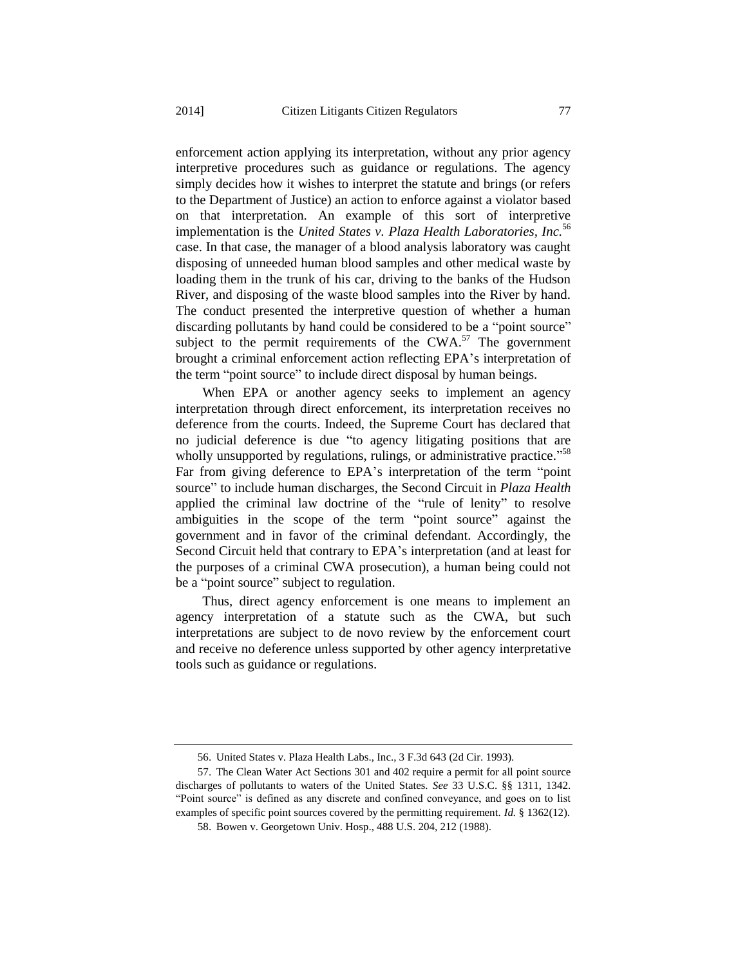enforcement action applying its interpretation, without any prior agency interpretive procedures such as guidance or regulations. The agency simply decides how it wishes to interpret the statute and brings (or refers to the Department of Justice) an action to enforce against a violator based on that interpretation. An example of this sort of interpretive implementation is the *United States v. Plaza Health Laboratories, Inc.*<sup>56</sup> case. In that case, the manager of a blood analysis laboratory was caught disposing of unneeded human blood samples and other medical waste by loading them in the trunk of his car, driving to the banks of the Hudson River, and disposing of the waste blood samples into the River by hand. The conduct presented the interpretive question of whether a human discarding pollutants by hand could be considered to be a "point source" subject to the permit requirements of the CWA. $57$  The government brought a criminal enforcement action reflecting EPA's interpretation of the term "point source" to include direct disposal by human beings.

When EPA or another agency seeks to implement an agency interpretation through direct enforcement, its interpretation receives no deference from the courts. Indeed, the Supreme Court has declared that no judicial deference is due "to agency litigating positions that are wholly unsupported by regulations, rulings, or administrative practice."<sup>58</sup> Far from giving deference to EPA's interpretation of the term "point source" to include human discharges, the Second Circuit in *Plaza Health* applied the criminal law doctrine of the "rule of lenity" to resolve ambiguities in the scope of the term "point source" against the government and in favor of the criminal defendant. Accordingly, the Second Circuit held that contrary to EPA's interpretation (and at least for the purposes of a criminal CWA prosecution), a human being could not be a "point source" subject to regulation.

Thus, direct agency enforcement is one means to implement an agency interpretation of a statute such as the CWA, but such interpretations are subject to de novo review by the enforcement court and receive no deference unless supported by other agency interpretative tools such as guidance or regulations.

<sup>56.</sup> United States v. Plaza Health Labs., Inc., 3 F.3d 643 (2d Cir. 1993).

<sup>57.</sup> The Clean Water Act Sections 301 and 402 require a permit for all point source discharges of pollutants to waters of the United States. *See* 33 U.S.C. §§ 1311, 1342. "Point source" is defined as any discrete and confined conveyance, and goes on to list examples of specific point sources covered by the permitting requirement. *Id.* § 1362(12).

<sup>58.</sup> Bowen v. Georgetown Univ. Hosp., 488 U.S. 204, 212 (1988).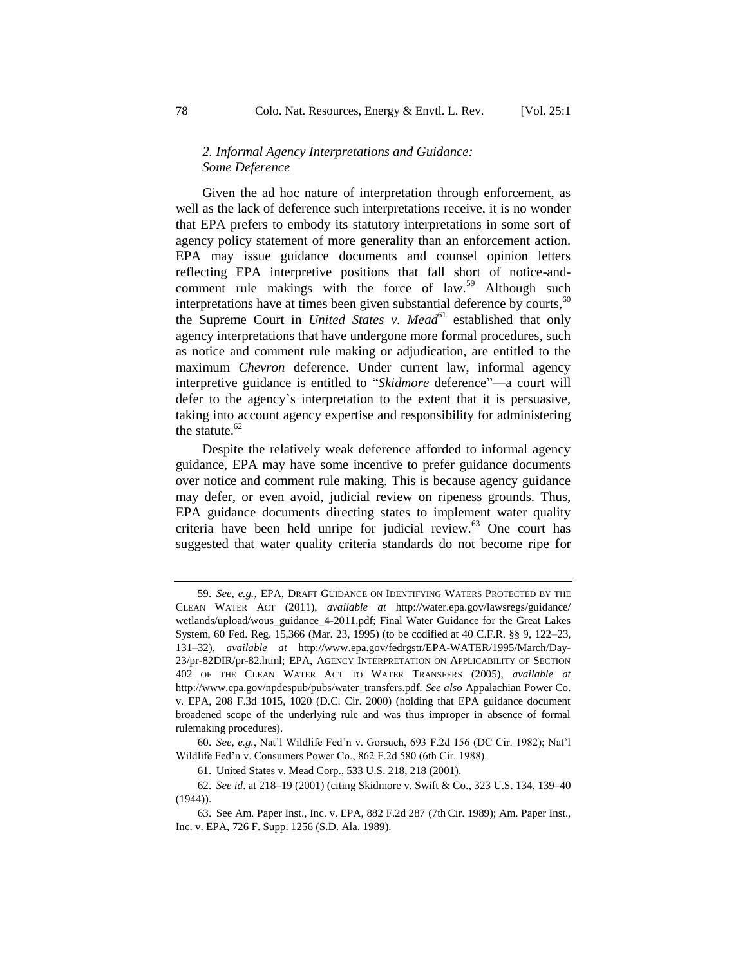#### *2. Informal Agency Interpretations and Guidance: Some Deference*

Given the ad hoc nature of interpretation through enforcement, as well as the lack of deference such interpretations receive, it is no wonder that EPA prefers to embody its statutory interpretations in some sort of agency policy statement of more generality than an enforcement action. EPA may issue guidance documents and counsel opinion letters reflecting EPA interpretive positions that fall short of notice-andcomment rule makings with the force of law.<sup>59</sup> Although such interpretations have at times been given substantial deference by courts, $60$ the Supreme Court in *United States v. Mead*<sup>61</sup> established that only agency interpretations that have undergone more formal procedures, such as notice and comment rule making or adjudication, are entitled to the maximum *Chevron* deference. Under current law, informal agency interpretive guidance is entitled to "*Skidmore* deference"—a court will defer to the agency's interpretation to the extent that it is persuasive, taking into account agency expertise and responsibility for administering the statute. $62$ 

Despite the relatively weak deference afforded to informal agency guidance, EPA may have some incentive to prefer guidance documents over notice and comment rule making. This is because agency guidance may defer, or even avoid, judicial review on ripeness grounds. Thus, EPA guidance documents directing states to implement water quality criteria have been held unripe for judicial review. $63$  One court has suggested that water quality criteria standards do not become ripe for

<sup>59.</sup> *See, e.g.*, EPA, DRAFT GUIDANCE ON IDENTIFYING WATERS PROTECTED BY THE CLEAN WATER ACT (2011), *available at* http://water.epa.gov/lawsregs/guidance/ wetlands/upload/wous\_guidance\_4-2011.pdf; Final Water Guidance for the Great Lakes System, 60 Fed. Reg. 15,366 (Mar. 23, 1995) (to be codified at 40 C.F.R. §§ 9, 122–23, 131–32), *available at* http://www.epa.gov/fedrgstr/EPA-WATER/1995/March/Day-23/pr-82DIR/pr-82.html; EPA, AGENCY INTERPRETATION ON APPLICABILITY OF SECTION 402 OF THE CLEAN WATER ACT TO WATER TRANSFERS (2005), *available at*  http://www.epa.gov/npdespub/pubs/water\_transfers.pdf*. See also* Appalachian Power Co. v. EPA, 208 F.3d 1015, 1020 (D.C. Cir. 2000) (holding that EPA guidance document broadened scope of the underlying rule and was thus improper in absence of formal rulemaking procedures).

<sup>60.</sup> *See, e.g.*, Nat'l Wildlife Fed'n v. Gorsuch, 693 F.2d 156 (DC Cir. 1982); Nat'l Wildlife Fed'n v. Consumers Power Co., 862 F.2d 580 (6th Cir. 1988).

<sup>61.</sup> United States v. Mead Corp., 533 U.S. 218, 218 (2001).

<sup>62.</sup> *See id*. at 218–19 (2001) (citing Skidmore v. Swift & Co*.*, 323 U.S. 134, 139–40  $(1944)$ ).

<sup>63.</sup> See Am. Paper Inst., Inc. v. EPA, 882 F.2d 287 (7th Cir. 1989); Am. Paper Inst., Inc. v. EPA, 726 F. Supp. 1256 (S.D. Ala. 1989).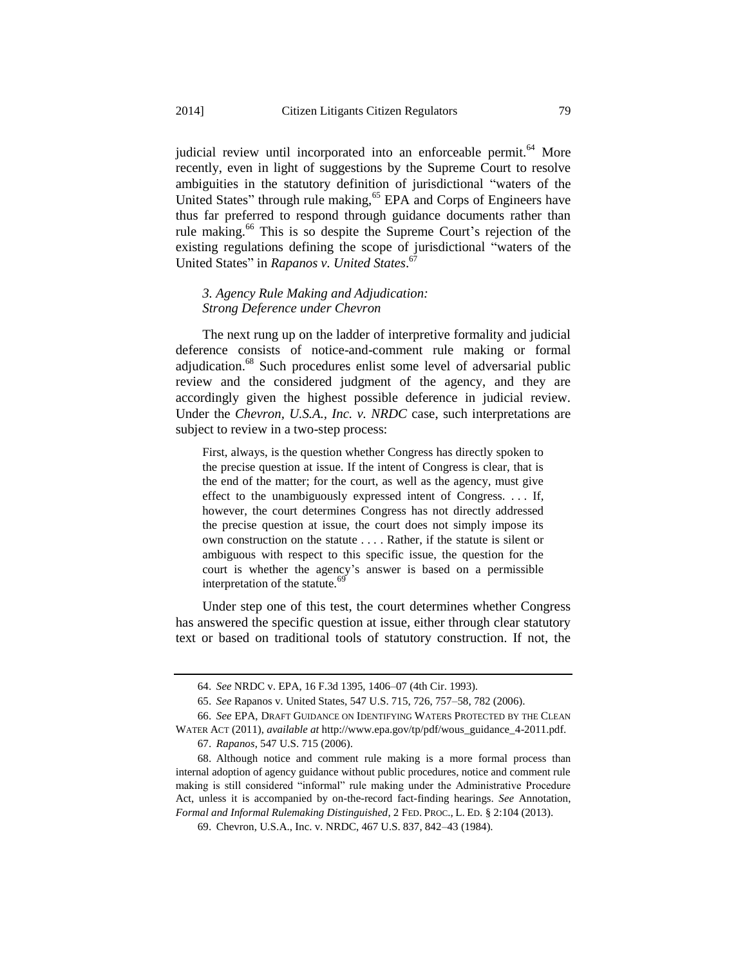judicial review until incorporated into an enforceable permit.<sup>64</sup> More recently, even in light of suggestions by the Supreme Court to resolve ambiguities in the statutory definition of jurisdictional "waters of the United States" through rule making,<sup>65</sup> EPA and Corps of Engineers have thus far preferred to respond through guidance documents rather than rule making.<sup>66</sup> This is so despite the Supreme Court's rejection of the existing regulations defining the scope of jurisdictional "waters of the United States" in *Rapanos v. United States*. 67

*3. Agency Rule Making and Adjudication: Strong Deference under Chevron*

The next rung up on the ladder of interpretive formality and judicial deference consists of notice-and-comment rule making or formal adjudication.<sup>68</sup> Such procedures enlist some level of adversarial public review and the considered judgment of the agency, and they are accordingly given the highest possible deference in judicial review. Under the *Chevron, U.S.A., Inc. v. NRDC* case, such interpretations are subject to review in a two-step process:

First, always, is the question whether Congress has directly spoken to the precise question at issue. If the intent of Congress is clear, that is the end of the matter; for the court, as well as the agency, must give effect to the unambiguously expressed intent of Congress. . . . If, however, the court determines Congress has not directly addressed the precise question at issue, the court does not simply impose its own construction on the statute . . . . Rather, if the statute is silent or ambiguous with respect to this specific issue, the question for the court is whether the agency's answer is based on a permissible interpretation of the statute.<sup>69</sup>

Under step one of this test, the court determines whether Congress has answered the specific question at issue, either through clear statutory text or based on traditional tools of statutory construction. If not, the

<sup>64.</sup> *See* NRDC v. EPA, 16 F.3d 1395, 1406–07 (4th Cir. 1993).

<sup>65.</sup> *See* Rapanos v. United States, 547 U.S. 715, 726, 757–58, 782 (2006).

<sup>66.</sup> *See* EPA, DRAFT GUIDANCE ON IDENTIFYING WATERS PROTECTED BY THE CLEAN WATER ACT (2011), *available at* http://www.epa.gov/tp/pdf/wous\_guidance\_4-2011.pdf.

<sup>67.</sup> *Rapanos*, 547 U.S. 715 (2006).

<sup>68.</sup> Although notice and comment rule making is a more formal process than internal adoption of agency guidance without public procedures, notice and comment rule making is still considered "informal" rule making under the Administrative Procedure Act, unless it is accompanied by on-the-record fact-finding hearings. *See* Annotation, *Formal and Informal Rulemaking Distinguished*, 2 FED. PROC., L. ED. § 2:104 (2013).

<sup>69.</sup> Chevron, U.S.A., Inc. v. NRDC, 467 U.S. 837, 842–43 (1984).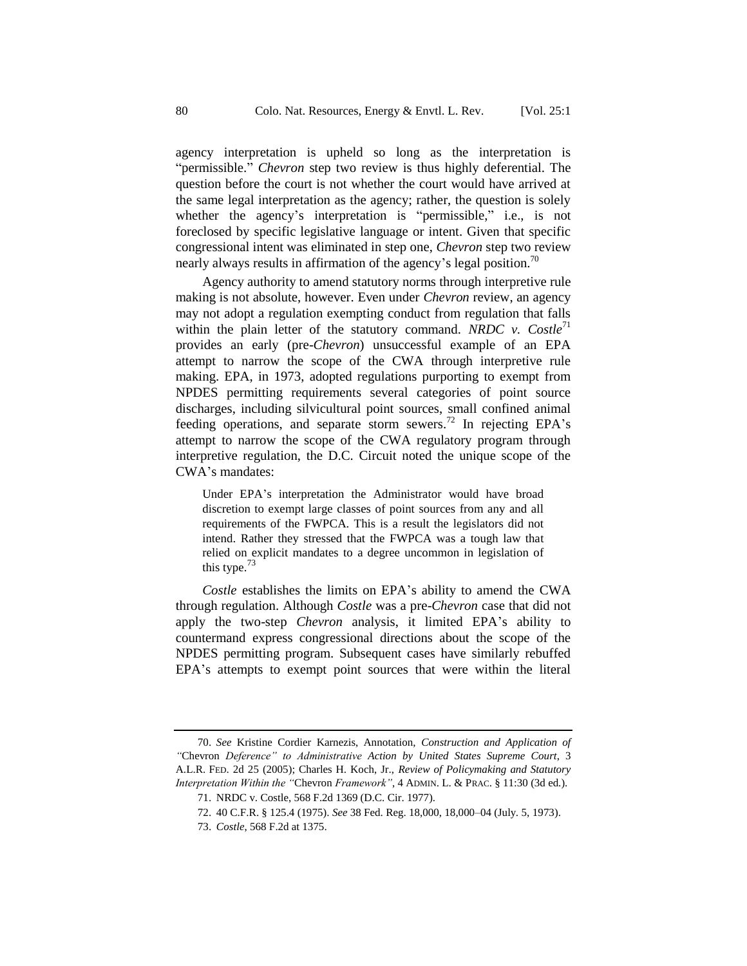agency interpretation is upheld so long as the interpretation is "permissible." *Chevron* step two review is thus highly deferential. The question before the court is not whether the court would have arrived at the same legal interpretation as the agency; rather, the question is solely whether the agency's interpretation is "permissible," i.e., is not foreclosed by specific legislative language or intent. Given that specific congressional intent was eliminated in step one, *Chevron* step two review nearly always results in affirmation of the agency's legal position.<sup>70</sup>

Agency authority to amend statutory norms through interpretive rule making is not absolute, however. Even under *Chevron* review, an agency may not adopt a regulation exempting conduct from regulation that falls within the plain letter of the statutory command. *NRDC v. Costle*<sup>71</sup> provides an early (pre-*Chevron*) unsuccessful example of an EPA attempt to narrow the scope of the CWA through interpretive rule making. EPA, in 1973, adopted regulations purporting to exempt from NPDES permitting requirements several categories of point source discharges, including silvicultural point sources, small confined animal feeding operations, and separate storm sewers.<sup>72</sup> In rejecting EPA's attempt to narrow the scope of the CWA regulatory program through interpretive regulation, the D.C. Circuit noted the unique scope of the CWA's mandates:

Under EPA's interpretation the Administrator would have broad discretion to exempt large classes of point sources from any and all requirements of the FWPCA. This is a result the legislators did not intend. Rather they stressed that the FWPCA was a tough law that relied on explicit mandates to a degree uncommon in legislation of this type. $\frac{73}{2}$ 

*Costle* establishes the limits on EPA's ability to amend the CWA through regulation. Although *Costle* was a pre-*Chevron* case that did not apply the two-step *Chevron* analysis, it limited EPA's ability to countermand express congressional directions about the scope of the NPDES permitting program. Subsequent cases have similarly rebuffed EPA's attempts to exempt point sources that were within the literal

<sup>70.</sup> *See* Kristine Cordier Karnezis, Annotation, *Construction and Application of "*Chevron *Deference" to Administrative Action by United States Supreme Court*, 3 A.L.R. FED. 2d 25 (2005); Charles H. Koch, Jr., *Review of Policymaking and Statutory Interpretation Within the "*Chevron *Framework"*, 4 ADMIN. L. & PRAC. § 11:30 (3d ed.).

<sup>71.</sup> NRDC v. Costle, 568 F.2d 1369 (D.C. Cir. 1977).

<sup>72.</sup> 40 C.F.R. § 125.4 (1975). *See* 38 Fed. Reg. 18,000, 18,000–04 (July. 5, 1973).

<sup>73.</sup> *Costle*, 568 F.2d at 1375.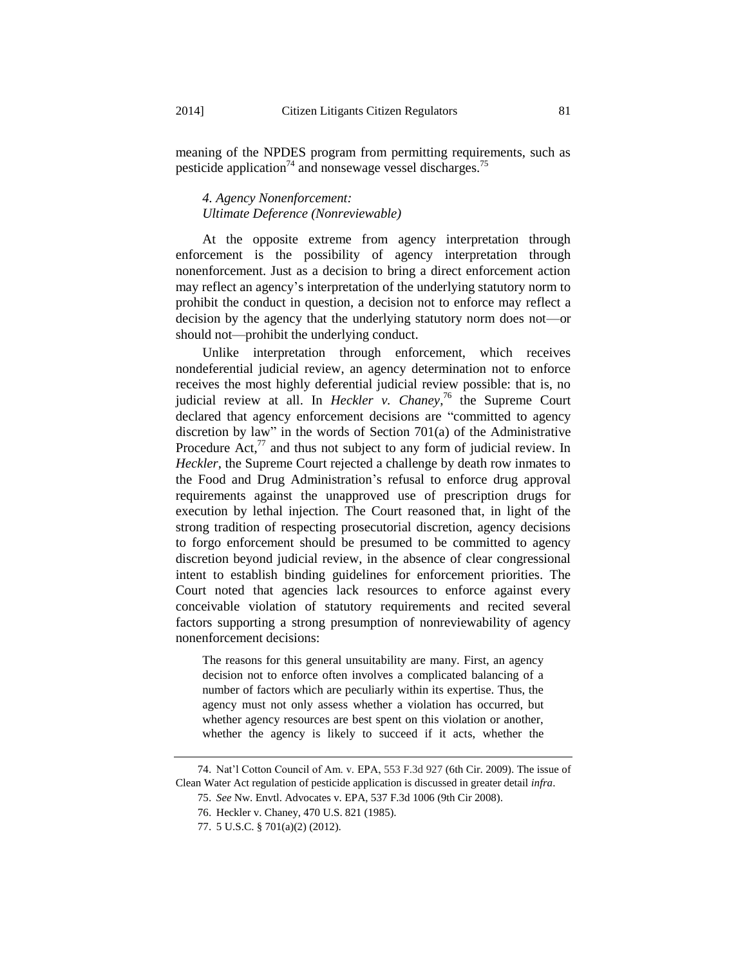meaning of the NPDES program from permitting requirements, such as pesticide application<sup>74</sup> and nonsewage vessel discharges.<sup>75</sup>

#### *4. Agency Nonenforcement: Ultimate Deference (Nonreviewable)*

At the opposite extreme from agency interpretation through enforcement is the possibility of agency interpretation through nonenforcement. Just as a decision to bring a direct enforcement action may reflect an agency's interpretation of the underlying statutory norm to prohibit the conduct in question, a decision not to enforce may reflect a decision by the agency that the underlying statutory norm does not—or should not—prohibit the underlying conduct.

Unlike interpretation through enforcement, which receives nondeferential judicial review, an agency determination not to enforce receives the most highly deferential judicial review possible: that is, no judicial review at all. In *Heckler v. Chaney*, <sup>76</sup> the Supreme Court declared that agency enforcement decisions are "committed to agency discretion by law" in the words of Section 701(a) of the Administrative Procedure Act, $^{77}$  and thus not subject to any form of judicial review. In *Heckler*, the Supreme Court rejected a challenge by death row inmates to the Food and Drug Administration's refusal to enforce drug approval requirements against the unapproved use of prescription drugs for execution by lethal injection. The Court reasoned that, in light of the strong tradition of respecting prosecutorial discretion, agency decisions to forgo enforcement should be presumed to be committed to agency discretion beyond judicial review, in the absence of clear congressional intent to establish binding guidelines for enforcement priorities. The Court noted that agencies lack resources to enforce against every conceivable violation of statutory requirements and recited several factors supporting a strong presumption of nonreviewability of agency nonenforcement decisions:

The reasons for this general unsuitability are many. First, an agency decision not to enforce often involves a complicated balancing of a number of factors which are peculiarly within its expertise. Thus, the agency must not only assess whether a violation has occurred, but whether agency resources are best spent on this violation or another, whether the agency is likely to succeed if it acts, whether the

<sup>74.</sup> Nat'l Cotton Council of Am. v. EPA, 553 F.3d 927 (6th Cir. 2009). The issue of Clean Water Act regulation of pesticide application is discussed in greater detail *infra*.

<sup>75.</sup> *See* Nw. Envtl. Advocates v. EPA, 537 F.3d 1006 (9th Cir 2008).

<sup>76.</sup> Heckler v. Chaney, 470 U.S. 821 (1985).

<sup>77.</sup> 5 U.S.C. § 701(a)(2) (2012).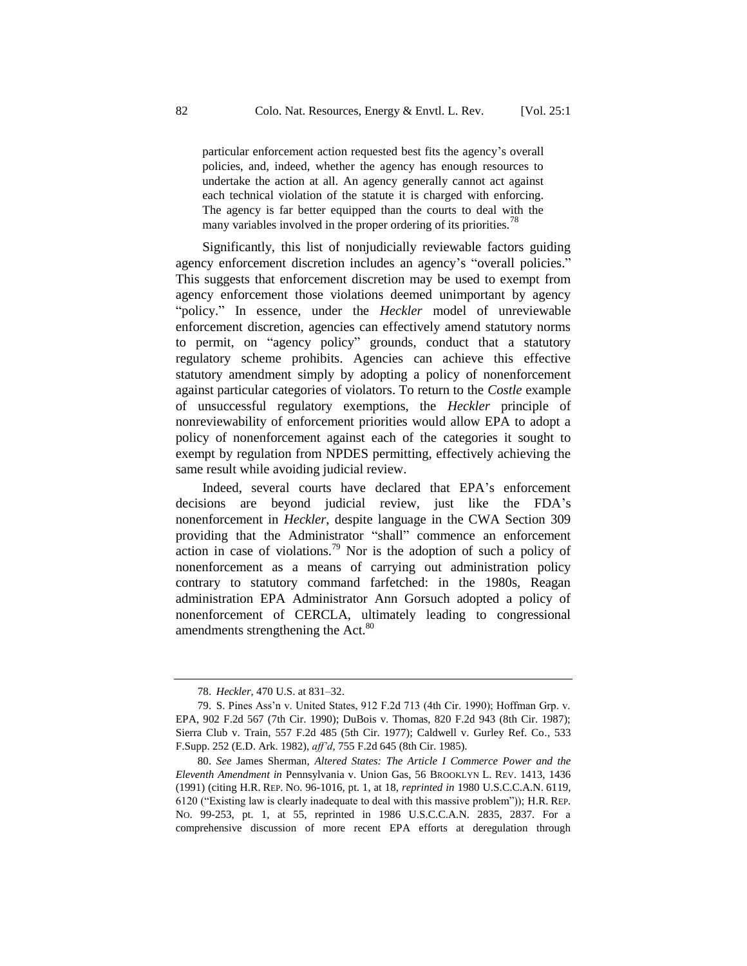particular enforcement action requested best fits the agency's overall policies, and, indeed, whether the agency has enough resources to undertake the action at all. An agency generally cannot act against each technical violation of the statute it is charged with enforcing. The agency is far better equipped than the courts to deal with the many variables involved in the proper ordering of its priorities.<sup>78</sup>

Significantly, this list of nonjudicially reviewable factors guiding agency enforcement discretion includes an agency's "overall policies." This suggests that enforcement discretion may be used to exempt from agency enforcement those violations deemed unimportant by agency "policy." In essence, under the *Heckler* model of unreviewable enforcement discretion, agencies can effectively amend statutory norms to permit, on "agency policy" grounds, conduct that a statutory regulatory scheme prohibits. Agencies can achieve this effective statutory amendment simply by adopting a policy of nonenforcement against particular categories of violators. To return to the *Costle* example of unsuccessful regulatory exemptions, the *Heckler* principle of nonreviewability of enforcement priorities would allow EPA to adopt a policy of nonenforcement against each of the categories it sought to exempt by regulation from NPDES permitting, effectively achieving the same result while avoiding judicial review.

Indeed, several courts have declared that EPA's enforcement decisions are beyond judicial review, just like the FDA's nonenforcement in *Heckler*, despite language in the CWA Section 309 providing that the Administrator "shall" commence an enforcement action in case of violations.<sup>79</sup> Nor is the adoption of such a policy of nonenforcement as a means of carrying out administration policy contrary to statutory command farfetched: in the 1980s, Reagan administration EPA Administrator Ann Gorsuch adopted a policy of nonenforcement of CERCLA, ultimately leading to congressional amendments strengthening the Act.<sup>80</sup>

<sup>78.</sup> *Heckler*, 470 U.S. at 831–32.

<sup>79.</sup> S. Pines Ass'n v. United States, 912 F.2d 713 (4th Cir. 1990); Hoffman Grp. v. EPA, 902 F.2d 567 (7th Cir. 1990); DuBois v. Thomas, 820 F.2d 943 (8th Cir. 1987); Sierra Club v. Train, 557 F.2d 485 (5th Cir. 1977); Caldwell v. Gurley Ref. Co*.*, 533 F.Supp. 252 (E.D. Ark. 1982), *aff'd*, 755 F.2d 645 (8th Cir. 1985).

<sup>80.</sup> *See* James Sherman, *Altered States: The Article I Commerce Power and the Eleventh Amendment in* Pennsylvania v. Union Gas, 56 BROOKLYN L. REV. 1413, 1436 (1991) (citing H.R. REP. NO. 96-1016, pt. 1, at 18, *reprinted in* 1980 U.S.C.C.A.N. 6119, 6120 ("Existing law is clearly inadequate to deal with this massive problem")); H.R. REP. NO. 99-253, pt. 1, at 55, reprinted in 1986 U.S.C.C.A.N. 2835, 2837. For a comprehensive discussion of more recent EPA efforts at deregulation through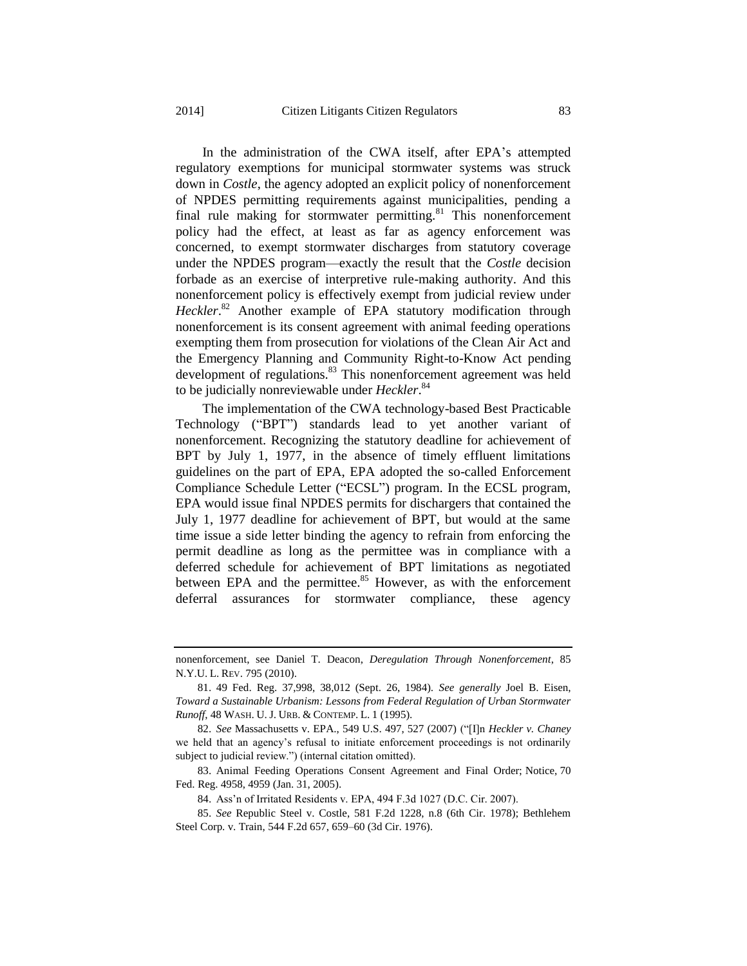In the administration of the CWA itself, after EPA's attempted regulatory exemptions for municipal stormwater systems was struck down in *Costle*, the agency adopted an explicit policy of nonenforcement of NPDES permitting requirements against municipalities, pending a final rule making for stormwater permitting.<sup>81</sup> This nonenforcement policy had the effect, at least as far as agency enforcement was concerned, to exempt stormwater discharges from statutory coverage under the NPDES program—exactly the result that the *Costle* decision forbade as an exercise of interpretive rule-making authority. And this nonenforcement policy is effectively exempt from judicial review under Heckler.<sup>82</sup> Another example of EPA statutory modification through nonenforcement is its consent agreement with animal feeding operations exempting them from prosecution for violations of the Clean Air Act and the Emergency Planning and Community Right-to-Know Act pending development of regulations.<sup>83</sup> This nonenforcement agreement was held to be judicially nonreviewable under *Heckler*. 84

The implementation of the CWA technology-based Best Practicable Technology ("BPT") standards lead to yet another variant of nonenforcement. Recognizing the statutory deadline for achievement of BPT by July 1, 1977, in the absence of timely effluent limitations guidelines on the part of EPA, EPA adopted the so-called Enforcement Compliance Schedule Letter ("ECSL") program. In the ECSL program, EPA would issue final NPDES permits for dischargers that contained the July 1, 1977 deadline for achievement of BPT, but would at the same time issue a side letter binding the agency to refrain from enforcing the permit deadline as long as the permittee was in compliance with a deferred schedule for achievement of BPT limitations as negotiated between EPA and the permittee.<sup>85</sup> However, as with the enforcement deferral assurances for stormwater compliance, these agency

nonenforcement, see Daniel T. Deacon, *Deregulation Through Nonenforcement*, 85 N.Y.U. L. REV. 795 (2010).

<sup>81.</sup> 49 Fed. Reg. 37,998, 38,012 (Sept. 26, 1984). *See generally* Joel B. Eisen, *Toward a Sustainable Urbanism: Lessons from Federal Regulation of Urban Stormwater Runoff*, 48 WASH. U. J. URB. & CONTEMP. L. 1 (1995).

<sup>82.</sup> *See* Massachusetts v. EPA., 549 U.S. 497, 527 (2007) ("[I]n *Heckler v. Chaney* we held that an agency's refusal to initiate enforcement proceedings is not ordinarily subject to judicial review.") (internal citation omitted).

<sup>83.</sup> Animal Feeding Operations Consent Agreement and Final Order; Notice, 70 Fed. Reg. 4958, 4959 (Jan. 31, 2005).

<sup>84.</sup> Ass'n of Irritated Residents v. EPA, 494 F.3d 1027 (D.C. Cir. 2007).

<sup>85.</sup> *See* Republic Steel v. Costle, 581 F.2d 1228, n.8 (6th Cir. 1978); Bethlehem Steel Corp. v. Train, 544 F.2d 657, 659–60 (3d Cir. 1976).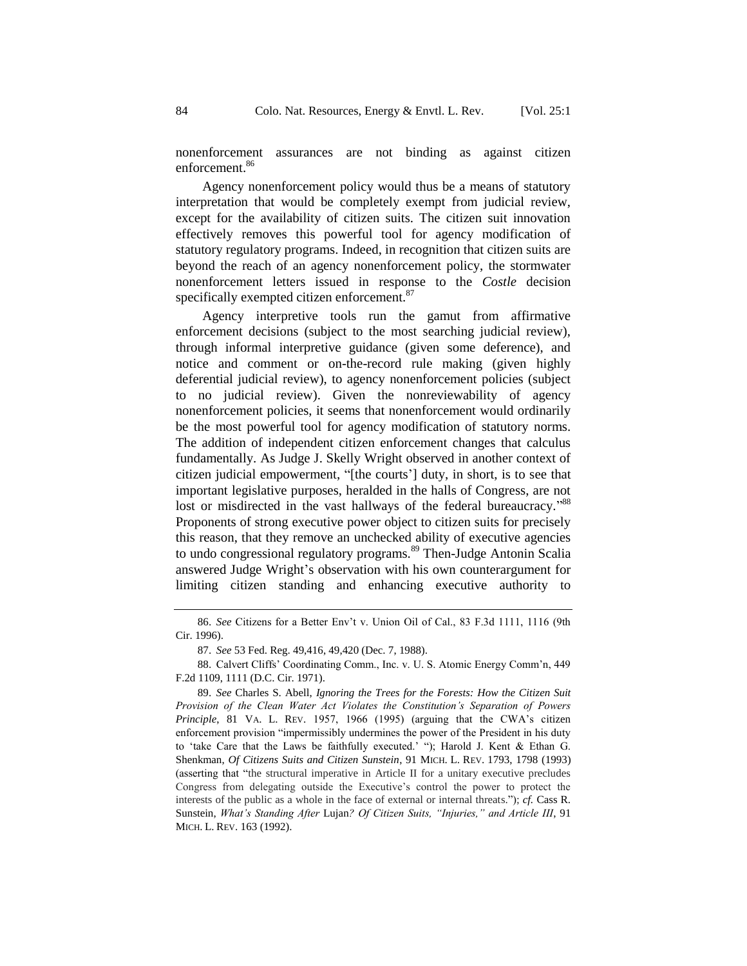Agency nonenforcement policy would thus be a means of statutory interpretation that would be completely exempt from judicial review, except for the availability of citizen suits. The citizen suit innovation effectively removes this powerful tool for agency modification of statutory regulatory programs. Indeed, in recognition that citizen suits are beyond the reach of an agency nonenforcement policy, the stormwater nonenforcement letters issued in response to the *Costle* decision specifically exempted citizen enforcement.<sup>87</sup>

Agency interpretive tools run the gamut from affirmative enforcement decisions (subject to the most searching judicial review), through informal interpretive guidance (given some deference), and notice and comment or on-the-record rule making (given highly deferential judicial review), to agency nonenforcement policies (subject to no judicial review). Given the nonreviewability of agency nonenforcement policies, it seems that nonenforcement would ordinarily be the most powerful tool for agency modification of statutory norms. The addition of independent citizen enforcement changes that calculus fundamentally. As Judge J. Skelly Wright observed in another context of citizen judicial empowerment, "[the courts'] duty, in short, is to see that important legislative purposes, heralded in the halls of Congress, are not lost or misdirected in the vast hallways of the federal bureaucracy."<sup>88</sup> Proponents of strong executive power object to citizen suits for precisely this reason, that they remove an unchecked ability of executive agencies to undo congressional regulatory programs.<sup>89</sup> Then-Judge Antonin Scalia answered Judge Wright's observation with his own counterargument for limiting citizen standing and enhancing executive authority to

<sup>86.</sup> *See* Citizens for a Better Env't v. Union Oil of Cal., 83 F.3d 1111, 1116 (9th Cir. 1996).

<sup>87.</sup> *See* 53 Fed. Reg. 49,416, 49,420 (Dec. 7, 1988).

<sup>88.</sup> Calvert Cliffs' Coordinating Comm., Inc. v. U. S. Atomic Energy Comm'n, 449 F.2d 1109, 1111 (D.C. Cir. 1971).

<sup>89.</sup> *See* Charles S. Abell, *Ignoring the Trees for the Forests: How the Citizen Suit Provision of the Clean Water Act Violates the Constitution's Separation of Powers Principle*, 81 VA. L. REV. 1957, 1966 (1995) (arguing that the CWA's citizen enforcement provision "impermissibly undermines the power of the President in his duty to 'take Care that the Laws be faithfully executed.' "); Harold J. Kent & Ethan G. Shenkman, *Of Citizens Suits and Citizen Sunstein*, 91 MICH. L. REV. 1793, 1798 (1993) (asserting that "the structural imperative in Article II for a unitary executive precludes Congress from delegating outside the Executive's control the power to protect the interests of the public as a whole in the face of external or internal threats."); *cf.* Cass R. Sunstein, *What's Standing After* Lujan*? Of Citizen Suits, "Injuries," and Article III*, 91 MICH. L. REV. 163 (1992).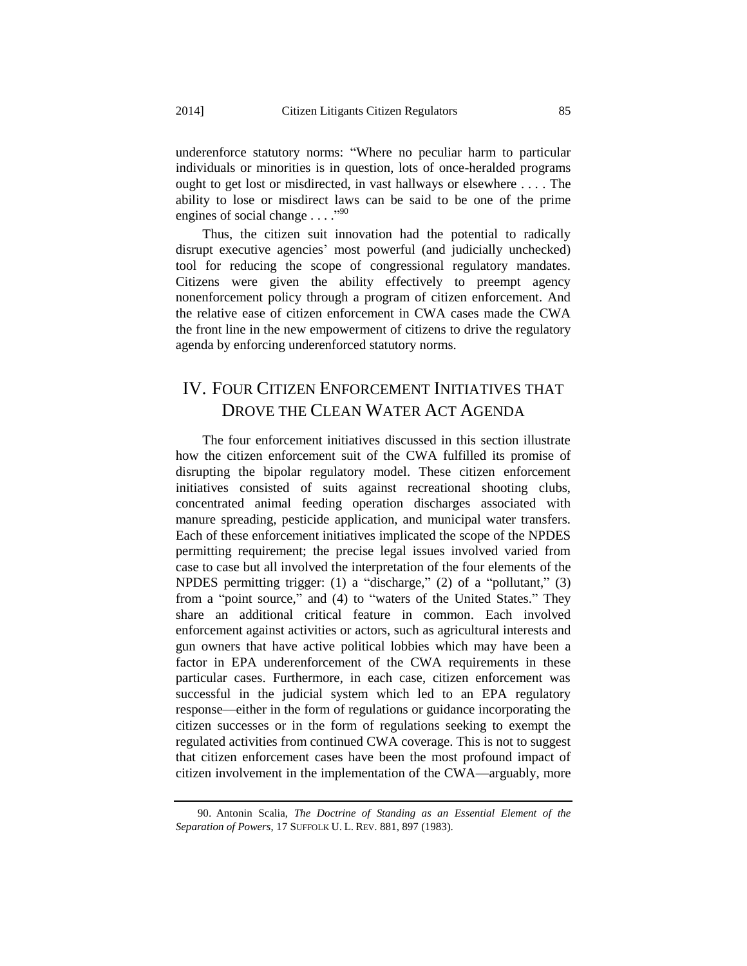underenforce statutory norms: "Where no peculiar harm to particular individuals or minorities is in question, lots of once-heralded programs ought to get lost or misdirected, in vast hallways or elsewhere . . . . The ability to lose or misdirect laws can be said to be one of the prime engines of social change  $\dots$ ."

Thus, the citizen suit innovation had the potential to radically disrupt executive agencies' most powerful (and judicially unchecked) tool for reducing the scope of congressional regulatory mandates. Citizens were given the ability effectively to preempt agency nonenforcement policy through a program of citizen enforcement. And the relative ease of citizen enforcement in CWA cases made the CWA the front line in the new empowerment of citizens to drive the regulatory agenda by enforcing underenforced statutory norms.

## IV. FOUR CITIZEN ENFORCEMENT INITIATIVES THAT DROVE THE CLEAN WATER ACT AGENDA

The four enforcement initiatives discussed in this section illustrate how the citizen enforcement suit of the CWA fulfilled its promise of disrupting the bipolar regulatory model. These citizen enforcement initiatives consisted of suits against recreational shooting clubs, concentrated animal feeding operation discharges associated with manure spreading, pesticide application, and municipal water transfers. Each of these enforcement initiatives implicated the scope of the NPDES permitting requirement; the precise legal issues involved varied from case to case but all involved the interpretation of the four elements of the NPDES permitting trigger: (1) a "discharge," (2) of a "pollutant," (3) from a "point source," and (4) to "waters of the United States." They share an additional critical feature in common. Each involved enforcement against activities or actors, such as agricultural interests and gun owners that have active political lobbies which may have been a factor in EPA underenforcement of the CWA requirements in these particular cases. Furthermore, in each case, citizen enforcement was successful in the judicial system which led to an EPA regulatory response—either in the form of regulations or guidance incorporating the citizen successes or in the form of regulations seeking to exempt the regulated activities from continued CWA coverage. This is not to suggest that citizen enforcement cases have been the most profound impact of citizen involvement in the implementation of the CWA—arguably, more

<sup>90.</sup> Antonin Scalia, *The Doctrine of Standing as an Essential Element of the Separation of Powers*, 17 SUFFOLK U. L. REV. 881, 897 (1983).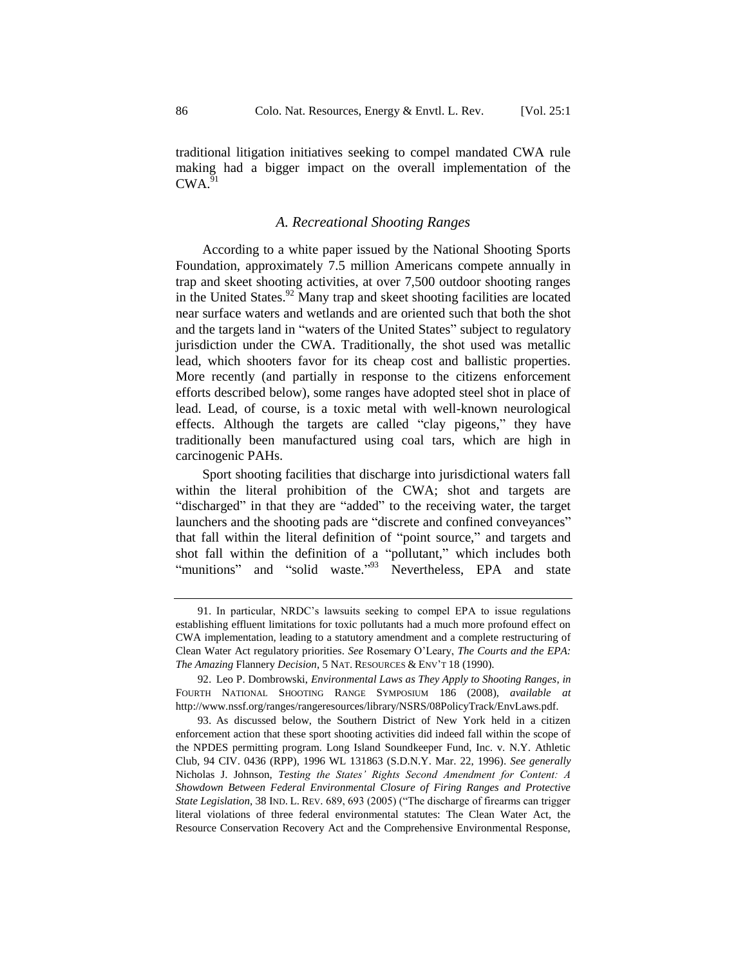traditional litigation initiatives seeking to compel mandated CWA rule making had a bigger impact on the overall implementation of the  $CWA$ <sup>91</sup>

#### <span id="page-25-1"></span>*A. Recreational Shooting Ranges*

According to a white paper issued by the National Shooting Sports Foundation, approximately 7.5 million Americans compete annually in trap and skeet shooting activities, at over 7,500 outdoor shooting ranges in the United States. $92$  Many trap and skeet shooting facilities are located near surface waters and wetlands and are oriented such that both the shot and the targets land in "waters of the United States" subject to regulatory jurisdiction under the CWA. Traditionally, the shot used was metallic lead, which shooters favor for its cheap cost and ballistic properties. More recently (and partially in response to the citizens enforcement efforts described below), some ranges have adopted steel shot in place of lead. Lead, of course, is a toxic metal with well-known neurological effects. Although the targets are called "clay pigeons," they have traditionally been manufactured using coal tars, which are high in carcinogenic PAHs.

Sport shooting facilities that discharge into jurisdictional waters fall within the literal prohibition of the CWA; shot and targets are "discharged" in that they are "added" to the receiving water, the target launchers and the shooting pads are "discrete and confined conveyances" that fall within the literal definition of "point source," and targets and shot fall within the definition of a "pollutant," which includes both "munitions" and "solid waste."<sup>93</sup> Nevertheless, EPA and state

<span id="page-25-0"></span><sup>91.</sup> In particular, NRDC's lawsuits seeking to compel EPA to issue regulations establishing effluent limitations for toxic pollutants had a much more profound effect on CWA implementation, leading to a statutory amendment and a complete restructuring of Clean Water Act regulatory priorities. *See* Rosemary O'Leary, *The Courts and the EPA: The Amazing* Flannery *Decision*, 5 NAT. RESOURCES & ENV'T 18 (1990).

<sup>92.</sup> Leo P. Dombrowski, *Environmental Laws as They Apply to Shooting Ranges*, *in*  FOURTH NATIONAL SHOOTING RANGE SYMPOSIUM 186 (2008), *available at* http://www.nssf.org/ranges/rangeresources/library/NSRS/08PolicyTrack/EnvLaws.pdf.

<sup>93.</sup> As discussed below, the Southern District of New York held in a citizen enforcement action that these sport shooting activities did indeed fall within the scope of the NPDES permitting program. Long Island Soundkeeper Fund, Inc. v. N.Y. Athletic Club, 94 CIV. 0436 (RPP), 1996 WL 131863 (S.D.N.Y. Mar. 22, 1996). *See generally*  Nicholas J. Johnson, *Testing the States' Rights Second Amendment for Content: A Showdown Between Federal Environmental Closure of Firing Ranges and Protective State Legislation*, 38 IND. L. REV. 689, 693 (2005) ("The discharge of firearms can trigger literal violations of three federal environmental statutes: The Clean Water Act, the Resource Conservation Recovery Act and the Comprehensive Environmental Response,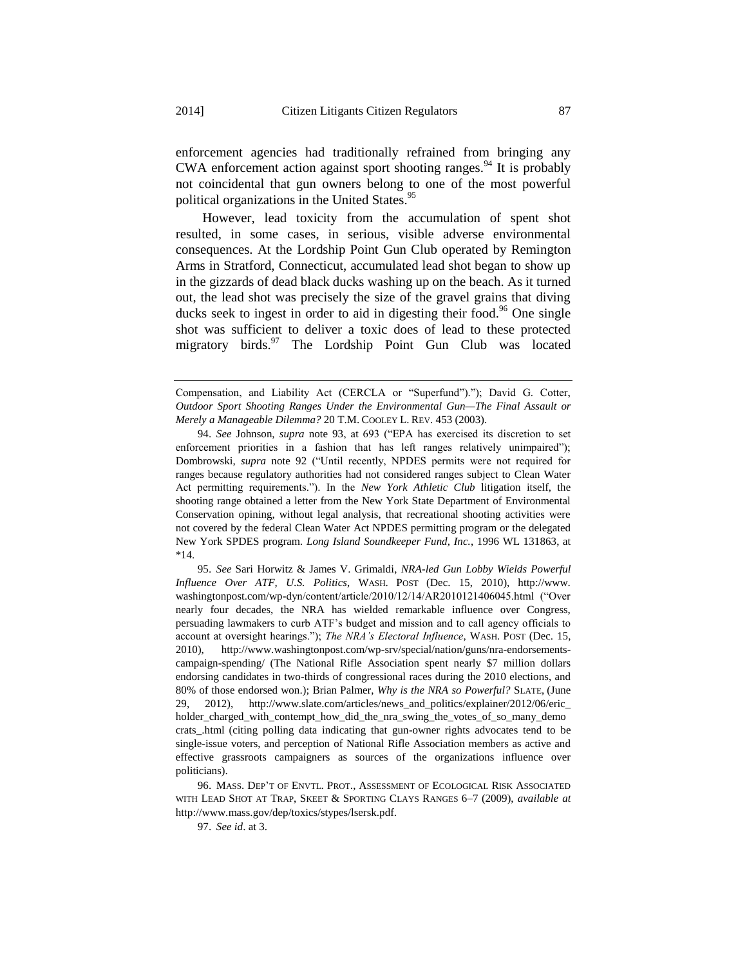enforcement agencies had traditionally refrained from bringing any CWA enforcement action against sport shooting ranges.<sup>94</sup> It is probably not coincidental that gun owners belong to one of the most powerful political organizations in the United States.<sup>95</sup>

However, lead toxicity from the accumulation of spent shot resulted, in some cases, in serious, visible adverse environmental consequences. At the Lordship Point Gun Club operated by Remington Arms in Stratford, Connecticut, accumulated lead shot began to show up in the gizzards of dead black ducks washing up on the beach. As it turned out, the lead shot was precisely the size of the gravel grains that diving ducks seek to ingest in order to aid in digesting their food.<sup>96</sup> One single shot was sufficient to deliver a toxic does of lead to these protected migratory birds.<sup>97</sup> The Lordship Point Gun Club was located

94. *See* Johnson, *supra* note [93,](#page-25-0) at 693 ("EPA has exercised its discretion to set enforcement priorities in a fashion that has left ranges relatively unimpaired"); Dombrowski, *supra* note [92](#page-25-1) ("Until recently, NPDES permits were not required for ranges because regulatory authorities had not considered ranges subject to Clean Water Act permitting requirements."). In the *New York Athletic Club* litigation itself, the shooting range obtained a letter from the New York State Department of Environmental Conservation opining, without legal analysis, that recreational shooting activities were not covered by the federal Clean Water Act NPDES permitting program or the delegated New York SPDES program. *Long Island Soundkeeper Fund, Inc.*, 1996 WL 131863, at \*14.

95. *See* Sari Horwitz & James V. Grimaldi, *NRA-led Gun Lobby Wields Powerful Influence Over ATF, U.S. Politics*, WASH. POST (Dec. 15, 2010), http://www. washingtonpost.com/wp-dyn/content/article/2010/12/14/AR2010121406045.html ("Over nearly four decades, the NRA has wielded remarkable influence over Congress, persuading lawmakers to curb ATF's budget and mission and to call agency officials to account at oversight hearings."); *The NRA's Electoral Influence*, WASH. POST (Dec. 15, 2010), http://www.washingtonpost.com/wp-srv/special/nation/guns/nra-endorsementscampaign-spending/ (The National Rifle Association spent nearly \$7 million dollars endorsing candidates in two-thirds of congressional races during the 2010 elections, and 80% of those endorsed won.); Brian Palmer, *Why is the NRA so Powerful?* SLATE, (June 29, 2012), http://www.slate.com/articles/news\_and\_politics/explainer/2012/06/eric\_ holder\_charged\_with\_contempt\_how\_did\_the\_nra\_swing\_the\_votes\_of\_so\_many\_demo crats\_.html (citing polling data indicating that gun-owner rights advocates tend to be single-issue voters, and perception of National Rifle Association members as active and effective grassroots campaigners as sources of the organizations influence over politicians).

96. MASS. DEP'T OF ENVTL. PROT., ASSESSMENT OF ECOLOGICAL RISK ASSOCIATED WITH LEAD SHOT AT TRAP, SKEET & SPORTING CLAYS RANGES 6–7 (2009), *available at*  http://www.mass.gov/dep/toxics/stypes/lsersk.pdf.

97. *See id*. at 3.

Compensation, and Liability Act (CERCLA or "Superfund")."); David G. Cotter, *Outdoor Sport Shooting Ranges Under the Environmental Gun—The Final Assault or Merely a Manageable Dilemma?* 20 T.M. COOLEY L. REV. 453 (2003).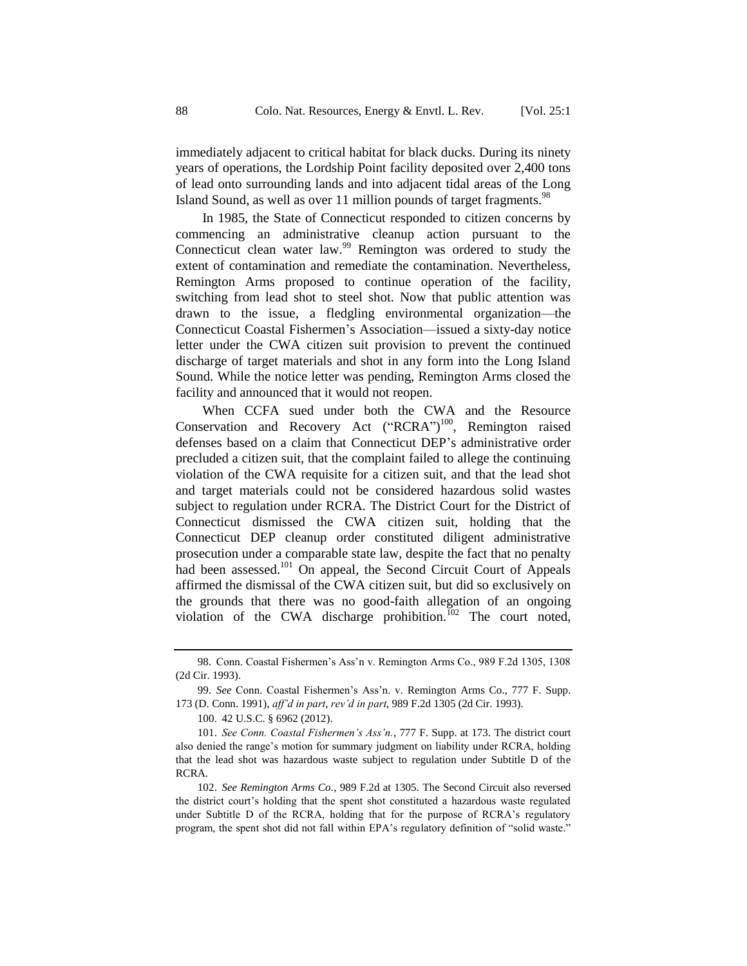immediately adjacent to critical habitat for black ducks. During its ninety years of operations, the Lordship Point facility deposited over 2,400 tons of lead onto surrounding lands and into adjacent tidal areas of the Long Island Sound, as well as over 11 million pounds of target fragments.<sup>98</sup>

In 1985, the State of Connecticut responded to citizen concerns by commencing an administrative cleanup action pursuant to the Connecticut clean water law.<sup>99</sup> Remington was ordered to study the extent of contamination and remediate the contamination. Nevertheless, Remington Arms proposed to continue operation of the facility, switching from lead shot to steel shot. Now that public attention was drawn to the issue, a fledgling environmental organization—the Connecticut Coastal Fishermen's Association—issued a sixty-day notice letter under the CWA citizen suit provision to prevent the continued discharge of target materials and shot in any form into the Long Island Sound. While the notice letter was pending, Remington Arms closed the facility and announced that it would not reopen.

When CCFA sued under both the CWA and the Resource Conservation and Recovery Act ("RCRA")<sup>100</sup>, Remington raised defenses based on a claim that Connecticut DEP's administrative order precluded a citizen suit, that the complaint failed to allege the continuing violation of the CWA requisite for a citizen suit, and that the lead shot and target materials could not be considered hazardous solid wastes subject to regulation under RCRA. The District Court for the District of Connecticut dismissed the CWA citizen suit, holding that the Connecticut DEP cleanup order constituted diligent administrative prosecution under a comparable state law, despite the fact that no penalty had been assessed.<sup>101</sup> On appeal, the Second Circuit Court of Appeals affirmed the dismissal of the CWA citizen suit, but did so exclusively on the grounds that there was no good-faith allegation of an ongoing violation of the CWA discharge prohibition.<sup>102</sup> The court noted,

<sup>98.</sup> Conn. Coastal Fishermen's Ass'n v. Remington Arms Co., 989 F.2d 1305, 1308 (2d Cir. 1993).

<sup>99.</sup> *See* Conn. Coastal Fishermen's Ass'n. v. Remington Arms Co., 777 F. Supp. 173 (D. Conn. 1991), *aff'd in part*, *rev'd in part*, 989 F.2d 1305 (2d Cir. 1993).

<sup>100.</sup> 42 U.S.C. § 6962 (2012).

<sup>101.</sup> *See Conn. Coastal Fishermen's Ass'n.*, 777 F. Supp. at 173. The district court also denied the range's motion for summary judgment on liability under RCRA, holding that the lead shot was hazardous waste subject to regulation under Subtitle D of the RCRA.

<sup>102.</sup> *See Remington Arms Co.*, 989 F.2d at 1305. The Second Circuit also reversed the district court's holding that the spent shot constituted a hazardous waste regulated under Subtitle D of the RCRA, holding that for the purpose of RCRA's regulatory program, the spent shot did not fall within EPA's regulatory definition of "solid waste."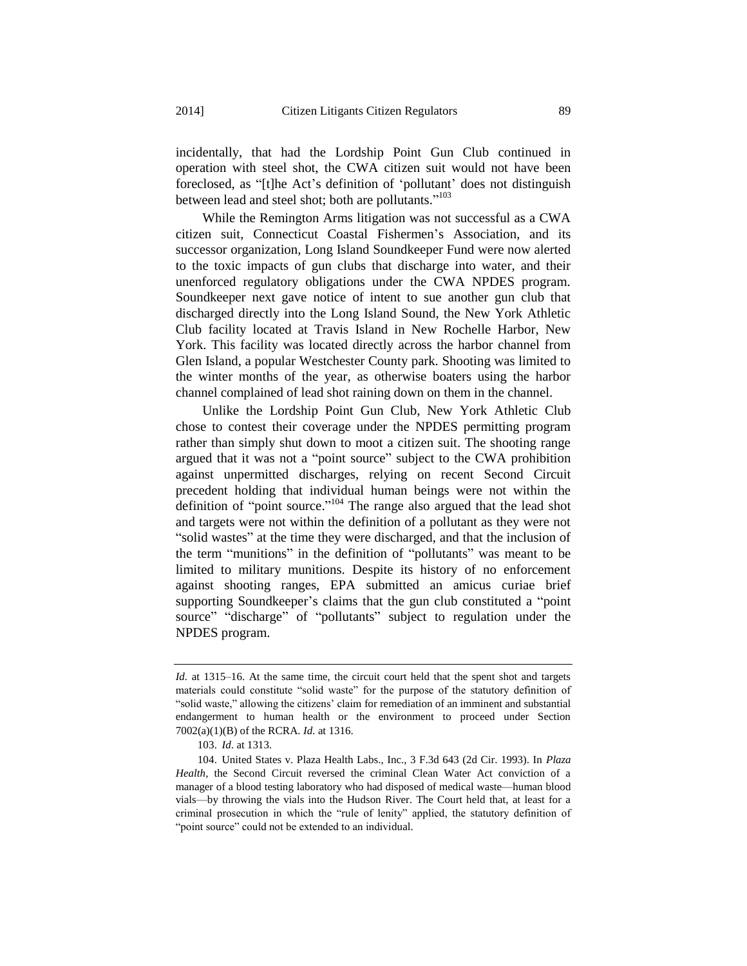incidentally, that had the Lordship Point Gun Club continued in operation with steel shot, the CWA citizen suit would not have been foreclosed, as "[t]he Act's definition of 'pollutant' does not distinguish between lead and steel shot; both are pollutants."<sup>103</sup>

While the Remington Arms litigation was not successful as a CWA citizen suit, Connecticut Coastal Fishermen's Association, and its successor organization, Long Island Soundkeeper Fund were now alerted to the toxic impacts of gun clubs that discharge into water, and their unenforced regulatory obligations under the CWA NPDES program. Soundkeeper next gave notice of intent to sue another gun club that discharged directly into the Long Island Sound, the New York Athletic Club facility located at Travis Island in New Rochelle Harbor, New York. This facility was located directly across the harbor channel from Glen Island, a popular Westchester County park. Shooting was limited to the winter months of the year, as otherwise boaters using the harbor channel complained of lead shot raining down on them in the channel.

Unlike the Lordship Point Gun Club, New York Athletic Club chose to contest their coverage under the NPDES permitting program rather than simply shut down to moot a citizen suit. The shooting range argued that it was not a "point source" subject to the CWA prohibition against unpermitted discharges, relying on recent Second Circuit precedent holding that individual human beings were not within the definition of "point source."<sup>104</sup> The range also argued that the lead shot and targets were not within the definition of a pollutant as they were not "solid wastes" at the time they were discharged, and that the inclusion of the term "munitions" in the definition of "pollutants" was meant to be limited to military munitions. Despite its history of no enforcement against shooting ranges, EPA submitted an amicus curiae brief supporting Soundkeeper's claims that the gun club constituted a "point source" "discharge" of "pollutants" subject to regulation under the NPDES program.

*Id.* at 1315–16. At the same time, the circuit court held that the spent shot and targets materials could constitute "solid waste" for the purpose of the statutory definition of "solid waste," allowing the citizens' claim for remediation of an imminent and substantial endangerment to human health or the environment to proceed under Section 7002(a)(1)(B) of the RCRA. *Id.* at 1316.

<sup>103.</sup> *Id*. at 1313.

<sup>104.</sup> United States v. Plaza Health Labs., Inc., 3 F.3d 643 (2d Cir. 1993). In *Plaza Health*, the Second Circuit reversed the criminal Clean Water Act conviction of a manager of a blood testing laboratory who had disposed of medical waste—human blood vials—by throwing the vials into the Hudson River. The Court held that, at least for a criminal prosecution in which the "rule of lenity" applied, the statutory definition of "point source" could not be extended to an individual.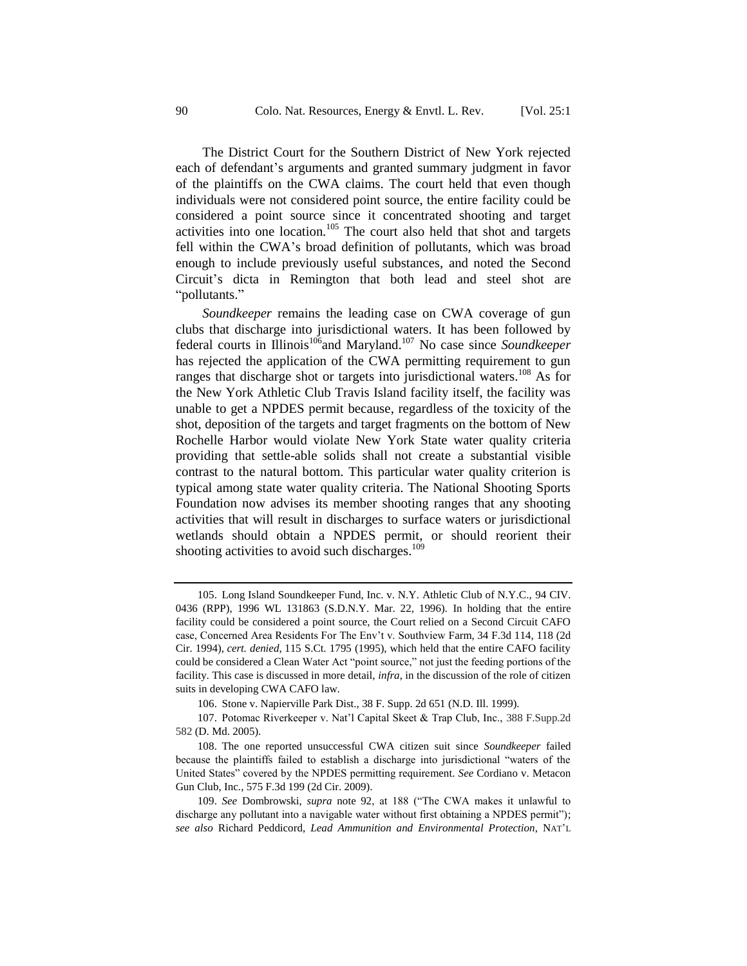The District Court for the Southern District of New York rejected each of defendant's arguments and granted summary judgment in favor of the plaintiffs on the CWA claims. The court held that even though individuals were not considered point source, the entire facility could be considered a point source since it concentrated shooting and target activities into one location.<sup>105</sup> The court also held that shot and targets fell within the CWA's broad definition of pollutants, which was broad enough to include previously useful substances, and noted the Second Circuit's dicta in Remington that both lead and steel shot are "pollutants."

*Soundkeeper* remains the leading case on CWA coverage of gun clubs that discharge into jurisdictional waters. It has been followed by federal courts in Illinois<sup>106</sup>and Maryland.<sup>107</sup> No case since *Soundkeeper* has rejected the application of the CWA permitting requirement to gun ranges that discharge shot or targets into jurisdictional waters.<sup>108</sup> As for the New York Athletic Club Travis Island facility itself, the facility was unable to get a NPDES permit because, regardless of the toxicity of the shot, deposition of the targets and target fragments on the bottom of New Rochelle Harbor would violate New York State water quality criteria providing that settle-able solids shall not create a substantial visible contrast to the natural bottom. This particular water quality criterion is typical among state water quality criteria. The National Shooting Sports Foundation now advises its member shooting ranges that any shooting activities that will result in discharges to surface waters or jurisdictional wetlands should obtain a NPDES permit, or should reorient their shooting activities to avoid such discharges. $109$ 

<sup>105.</sup> Long Island Soundkeeper Fund, Inc. v. N.Y. Athletic Club of N.Y.C., 94 CIV. 0436 (RPP), 1996 WL 131863 (S.D.N.Y. Mar. 22, 1996). In holding that the entire facility could be considered a point source, the Court relied on a Second Circuit CAFO case, Concerned Area Residents For The Env't v. Southview Farm, 34 F.3d 114, 118 (2d Cir. 1994), *cert. denied*, 115 S.Ct. 1795 (1995), which held that the entire CAFO facility could be considered a Clean Water Act "point source," not just the feeding portions of the facility. This case is discussed in more detail, *infra*, in the discussion of the role of citizen suits in developing CWA CAFO law.

<sup>106.</sup> Stone v. Napierville Park Dist., 38 F. Supp. 2d 651 (N.D. Ill. 1999).

<sup>107.</sup> Potomac Riverkeeper v. Nat'l Capital Skeet & Trap Club, Inc., 388 F.Supp.2d 582 (D. Md. 2005).

<sup>108.</sup> The one reported unsuccessful CWA citizen suit since *Soundkeeper* failed because the plaintiffs failed to establish a discharge into jurisdictional "waters of the United States" covered by the NPDES permitting requirement. *See* Cordiano v. Metacon Gun Club, Inc*.*, 575 F.3d 199 (2d Cir. 2009).

<sup>109.</sup> *See* Dombrowski, *supra* note [92,](#page-25-1) at 188 ("The CWA makes it unlawful to discharge any pollutant into a navigable water without first obtaining a NPDES permit"); *see also* Richard Peddicord, *Lead Ammunition and Environmental Protection*, NAT'L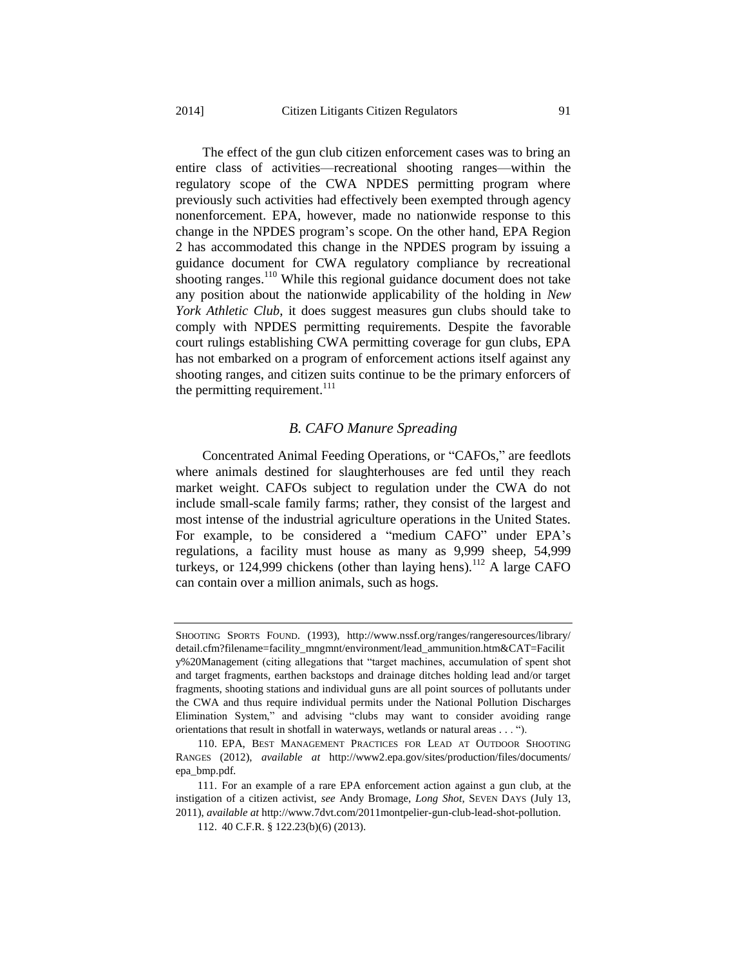The effect of the gun club citizen enforcement cases was to bring an entire class of activities—recreational shooting ranges—within the regulatory scope of the CWA NPDES permitting program where previously such activities had effectively been exempted through agency nonenforcement. EPA, however, made no nationwide response to this change in the NPDES program's scope. On the other hand, EPA Region 2 has accommodated this change in the NPDES program by issuing a guidance document for CWA regulatory compliance by recreational shooting ranges.<sup>110</sup> While this regional guidance document does not take any position about the nationwide applicability of the holding in *New York Athletic Club*, it does suggest measures gun clubs should take to comply with NPDES permitting requirements. Despite the favorable court rulings establishing CWA permitting coverage for gun clubs, EPA has not embarked on a program of enforcement actions itself against any shooting ranges, and citizen suits continue to be the primary enforcers of the permitting requirement.<sup>111</sup>

#### *B. CAFO Manure Spreading*

Concentrated Animal Feeding Operations, or "CAFOs," are feedlots where animals destined for slaughterhouses are fed until they reach market weight. CAFOs subject to regulation under the CWA do not include small-scale family farms; rather, they consist of the largest and most intense of the industrial agriculture operations in the United States. For example, to be considered a "medium CAFO" under EPA's regulations, a facility must house as many as 9,999 sheep, 54,999 turkeys, or  $124,999$  chickens (other than laying hens).<sup>112</sup> A large CAFO can contain over a million animals, such as hogs.

SHOOTING SPORTS FOUND. (1993), http://www.nssf.org/ranges/rangeresources/library/ detail.cfm?filename=facility\_mngmnt/environment/lead\_ammunition.htm&CAT=Facilit y%20Management (citing allegations that "target machines, accumulation of spent shot and target fragments, earthen backstops and drainage ditches holding lead and/or target fragments, shooting stations and individual guns are all point sources of pollutants under the CWA and thus require individual permits under the National Pollution Discharges Elimination System," and advising "clubs may want to consider avoiding range orientations that result in shotfall in waterways, wetlands or natural areas . . . ").

<sup>110.</sup> EPA, BEST MANAGEMENT PRACTICES FOR LEAD AT OUTDOOR SHOOTING RANGES (2012), *available at* http://www2.epa.gov/sites/production/files/documents/ epa\_bmp.pdf.

<sup>111.</sup> For an example of a rare EPA enforcement action against a gun club, at the instigation of a citizen activist, *see* Andy Bromage, *Long Shot*, SEVEN DAYS (July 13, 2011), *available at* http://www.7dvt.com/2011montpelier-gun-club-lead-shot-pollution.

<sup>112.</sup> 40 C.F.R. § 122.23(b)(6) (2013).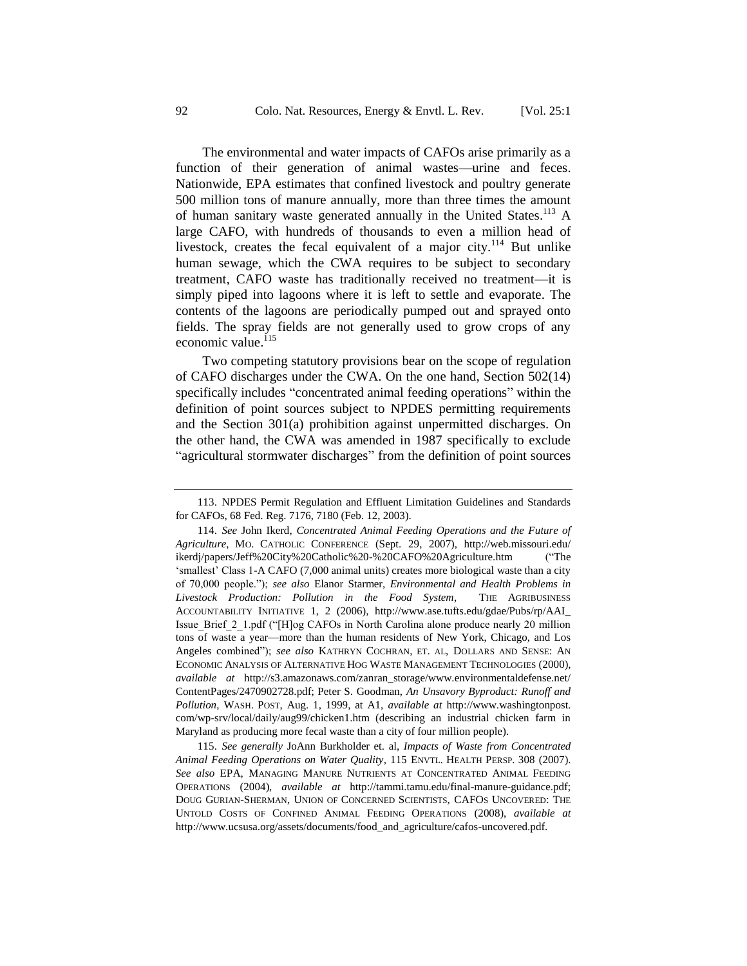The environmental and water impacts of CAFOs arise primarily as a function of their generation of animal wastes—urine and feces. Nationwide, EPA estimates that confined livestock and poultry generate 500 million tons of manure annually, more than three times the amount of human sanitary waste generated annually in the United States.<sup>113</sup> A large CAFO, with hundreds of thousands to even a million head of livestock, creates the fecal equivalent of a major city.<sup>114</sup> But unlike human sewage, which the CWA requires to be subject to secondary treatment, CAFO waste has traditionally received no treatment—it is simply piped into lagoons where it is left to settle and evaporate. The contents of the lagoons are periodically pumped out and sprayed onto fields. The spray fields are not generally used to grow crops of any economic value. $115$ 

Two competing statutory provisions bear on the scope of regulation of CAFO discharges under the CWA. On the one hand, Section 502(14) specifically includes "concentrated animal feeding operations" within the definition of point sources subject to NPDES permitting requirements and the Section 301(a) prohibition against unpermitted discharges. On the other hand, the CWA was amended in 1987 specifically to exclude "agricultural stormwater discharges" from the definition of point sources

115. *See generally* JoAnn Burkholder et. al, *Impacts of Waste from Concentrated Animal Feeding Operations on Water Quality*, 115 ENVTL. HEALTH PERSP. 308 (2007). *See also* EPA, MANAGING MANURE NUTRIENTS AT CONCENTRATED ANIMAL FEEDING OPERATIONS (2004), *available at* http://tammi.tamu.edu/final-manure-guidance.pdf; DOUG GURIAN-SHERMAN, UNION OF CONCERNED SCIENTISTS, CAFOS UNCOVERED: THE UNTOLD COSTS OF CONFINED ANIMAL FEEDING OPERATIONS (2008), *available at*  http://www.ucsusa.org/assets/documents/food\_and\_agriculture/cafos-uncovered.pdf.

<sup>113.</sup> NPDES Permit Regulation and Effluent Limitation Guidelines and Standards for CAFOs, 68 Fed. Reg. 7176, 7180 (Feb. 12, 2003).

<sup>114.</sup> *See* John Ikerd, *Concentrated Animal Feeding Operations and the Future of Agriculture*, MO. CATHOLIC CONFERENCE (Sept. 29, 2007), http://web.missouri.edu/ ikerdj/papers/Jeff%20City%20Catholic%20-%20CAFO%20Agriculture.htm ("The 'smallest' Class 1-A CAFO (7,000 animal units) creates more biological waste than a city of 70,000 people."); *see also* Elanor Starmer, *Environmental and Health Problems in Livestock Production: Pollution in the Food System*, THE AGRIBUSINESS ACCOUNTABILITY INITIATIVE 1, 2 (2006), http://www.ase.tufts.edu/gdae/Pubs/rp/AAI\_ Issue Brief 2 1.pdf ("[H]og CAFOs in North Carolina alone produce nearly 20 million tons of waste a year—more than the human residents of New York, Chicago, and Los Angeles combined"); *see also* KATHRYN COCHRAN, ET. AL, DOLLARS AND SENSE: AN ECONOMIC ANALYSIS OF ALTERNATIVE HOG WASTE MANAGEMENT TECHNOLOGIES (2000), *available at* http://s3.amazonaws.com/zanran\_storage/www.environmentaldefense.net/ ContentPages/2470902728.pdf; Peter S. Goodman, *An Unsavory Byproduct: Runoff and Pollution*, WASH. POST, Aug. 1, 1999, at A1, *available at* http://www.washingtonpost. com/wp-srv/local/daily/aug99/chicken1.htm (describing an industrial chicken farm in Maryland as producing more fecal waste than a city of four million people).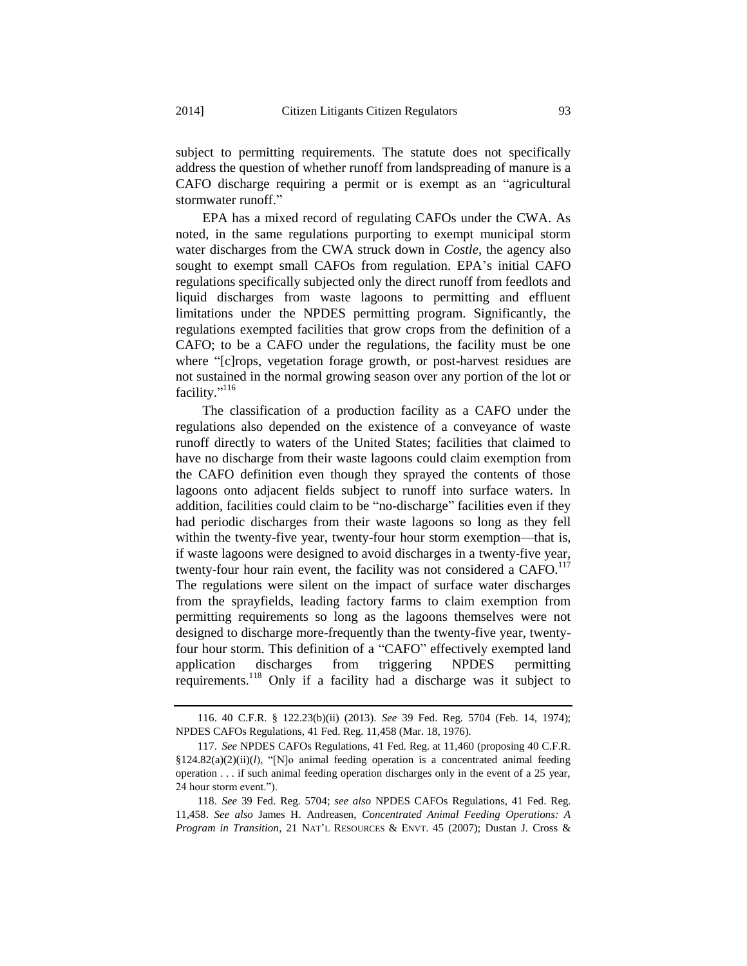subject to permitting requirements. The statute does not specifically address the question of whether runoff from landspreading of manure is a CAFO discharge requiring a permit or is exempt as an "agricultural stormwater runoff."

EPA has a mixed record of regulating CAFOs under the CWA. As noted, in the same regulations purporting to exempt municipal storm water discharges from the CWA struck down in *Costle*, the agency also sought to exempt small CAFOs from regulation. EPA's initial CAFO regulations specifically subjected only the direct runoff from feedlots and liquid discharges from waste lagoons to permitting and effluent limitations under the NPDES permitting program. Significantly, the regulations exempted facilities that grow crops from the definition of a CAFO; to be a CAFO under the regulations, the facility must be one where "[c]rops, vegetation forage growth, or post-harvest residues are not sustained in the normal growing season over any portion of the lot or facility." 116

The classification of a production facility as a CAFO under the regulations also depended on the existence of a conveyance of waste runoff directly to waters of the United States; facilities that claimed to have no discharge from their waste lagoons could claim exemption from the CAFO definition even though they sprayed the contents of those lagoons onto adjacent fields subject to runoff into surface waters. In addition, facilities could claim to be "no-discharge" facilities even if they had periodic discharges from their waste lagoons so long as they fell within the twenty-five year, twenty-four hour storm exemption—that is, if waste lagoons were designed to avoid discharges in a twenty-five year, twenty-four hour rain event, the facility was not considered a  $CAFO$ .<sup>117</sup> The regulations were silent on the impact of surface water discharges from the sprayfields, leading factory farms to claim exemption from permitting requirements so long as the lagoons themselves were not designed to discharge more-frequently than the twenty-five year, twentyfour hour storm. This definition of a "CAFO" effectively exempted land application discharges from triggering NPDES permitting requirements.<sup>118</sup> Only if a facility had a discharge was it subject to

<sup>116.</sup> 40 C.F.R. § 122.23(b)(ii) (2013). *See* 39 Fed. Reg. 5704 (Feb. 14, 1974); NPDES CAFOs Regulations, 41 Fed. Reg. 11,458 (Mar. 18, 1976).

<sup>117.</sup> *See* NPDES CAFOs Regulations, 41 Fed. Reg. at 11,460 (proposing 40 C.F.R.  $§124.82(a)(2)(ii)(l)$ , "[N]o animal feeding operation is a concentrated animal feeding operation . . . if such animal feeding operation discharges only in the event of a 25 year, 24 hour storm event.").

<sup>118.</sup> *See* 39 Fed. Reg. 5704; *see also* NPDES CAFOs Regulations, 41 Fed. Reg. 11,458. *See also* James H. Andreasen, *Concentrated Animal Feeding Operations: A Program in Transition*, 21 NAT'L RESOURCES & ENVT. 45 (2007); Dustan J. Cross &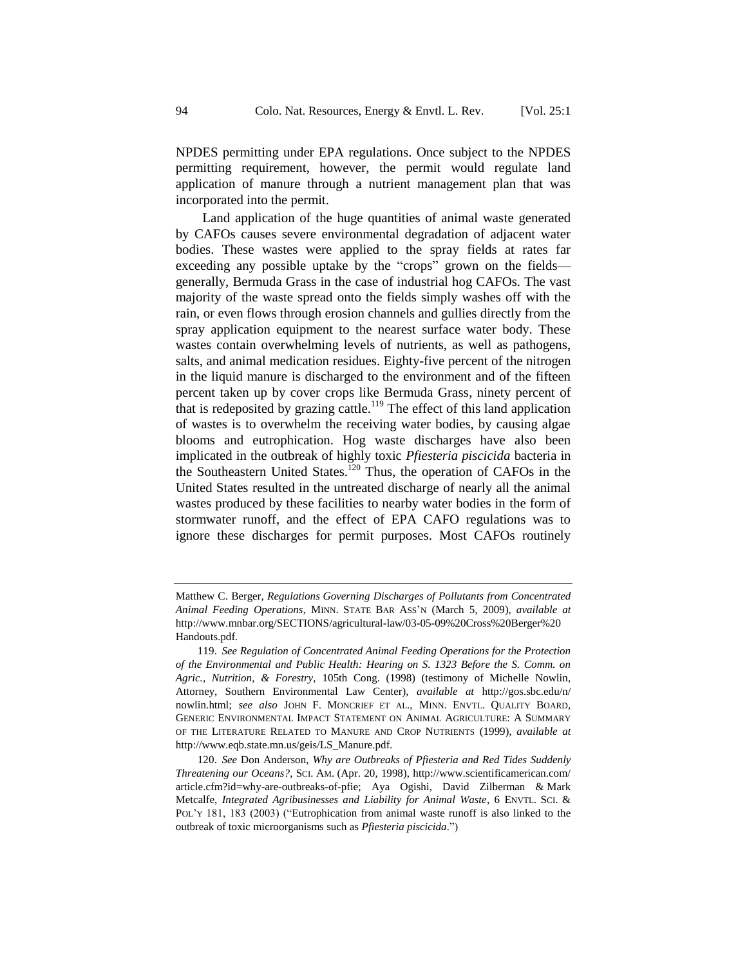NPDES permitting under EPA regulations. Once subject to the NPDES permitting requirement, however, the permit would regulate land application of manure through a nutrient management plan that was incorporated into the permit.

Land application of the huge quantities of animal waste generated by CAFOs causes severe environmental degradation of adjacent water bodies. These wastes were applied to the spray fields at rates far exceeding any possible uptake by the "crops" grown on the fields generally, Bermuda Grass in the case of industrial hog CAFOs. The vast majority of the waste spread onto the fields simply washes off with the rain, or even flows through erosion channels and gullies directly from the spray application equipment to the nearest surface water body. These wastes contain overwhelming levels of nutrients, as well as pathogens, salts, and animal medication residues. Eighty-five percent of the nitrogen in the liquid manure is discharged to the environment and of the fifteen percent taken up by cover crops like Bermuda Grass, ninety percent of that is redeposited by grazing cattle.<sup>119</sup> The effect of this land application of wastes is to overwhelm the receiving water bodies, by causing algae blooms and eutrophication. Hog waste discharges have also been implicated in the outbreak of highly toxic *Pfiesteria piscicida* bacteria in the Southeastern United States.<sup>120</sup> Thus, the operation of CAFOs in the United States resulted in the untreated discharge of nearly all the animal wastes produced by these facilities to nearby water bodies in the form of stormwater runoff, and the effect of EPA CAFO regulations was to ignore these discharges for permit purposes. Most CAFOs routinely

Matthew C. Berger, *Regulations Governing Discharges of Pollutants from Concentrated Animal Feeding Operations*, MINN. STATE BAR ASS'N (March 5, 2009), *available at*  http://www.mnbar.org/SECTIONS/agricultural-law/03-05-09%20Cross%20Berger%20 Handouts.pdf.

<sup>119.</sup> *See Regulation of Concentrated Animal Feeding Operations for the Protection of the Environmental and Public Health: Hearing on S. 1323 Before the S. Comm. on Agric., Nutrition, & Forestry*, 105th Cong. (1998) (testimony of Michelle Nowlin, Attorney, Southern Environmental Law Center), *available at* http://gos.sbc.edu/n/ nowlin.html; *see also* JOHN F. MONCRIEF ET AL., MINN. ENVTL. QUALITY BOARD, GENERIC ENVIRONMENTAL IMPACT STATEMENT ON ANIMAL AGRICULTURE: A SUMMARY OF THE LITERATURE RELATED TO MANURE AND CROP NUTRIENTS (1999), *available at*  http://www.eqb.state.mn.us/geis/LS\_Manure.pdf.

<sup>120.</sup> *See* Don Anderson, *Why are Outbreaks of Pfiesteria and Red Tides Suddenly Threatening our Oceans?*, SCI. AM. (Apr. 20, 1998), [http://www.scientificamerican.com/](http://www.scientificamerican.com/article.cfm?id=why-are-outbreaks-of-pfie) [article.cfm?id=why-are-outbreaks-of-pfie;](http://www.scientificamerican.com/article.cfm?id=why-are-outbreaks-of-pfie) Aya Ogishi, David Zilberman & Mark Metcalfe, *Integrated Agribusinesses and Liability for Animal Waste*, 6 ENVTL. SCI. & POL'Y 181, 183 (2003) ("Eutrophication from animal waste runoff is also linked to the outbreak of toxic microorganisms such as *Pfiesteria piscicida*.")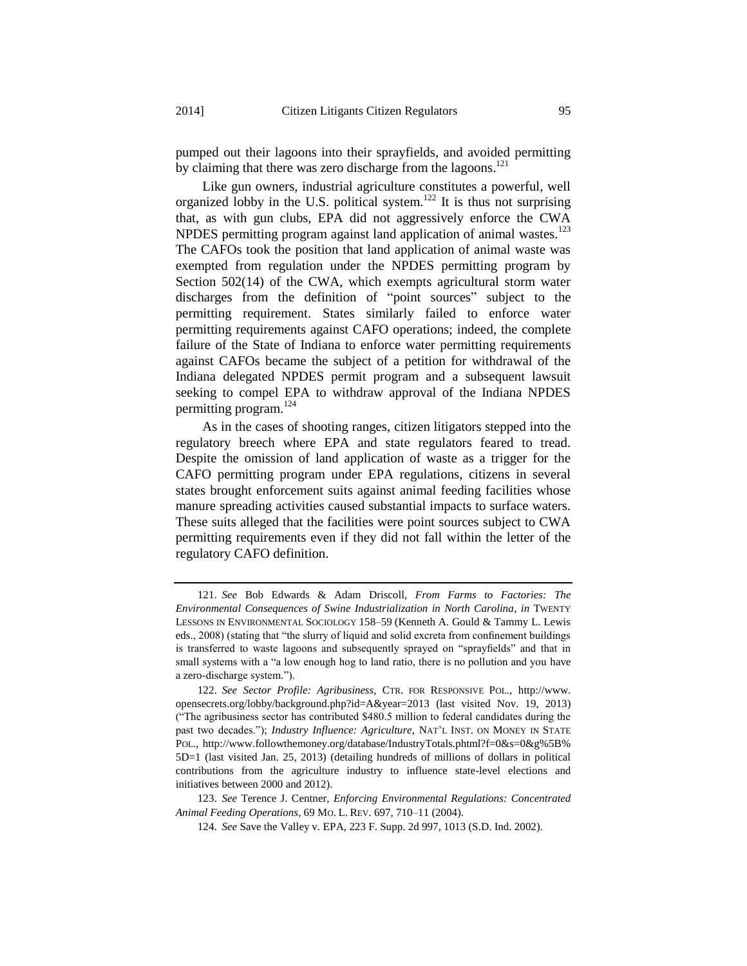pumped out their lagoons into their sprayfields, and avoided permitting by claiming that there was zero discharge from the lagoons.<sup>121</sup>

Like gun owners, industrial agriculture constitutes a powerful, well organized lobby in the U.S. political system.<sup>122</sup> It is thus not surprising that, as with gun clubs, EPA did not aggressively enforce the CWA NPDES permitting program against land application of animal wastes.<sup>123</sup> The CAFOs took the position that land application of animal waste was exempted from regulation under the NPDES permitting program by Section 502(14) of the CWA, which exempts agricultural storm water discharges from the definition of "point sources" subject to the permitting requirement. States similarly failed to enforce water permitting requirements against CAFO operations; indeed, the complete failure of the State of Indiana to enforce water permitting requirements against CAFOs became the subject of a petition for withdrawal of the Indiana delegated NPDES permit program and a subsequent lawsuit seeking to compel EPA to withdraw approval of the Indiana NPDES permitting program.<sup>124</sup>

As in the cases of shooting ranges, citizen litigators stepped into the regulatory breech where EPA and state regulators feared to tread. Despite the omission of land application of waste as a trigger for the CAFO permitting program under EPA regulations, citizens in several states brought enforcement suits against animal feeding facilities whose manure spreading activities caused substantial impacts to surface waters. These suits alleged that the facilities were point sources subject to CWA permitting requirements even if they did not fall within the letter of the regulatory CAFO definition.

<sup>121.</sup> *See* Bob Edwards & Adam Driscoll, *From Farms to Factories: The Environmental Consequences of Swine Industrialization in North Carolina*, *in* TWENTY LESSONS IN ENVIRONMENTAL SOCIOLOGY 158–59 (Kenneth A. Gould & Tammy L. Lewis eds., 2008) (stating that "the slurry of liquid and solid excreta from confinement buildings is transferred to waste lagoons and subsequently sprayed on "sprayfields" and that in small systems with a "a low enough hog to land ratio, there is no pollution and you have a zero-discharge system.").

<sup>122.</sup> *See Sector Profile: Agribusiness*, CTR. FOR RESPONSIVE POL., http://www. opensecrets.org/lobby/background.php?id=A&year=2013 (last visited Nov. 19, 2013) ("The agribusiness sector has contributed \$480.5 million to federal candidates during the past two decades."); *Industry Influence: Agriculture*, NAT'L INST. ON MONEY IN STATE POL., http://www.followthemoney.org/database/IndustryTotals.phtml?f=0&s=0&g%5B% 5D=1 (last visited Jan. 25, 2013) (detailing hundreds of millions of dollars in political contributions from the agriculture industry to influence state-level elections and initiatives between 2000 and 2012).

<sup>123.</sup> *See* Terence J. Centner, *Enforcing Environmental Regulations: Concentrated Animal Feeding Operations*, 69 MO. L. REV. 697, 710–11 (2004).

<sup>124.</sup> *See* Save the Valley v. EPA, 223 F. Supp. 2d 997, 1013 (S.D. Ind. 2002).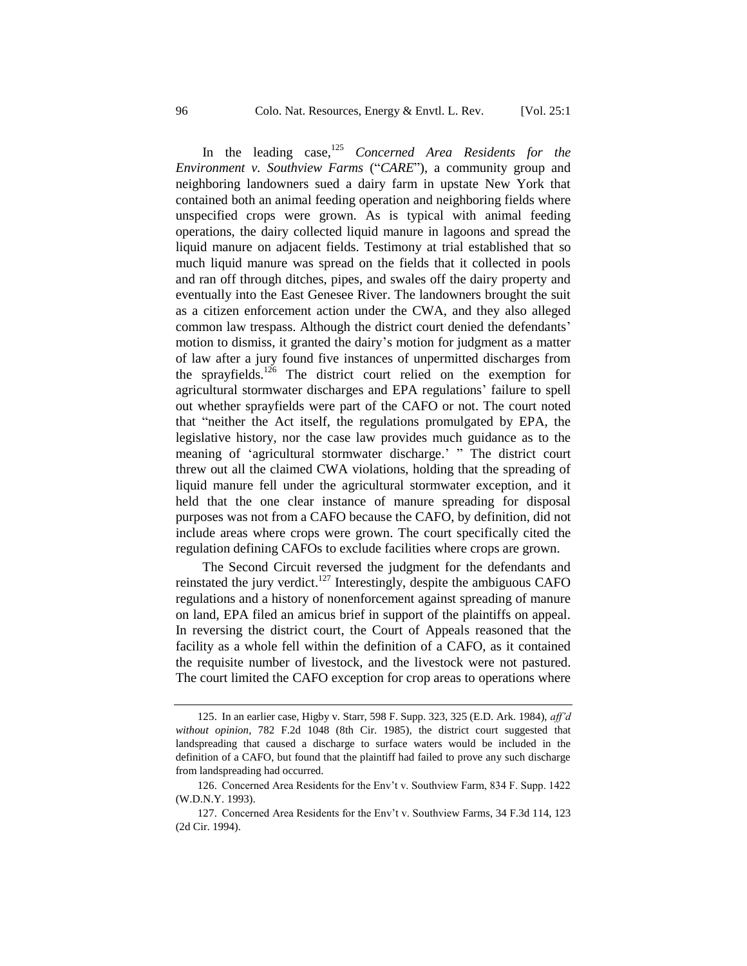In the leading case,<sup>125</sup> *Concerned Area Residents for the Environment v. Southview Farms* ("*CARE*"), a community group and neighboring landowners sued a dairy farm in upstate New York that contained both an animal feeding operation and neighboring fields where unspecified crops were grown. As is typical with animal feeding operations, the dairy collected liquid manure in lagoons and spread the liquid manure on adjacent fields. Testimony at trial established that so much liquid manure was spread on the fields that it collected in pools and ran off through ditches, pipes, and swales off the dairy property and eventually into the East Genesee River. The landowners brought the suit as a citizen enforcement action under the CWA, and they also alleged common law trespass. Although the district court denied the defendants' motion to dismiss, it granted the dairy's motion for judgment as a matter of law after a jury found five instances of unpermitted discharges from the sprayfields.<sup>126</sup> The district court relied on the exemption for agricultural stormwater discharges and EPA regulations' failure to spell out whether sprayfields were part of the CAFO or not. The court noted that "neither the Act itself, the regulations promulgated by EPA, the legislative history, nor the case law provides much guidance as to the meaning of 'agricultural stormwater discharge.' " The district court threw out all the claimed CWA violations, holding that the spreading of liquid manure fell under the agricultural stormwater exception, and it held that the one clear instance of manure spreading for disposal purposes was not from a CAFO because the CAFO, by definition, did not include areas where crops were grown. The court specifically cited the regulation defining CAFOs to exclude facilities where crops are grown.

The Second Circuit reversed the judgment for the defendants and reinstated the jury verdict.<sup>127</sup> Interestingly, despite the ambiguous CAFO regulations and a history of nonenforcement against spreading of manure on land, EPA filed an amicus brief in support of the plaintiffs on appeal. In reversing the district court, the Court of Appeals reasoned that the facility as a whole fell within the definition of a CAFO, as it contained the requisite number of livestock, and the livestock were not pastured. The court limited the CAFO exception for crop areas to operations where

<sup>125.</sup> In an earlier case, Higby v. Starr, 598 F. Supp. 323, 325 (E.D. Ark. 1984), *aff'd without opinion*, 782 F.2d 1048 (8th Cir. 1985), the district court suggested that landspreading that caused a discharge to surface waters would be included in the definition of a CAFO, but found that the plaintiff had failed to prove any such discharge from landspreading had occurred.

<sup>126.</sup> Concerned Area Residents for the Env't v. Southview Farm, 834 F. Supp. 1422 (W.D.N.Y. 1993).

<sup>127.</sup> Concerned Area Residents for the Env't v. Southview Farms, 34 F.3d 114, 123 (2d Cir. 1994).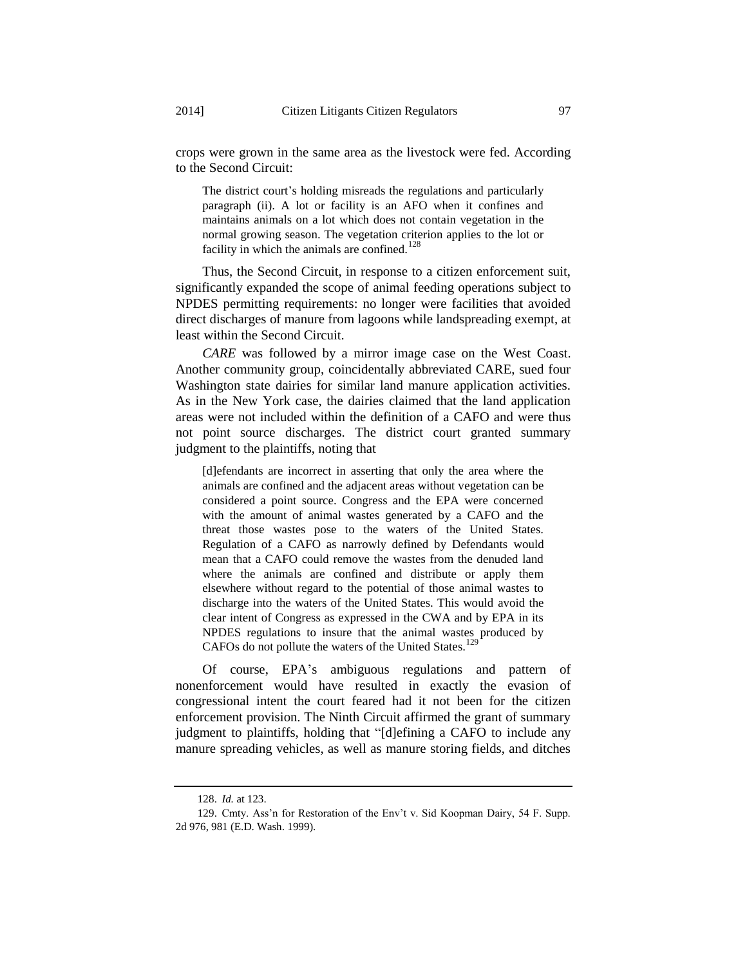crops were grown in the same area as the livestock were fed. According to the Second Circuit:

The district court's holding misreads the regulations and particularly paragraph (ii). A lot or facility is an AFO when it confines and maintains animals on a lot which does not contain vegetation in the normal growing season. The vegetation criterion applies to the lot or facility in which the animals are confined.<sup>128</sup>

Thus, the Second Circuit, in response to a citizen enforcement suit, significantly expanded the scope of animal feeding operations subject to NPDES permitting requirements: no longer were facilities that avoided direct discharges of manure from lagoons while landspreading exempt, at least within the Second Circuit.

*CARE* was followed by a mirror image case on the West Coast. Another community group, coincidentally abbreviated CARE, sued four Washington state dairies for similar land manure application activities. As in the New York case, the dairies claimed that the land application areas were not included within the definition of a CAFO and were thus not point source discharges. The district court granted summary judgment to the plaintiffs, noting that

[d]efendants are incorrect in asserting that only the area where the animals are confined and the adjacent areas without vegetation can be considered a point source. Congress and the EPA were concerned with the amount of animal wastes generated by a CAFO and the threat those wastes pose to the waters of the United States. Regulation of a CAFO as narrowly defined by Defendants would mean that a CAFO could remove the wastes from the denuded land where the animals are confined and distribute or apply them elsewhere without regard to the potential of those animal wastes to discharge into the waters of the United States. This would avoid the clear intent of Congress as expressed in the CWA and by EPA in its NPDES regulations to insure that the animal wastes produced by CAFOs do not pollute the waters of the United States.<sup>129</sup>

Of course, EPA's ambiguous regulations and pattern of nonenforcement would have resulted in exactly the evasion of congressional intent the court feared had it not been for the citizen enforcement provision. The Ninth Circuit affirmed the grant of summary judgment to plaintiffs, holding that "[d]efining a CAFO to include any manure spreading vehicles, as well as manure storing fields, and ditches

<sup>128.</sup> *Id.* at 123.

<sup>129.</sup> Cmty. Ass'n for Restoration of the Env't v. Sid Koopman Dairy, 54 F. Supp. 2d 976, 981 (E.D. Wash. 1999).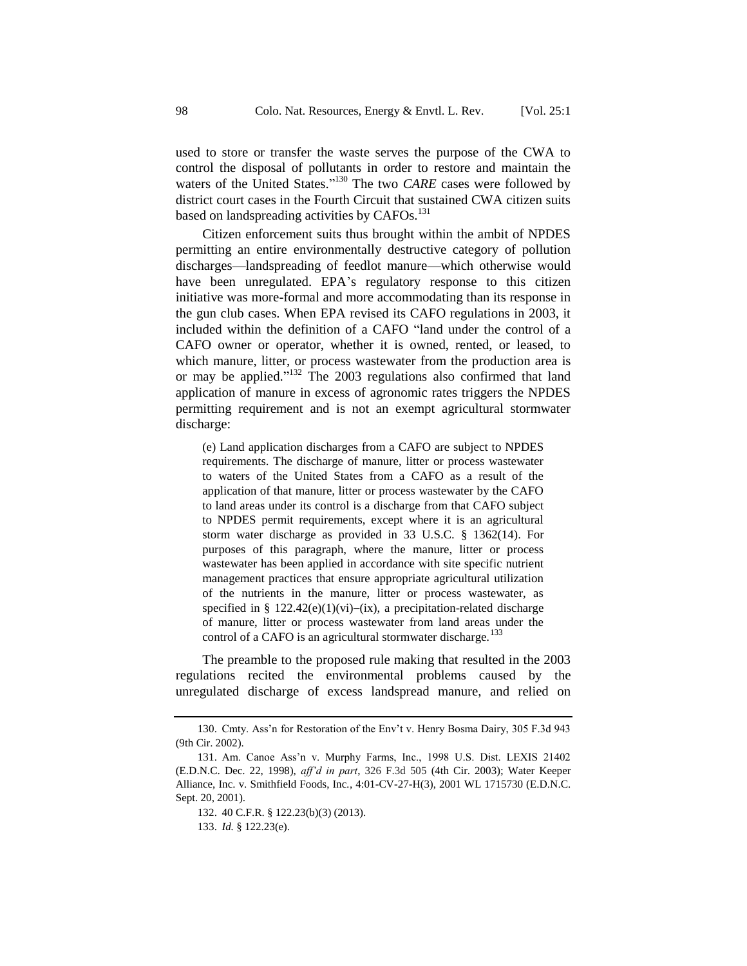used to store or transfer the waste serves the purpose of the CWA to control the disposal of pollutants in order to restore and maintain the waters of the United States."<sup>130</sup> The two *CARE* cases were followed by district court cases in the Fourth Circuit that sustained CWA citizen suits based on landspreading activities by CAFOs.<sup>131</sup>

Citizen enforcement suits thus brought within the ambit of NPDES permitting an entire environmentally destructive category of pollution discharges—landspreading of feedlot manure—which otherwise would have been unregulated. EPA's regulatory response to this citizen initiative was more-formal and more accommodating than its response in the gun club cases. When EPA revised its CAFO regulations in 2003, it included within the definition of a CAFO "land under the control of a CAFO owner or operator, whether it is owned, rented, or leased, to which manure, litter, or process wastewater from the production area is or may be applied." <sup>132</sup> The 2003 regulations also confirmed that land application of manure in excess of agronomic rates triggers the NPDES permitting requirement and is not an exempt agricultural stormwater discharge:

(e) Land application discharges from a CAFO are subject to NPDES requirements. The discharge of manure, litter or process wastewater to waters of the United States from a CAFO as a result of the application of that manure, litter or process wastewater by the CAFO to land areas under its control is a discharge from that CAFO subject to NPDES permit requirements, except where it is an agricultural storm water discharge as provided in 33 U.S.C. § 1362(14). For purposes of this paragraph, where the manure, litter or process wastewater has been applied in accordance with site specific nutrient management practices that ensure appropriate agricultural utilization of the nutrients in the manure, litter or process wastewater, as specified in §  $122.42(e)(1)(vi)$ –(ix), a precipitation-related discharge of manure, litter or process wastewater from land areas under the control of a CAFO is an agricultural stormwater discharge.<sup>133</sup>

The preamble to the proposed rule making that resulted in the 2003 regulations recited the environmental problems caused by the unregulated discharge of excess landspread manure, and relied on

<sup>130.</sup> Cmty. Ass'n for Restoration of the Env't v. Henry Bosma Dairy, 305 F.3d 943 (9th Cir. 2002).

<sup>131.</sup> Am. Canoe Ass'n v. Murphy Farms, Inc., 1998 U.S. Dist. LEXIS 21402 (E.D.N.C. Dec. 22, 1998), *aff'd in part*, 326 F.3d 505 (4th Cir. 2003); Water Keeper Alliance, Inc. v. Smithfield Foods, Inc*.*, 4:01-CV-27-H(3), 2001 WL 1715730 (E.D.N.C. Sept. 20, 2001).

<sup>132.</sup> 40 C.F.R. § 122.23(b)(3) (2013).

<sup>133.</sup> *Id.* § 122.23(e).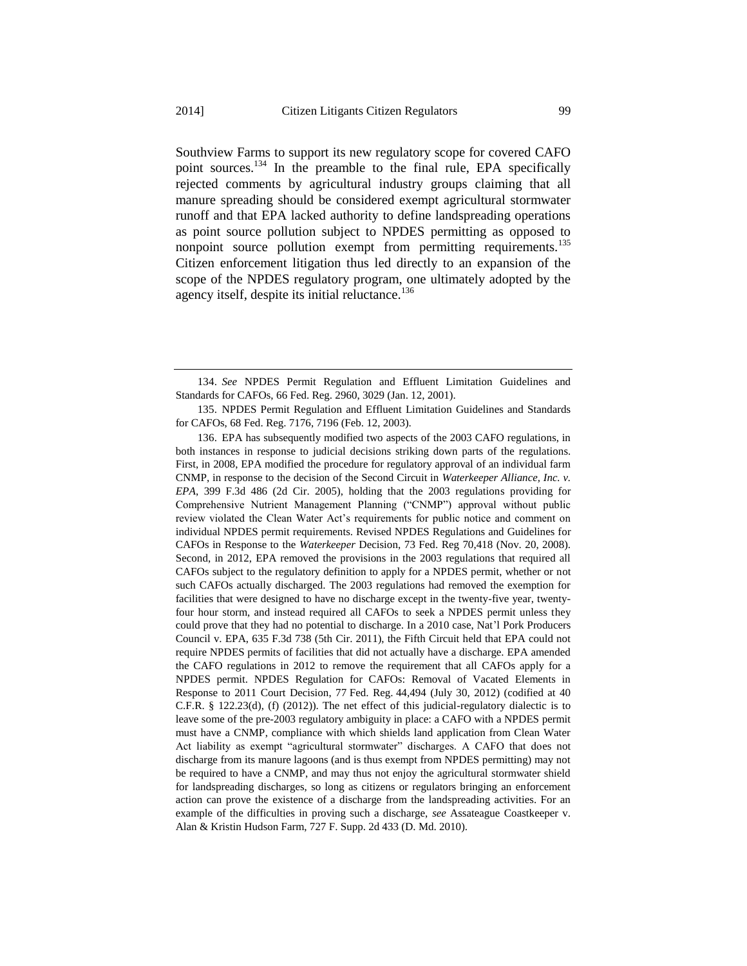Southview Farms to support its new regulatory scope for covered CAFO point sources.<sup>134</sup> In the preamble to the final rule, EPA specifically rejected comments by agricultural industry groups claiming that all manure spreading should be considered exempt agricultural stormwater runoff and that EPA lacked authority to define landspreading operations as point source pollution subject to NPDES permitting as opposed to nonpoint source pollution exempt from permitting requirements.<sup>135</sup> Citizen enforcement litigation thus led directly to an expansion of the scope of the NPDES regulatory program, one ultimately adopted by the agency itself, despite its initial reluctance.<sup>136</sup>

135. NPDES Permit Regulation and Effluent Limitation Guidelines and Standards for CAFOs, 68 Fed. Reg. 7176, 7196 (Feb. 12, 2003).

136. EPA has subsequently modified two aspects of the 2003 CAFO regulations, in both instances in response to judicial decisions striking down parts of the regulations. First, in 2008, EPA modified the procedure for regulatory approval of an individual farm CNMP, in response to the decision of the Second Circuit in *Waterkeeper Alliance, Inc. v. EPA*, 399 F.3d 486 (2d Cir. 2005), holding that the 2003 regulations providing for Comprehensive Nutrient Management Planning ("CNMP") approval without public review violated the Clean Water Act's requirements for public notice and comment on individual NPDES permit requirements. Revised NPDES Regulations and Guidelines for CAFOs in Response to the *Waterkeeper* Decision, 73 Fed. Reg 70,418 (Nov. 20, 2008). Second, in 2012, EPA removed the provisions in the 2003 regulations that required all CAFOs subject to the regulatory definition to apply for a NPDES permit, whether or not such CAFOs actually discharged. The 2003 regulations had removed the exemption for facilities that were designed to have no discharge except in the twenty-five year, twentyfour hour storm, and instead required all CAFOs to seek a NPDES permit unless they could prove that they had no potential to discharge. In a 2010 case, Nat'l Pork Producers Council v. EPA, 635 F.3d 738 (5th Cir. 2011), the Fifth Circuit held that EPA could not require NPDES permits of facilities that did not actually have a discharge. EPA amended the CAFO regulations in 2012 to remove the requirement that all CAFOs apply for a NPDES permit. NPDES Regulation for CAFOs: Removal of Vacated Elements in Response to 2011 Court Decision, 77 Fed. Reg. 44,494 (July 30, 2012) (codified at 40 C.F.R. § 122.23(d), (f) (2012)). The net effect of this judicial-regulatory dialectic is to leave some of the pre-2003 regulatory ambiguity in place: a CAFO with a NPDES permit must have a CNMP, compliance with which shields land application from Clean Water Act liability as exempt "agricultural stormwater" discharges. A CAFO that does not discharge from its manure lagoons (and is thus exempt from NPDES permitting) may not be required to have a CNMP, and may thus not enjoy the agricultural stormwater shield for landspreading discharges, so long as citizens or regulators bringing an enforcement action can prove the existence of a discharge from the landspreading activities. For an example of the difficulties in proving such a discharge, *see* Assateague Coastkeeper v. Alan & Kristin Hudson Farm, 727 F. Supp. 2d 433 (D. Md. 2010).

<sup>134.</sup> *See* NPDES Permit Regulation and Effluent Limitation Guidelines and Standards for CAFOs, 66 Fed. Reg. 2960, 3029 (Jan. 12, 2001).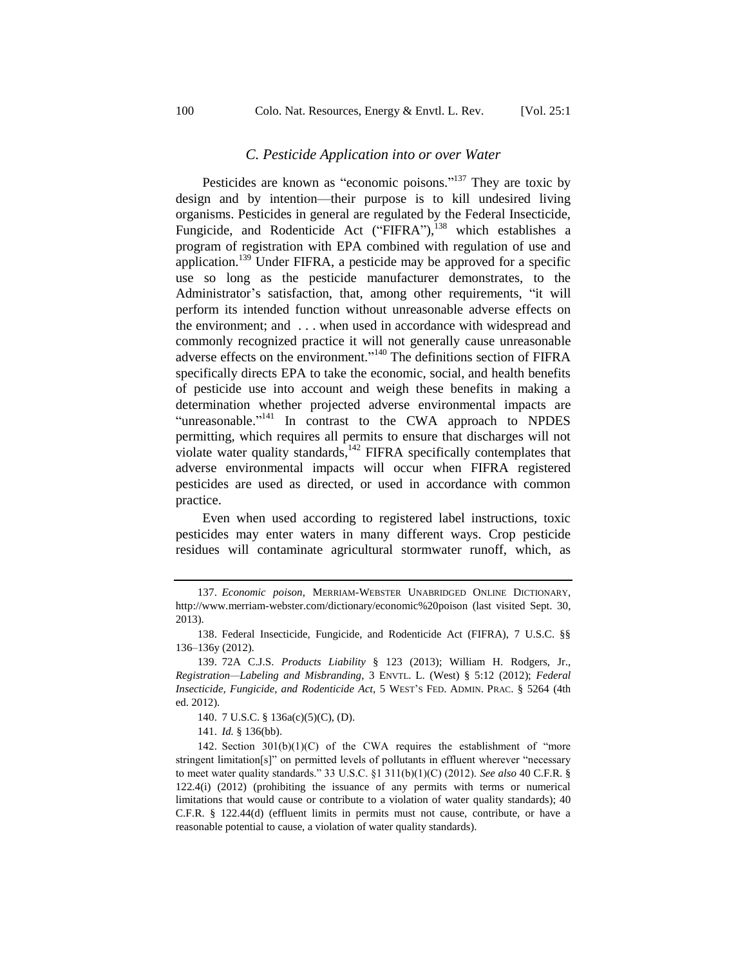#### *C. Pesticide Application into or over Water*

Pesticides are known as "economic poisons."<sup>137</sup> They are toxic by design and by intention—their purpose is to kill undesired living organisms. Pesticides in general are regulated by the Federal Insecticide, Fungicide, and Rodenticide Act ("FIFRA"),<sup>138</sup> which establishes a program of registration with EPA combined with regulation of use and application.<sup>139</sup> Under FIFRA, a pesticide may be approved for a specific use so long as the pesticide manufacturer demonstrates, to the Administrator's satisfaction, that, among other requirements, "it will perform its intended function without unreasonable adverse effects on the environment; and . . . when used in accordance with widespread and commonly recognized practice it will not generally cause unreasonable adverse effects on the environment."<sup>140</sup> The definitions section of FIFRA specifically directs EPA to take the economic, social, and health benefits of pesticide use into account and weigh these benefits in making a determination whether projected adverse environmental impacts are "unreasonable."<sup>141</sup> In contrast to the CWA approach to NPDES permitting, which requires all permits to ensure that discharges will not violate water quality standards,<sup>142</sup> FIFRA specifically contemplates that adverse environmental impacts will occur when FIFRA registered pesticides are used as directed, or used in accordance with common practice.

Even when used according to registered label instructions, toxic pesticides may enter waters in many different ways. Crop pesticide residues will contaminate agricultural stormwater runoff, which, as

<sup>137.</sup> *Economic poison*, MERRIAM-WEBSTER UNABRIDGED ONLINE DICTIONARY, http://www.merriam-webster.com/dictionary/economic%20poison (last visited Sept. 30, 2013).

<sup>138.</sup> Federal Insecticide, Fungicide, and Rodenticide Act (FIFRA), 7 U.S.C. §§ 136–136y (2012).

<sup>139.</sup> 72A C.J.S. *Products Liability* § 123 (2013); William H. Rodgers, Jr., *Registration—Labeling and Misbranding*, 3 ENVTL. L. (West) § 5:12 (2012); *Federal Insecticide, Fungicide, and Rodenticide Act*, 5 WEST'S FED. ADMIN. PRAC. § 5264 (4th ed. 2012).

<sup>140.</sup> 7 U.S.C. § 136a(c)(5)(C), (D).

<sup>141.</sup> *Id.* § 136(bb).

<sup>142.</sup> Section  $301(b)(1)(C)$  of the CWA requires the establishment of "more" stringent limitation[s]" on permitted levels of pollutants in effluent wherever "necessary to meet water quality standards." 33 U.S.C. §1 311(b)(1)(C) (2012). *See also* 40 C.F.R. § 122.4(i) (2012) (prohibiting the issuance of any permits with terms or numerical limitations that would cause or contribute to a violation of water quality standards); 40 C.F.R. § 122.44(d) (effluent limits in permits must not cause, contribute, or have a reasonable potential to cause, a violation of water quality standards).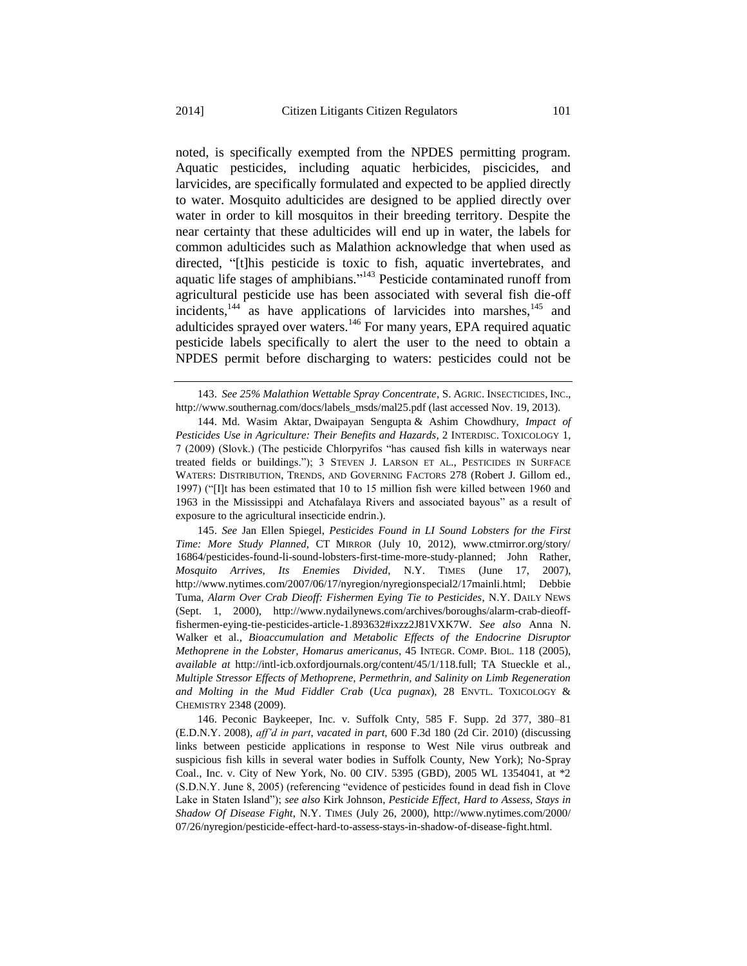noted, is specifically exempted from the NPDES permitting program. Aquatic pesticides, including aquatic herbicides, piscicides, and larvicides, are specifically formulated and expected to be applied directly to water. Mosquito adulticides are designed to be applied directly over water in order to kill mosquitos in their breeding territory. Despite the near certainty that these adulticides will end up in water, the labels for common adulticides such as Malathion acknowledge that when used as directed, "[t]his pesticide is toxic to fish, aquatic invertebrates, and aquatic life stages of amphibians."<sup>143</sup> Pesticide contaminated runoff from agricultural pesticide use has been associated with several fish die-off incidents, $144$  as have applications of larvicides into marshes, $145$  and adulticides sprayed over waters.<sup>146</sup> For many years, EPA required aquatic pesticide labels specifically to alert the user to the need to obtain a NPDES permit before discharging to waters: pesticides could not be

145. *See* Jan Ellen Spiegel, *Pesticides Found in LI Sound Lobsters for the First Time: More Study Planned*, CT MIRROR (July 10, 2012), www.ctmirror.org/story/ 16864/pesticides-found-li-sound-lobsters-first-time-more-study-planned; John Rather, *Mosquito Arrives, Its Enemies Divided*, N.Y. TIMES (June 17, 2007), http://www.nytimes.com/2007/06/17/nyregion/nyregionspecial2/17mainli.html; Debbie Tuma, *Alarm Over Crab Dieoff: Fishermen Eying Tie to Pesticides*, N.Y. DAILY NEWS (Sept. 1, 2000), http://www.nydailynews.com/archives/boroughs/alarm-crab-dieofffishermen-eying-tie-pesticides-article-1.893632#ixzz2J81VXK7W. *See also* Anna N. Walker et al., *Bioaccumulation and Metabolic Effects of the Endocrine Disruptor Methoprene in the Lobster, Homarus americanus*, 45 INTEGR. COMP. BIOL. 118 (2005), *available at* http://intl-icb.oxfordjournals.org/content/45/1/118.full; TA Stueckle et al., *Multiple Stressor Effects of Methoprene, Permethrin, and Salinity on Limb Regeneration and Molting in the Mud Fiddler Crab* (*Uca pugnax*), 28 ENVTL. TOXICOLOGY & CHEMISTRY 2348 (2009).

146. Peconic Baykeeper, Inc. v. Suffolk Cnty, 585 F. Supp. 2d 377, 380–81 (E.D.N.Y. 2008), *aff'd in part*, *vacated in part*, 600 F.3d 180 (2d Cir. 2010) (discussing links between pesticide applications in response to West Nile virus outbreak and suspicious fish kills in several water bodies in Suffolk County, New York); No-Spray Coal., Inc. v. City of New York, No. 00 CIV. 5395 (GBD), 2005 WL 1354041, at \*2 (S.D.N.Y. June 8, 2005) (referencing "evidence of pesticides found in dead fish in Clove Lake in Staten Island"); *see also* Kirk Johnson, *Pesticide Effect, Hard to Assess, Stays in Shadow Of Disease Fight*, N.Y. TIMES (July 26, 2000), http://www.nytimes.com/2000/ 07/26/nyregion/pesticide-effect-hard-to-assess-stays-in-shadow-of-disease-fight.html.

<sup>143.</sup> *See 25% Malathion Wettable Spray Concentrate*, S. AGRIC. INSECTICIDES, INC., http://www.southernag.com/docs/labels\_msds/mal25.pdf (last accessed Nov. 19, 2013).

<sup>144.</sup> Md. Wasim Aktar, Dwaipayan Sengupta & Ashim Chowdhury, *Impact of Pesticides Use in Agriculture: Their Benefits and Hazards*, 2 INTERDISC. TOXICOLOGY 1, 7 (2009) (Slovk.) (The pesticide Chlorpyrifos "has caused fish kills in waterways near treated fields or buildings."); 3 STEVEN J. LARSON ET AL., PESTICIDES IN SURFACE WATERS: DISTRIBUTION, TRENDS, AND GOVERNING FACTORS 278 (Robert J. Gillom ed., 1997) ("[I]t has been estimated that 10 to 15 million fish were killed between 1960 and 1963 in the Mississippi and Atchafalaya Rivers and associated bayous" as a result of exposure to the agricultural insecticide endrin.).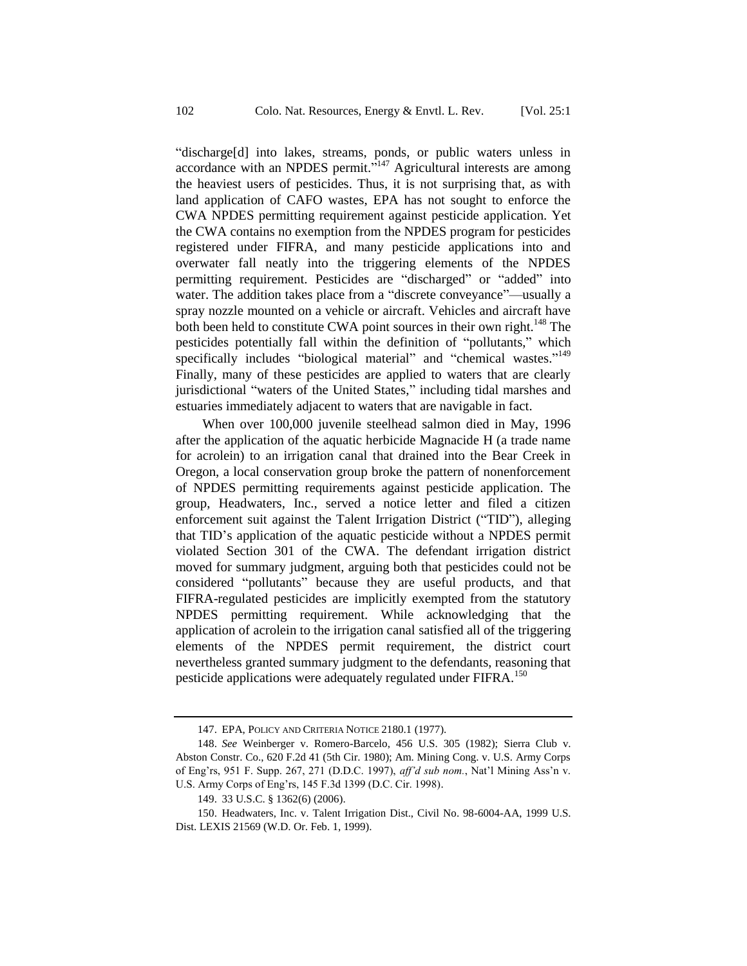"discharge[d] into lakes, streams, ponds, or public waters unless in accordance with an NPDES permit.<sup> $5147$ </sup> Agricultural interests are among the heaviest users of pesticides. Thus, it is not surprising that, as with land application of CAFO wastes, EPA has not sought to enforce the CWA NPDES permitting requirement against pesticide application. Yet the CWA contains no exemption from the NPDES program for pesticides registered under FIFRA, and many pesticide applications into and overwater fall neatly into the triggering elements of the NPDES permitting requirement. Pesticides are "discharged" or "added" into water. The addition takes place from a "discrete conveyance"—usually a spray nozzle mounted on a vehicle or aircraft. Vehicles and aircraft have both been held to constitute CWA point sources in their own right.<sup>148</sup> The pesticides potentially fall within the definition of "pollutants," which specifically includes "biological material" and "chemical wastes."<sup>149</sup> Finally, many of these pesticides are applied to waters that are clearly jurisdictional "waters of the United States," including tidal marshes and estuaries immediately adjacent to waters that are navigable in fact.

When over 100,000 juvenile steelhead salmon died in May, 1996 after the application of the aquatic herbicide Magnacide H (a trade name for acrolein) to an irrigation canal that drained into the Bear Creek in Oregon, a local conservation group broke the pattern of nonenforcement of NPDES permitting requirements against pesticide application. The group, Headwaters, Inc., served a notice letter and filed a citizen enforcement suit against the Talent Irrigation District ("TID"), alleging that TID's application of the aquatic pesticide without a NPDES permit violated Section 301 of the CWA. The defendant irrigation district moved for summary judgment, arguing both that pesticides could not be considered "pollutants" because they are useful products, and that FIFRA-regulated pesticides are implicitly exempted from the statutory NPDES permitting requirement. While acknowledging that the application of acrolein to the irrigation canal satisfied all of the triggering elements of the NPDES permit requirement, the district court nevertheless granted summary judgment to the defendants, reasoning that pesticide applications were adequately regulated under FIFRA.<sup>150</sup>

<sup>147.</sup> EPA, POLICY AND CRITERIA NOTICE 2180.1 (1977).

<sup>148.</sup> *See* Weinberger v. Romero-Barcelo, 456 U.S. 305 (1982); Sierra Club v. Abston Constr. Co., 620 F.2d 41 (5th Cir. 1980); Am. Mining Cong. v. U.S. Army Corps of Eng'rs, 951 F. Supp. 267, 271 (D.D.C. 1997), *aff'd sub nom.*, Nat'l Mining Ass'n v. U.S. Army Corps of Eng'rs, 145 F.3d 1399 (D.C. Cir. 1998).

<sup>149.</sup> 33 U.S.C. § 1362(6) (2006).

<sup>150.</sup> Headwaters, Inc. v. Talent Irrigation Dist., Civil No. 98-6004-AA, 1999 U.S. Dist. LEXIS 21569 (W.D. Or. Feb. 1, 1999).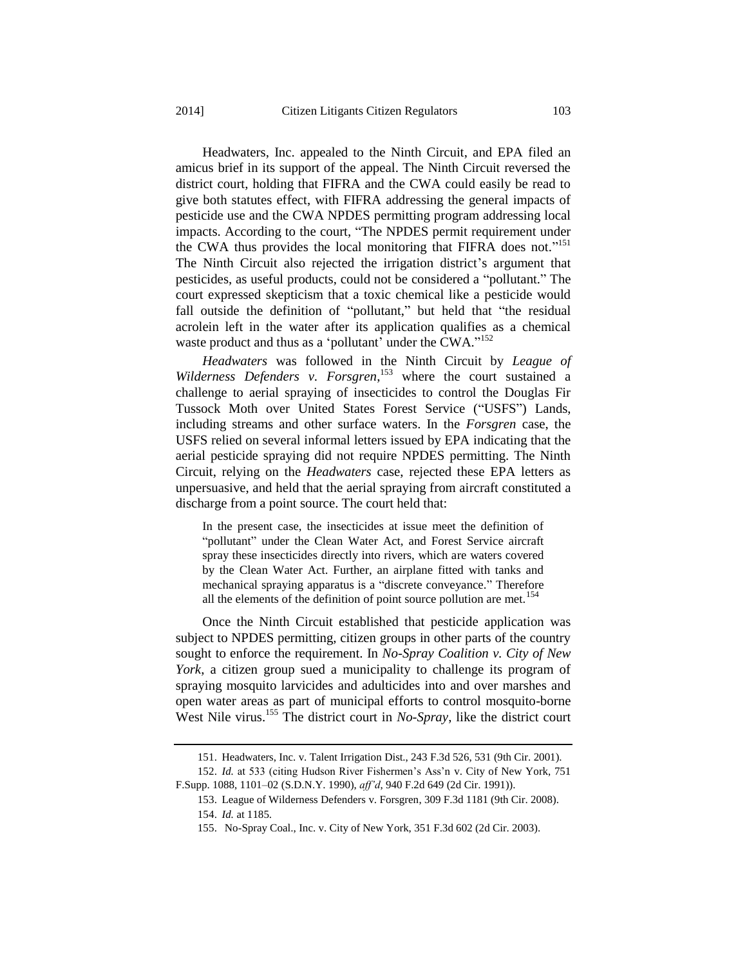Headwaters, Inc. appealed to the Ninth Circuit, and EPA filed an amicus brief in its support of the appeal. The Ninth Circuit reversed the district court, holding that FIFRA and the CWA could easily be read to give both statutes effect, with FIFRA addressing the general impacts of pesticide use and the CWA NPDES permitting program addressing local impacts. According to the court, "The NPDES permit requirement under the CWA thus provides the local monitoring that FIFRA does not."<sup>151</sup> The Ninth Circuit also rejected the irrigation district's argument that pesticides, as useful products, could not be considered a "pollutant." The court expressed skepticism that a toxic chemical like a pesticide would fall outside the definition of "pollutant," but held that "the residual acrolein left in the water after its application qualifies as a chemical waste product and thus as a 'pollutant' under the CWA."<sup>152</sup>

*Headwaters* was followed in the Ninth Circuit by *League of Wilderness Defenders v. Forsgren*, <sup>153</sup> where the court sustained a challenge to aerial spraying of insecticides to control the Douglas Fir Tussock Moth over United States Forest Service ("USFS") Lands, including streams and other surface waters. In the *Forsgren* case, the USFS relied on several informal letters issued by EPA indicating that the aerial pesticide spraying did not require NPDES permitting. The Ninth Circuit, relying on the *Headwaters* case, rejected these EPA letters as unpersuasive, and held that the aerial spraying from aircraft constituted a discharge from a point source. The court held that:

In the present case, the insecticides at issue meet the definition of "pollutant" under the Clean Water Act, and Forest Service aircraft spray these insecticides directly into rivers, which are waters covered by the Clean Water Act. Further, an airplane fitted with tanks and mechanical spraying apparatus is a "discrete conveyance." Therefore all the elements of the definition of point source pollution are met.<sup>154</sup>

Once the Ninth Circuit established that pesticide application was subject to NPDES permitting, citizen groups in other parts of the country sought to enforce the requirement. In *No-Spray Coalition v. City of New York*, a citizen group sued a municipality to challenge its program of spraying mosquito larvicides and adulticides into and over marshes and open water areas as part of municipal efforts to control mosquito-borne West Nile virus.<sup>155</sup> The district court in *No-Spray*, like the district court

<sup>151.</sup> Headwaters, Inc. v. Talent Irrigation Dist., 243 F.3d 526, 531 (9th Cir. 2001).

<sup>152.</sup> *Id.* at 533 (citing Hudson River Fishermen's Ass'n v. City of New York, 751 F.Supp. 1088, 1101–02 (S.D.N.Y. 1990), *aff'd*, 940 F.2d 649 (2d Cir. 1991)).

<sup>153.</sup> League of Wilderness Defenders v. Forsgren, 309 F.3d 1181 (9th Cir. 2008).

<sup>154.</sup> *Id.* at 1185.

<sup>155.</sup> No-Spray Coal., Inc. v. City of New York, 351 F.3d 602 (2d Cir. 2003).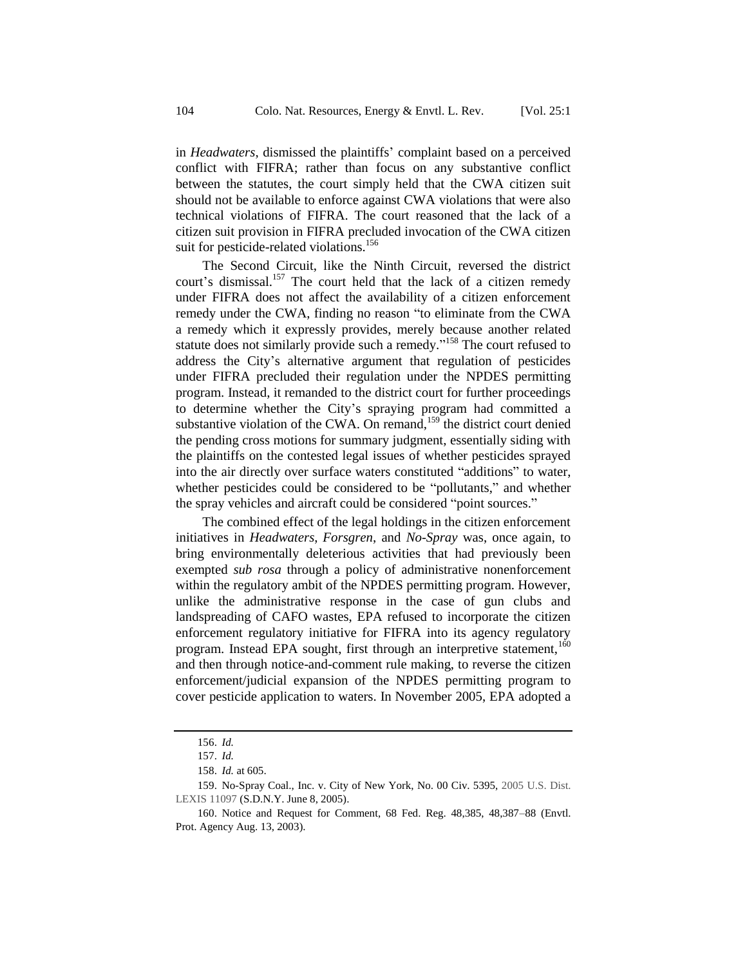in *Headwaters*, dismissed the plaintiffs' complaint based on a perceived conflict with FIFRA; rather than focus on any substantive conflict between the statutes, the court simply held that the CWA citizen suit should not be available to enforce against CWA violations that were also technical violations of FIFRA. The court reasoned that the lack of a citizen suit provision in FIFRA precluded invocation of the CWA citizen suit for pesticide-related violations.<sup>156</sup>

The Second Circuit, like the Ninth Circuit, reversed the district court's dismissal.<sup>157</sup> The court held that the lack of a citizen remedy under FIFRA does not affect the availability of a citizen enforcement remedy under the CWA, finding no reason "to eliminate from the CWA a remedy which it expressly provides, merely because another related statute does not similarly provide such a remedy."<sup>158</sup> The court refused to address the City's alternative argument that regulation of pesticides under FIFRA precluded their regulation under the NPDES permitting program. Instead, it remanded to the district court for further proceedings to determine whether the City's spraying program had committed a substantive violation of the CWA. On remand,<sup>159</sup> the district court denied the pending cross motions for summary judgment, essentially siding with the plaintiffs on the contested legal issues of whether pesticides sprayed into the air directly over surface waters constituted "additions" to water, whether pesticides could be considered to be "pollutants," and whether the spray vehicles and aircraft could be considered "point sources."

The combined effect of the legal holdings in the citizen enforcement initiatives in *Headwaters*, *Forsgren*, and *No-Spray* was, once again, to bring environmentally deleterious activities that had previously been exempted *sub rosa* through a policy of administrative nonenforcement within the regulatory ambit of the NPDES permitting program. However, unlike the administrative response in the case of gun clubs and landspreading of CAFO wastes, EPA refused to incorporate the citizen enforcement regulatory initiative for FIFRA into its agency regulatory program. Instead EPA sought, first through an interpretive statement,<sup>160</sup> and then through notice-and-comment rule making, to reverse the citizen enforcement/judicial expansion of the NPDES permitting program to cover pesticide application to waters. In November 2005, EPA adopted a

<sup>156.</sup> *Id.*

<sup>157.</sup> *Id.*

<sup>158.</sup> *Id.* at 605.

<sup>159.</sup> No-Spray Coal., Inc. v. City of New York, No. 00 Civ. 5395, 2005 U.S. Dist. LEXIS 11097 (S.D.N.Y. June 8, 2005).

<sup>160.</sup> Notice and Request for Comment, 68 Fed. Reg. 48,385, 48,387–88 (Envtl. Prot. Agency Aug. 13, 2003).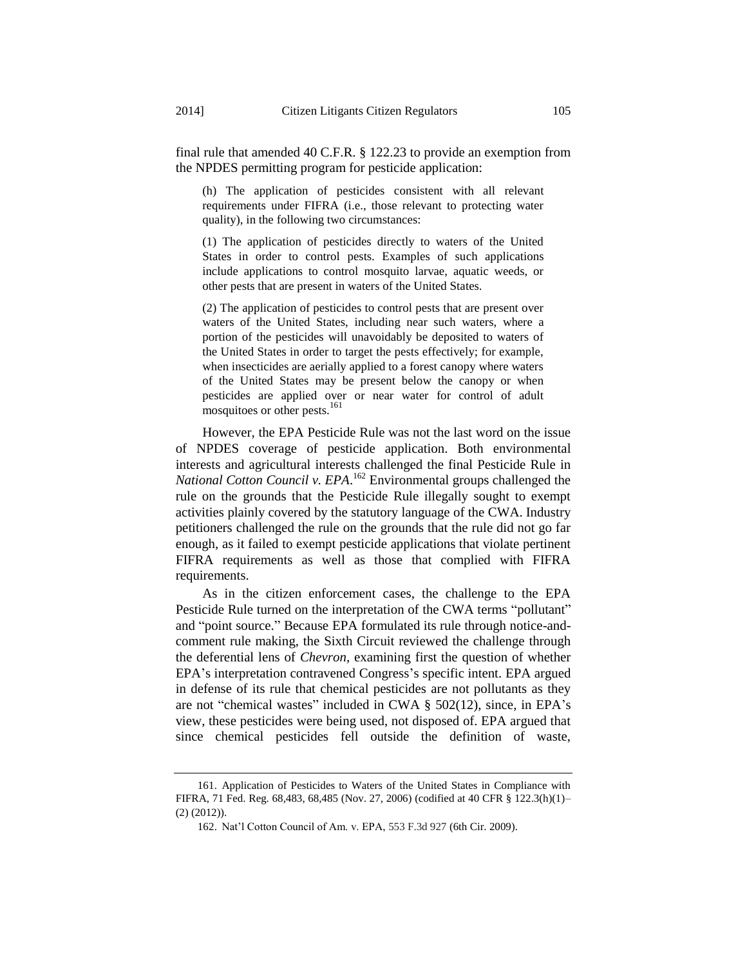final rule that amended 40 C.F.R. § 122.23 to provide an exemption from the NPDES permitting program for pesticide application:

(h) The application of pesticides consistent with all relevant requirements under FIFRA (i.e., those relevant to protecting water quality), in the following two circumstances:

(1) The application of pesticides directly to waters of the United States in order to control pests. Examples of such applications include applications to control mosquito larvae, aquatic weeds, or other pests that are present in waters of the United States.

(2) The application of pesticides to control pests that are present over waters of the United States, including near such waters, where a portion of the pesticides will unavoidably be deposited to waters of the United States in order to target the pests effectively; for example, when insecticides are aerially applied to a forest canopy where waters of the United States may be present below the canopy or when pesticides are applied over or near water for control of adult mosquitoes or other pests.<sup>161</sup>

However, the EPA Pesticide Rule was not the last word on the issue of NPDES coverage of pesticide application. Both environmental interests and agricultural interests challenged the final Pesticide Rule in *National Cotton Council v. EPA*. <sup>162</sup> Environmental groups challenged the rule on the grounds that the Pesticide Rule illegally sought to exempt activities plainly covered by the statutory language of the CWA. Industry petitioners challenged the rule on the grounds that the rule did not go far enough, as it failed to exempt pesticide applications that violate pertinent FIFRA requirements as well as those that complied with FIFRA requirements.

As in the citizen enforcement cases, the challenge to the EPA Pesticide Rule turned on the interpretation of the CWA terms "pollutant" and "point source." Because EPA formulated its rule through notice-andcomment rule making, the Sixth Circuit reviewed the challenge through the deferential lens of *Chevron*, examining first the question of whether EPA's interpretation contravened Congress's specific intent. EPA argued in defense of its rule that chemical pesticides are not pollutants as they are not "chemical wastes" included in CWA § 502(12), since, in EPA's view, these pesticides were being used, not disposed of. EPA argued that since chemical pesticides fell outside the definition of waste,

<sup>161.</sup> Application of Pesticides to Waters of the United States in Compliance with FIFRA, 71 Fed. Reg. 68,483, 68,485 (Nov. 27, 2006) (codified at 40 CFR § 122.3(h)(1)– (2) (2012)).

<sup>162.</sup> Nat'l Cotton Council of Am. v. EPA, 553 F.3d 927 (6th Cir. 2009).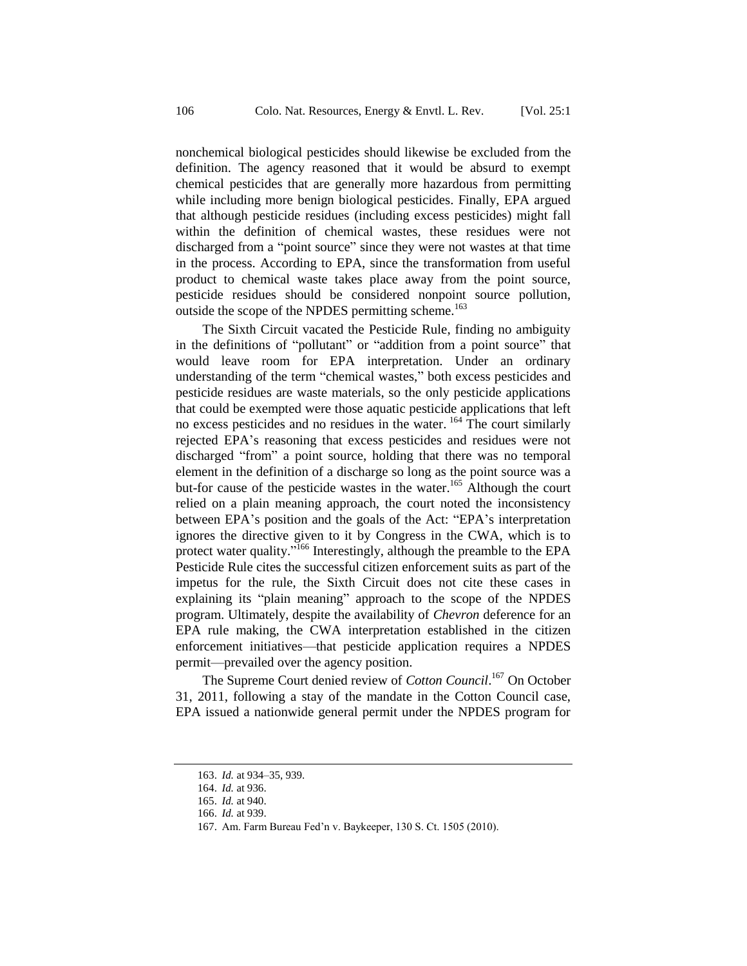nonchemical biological pesticides should likewise be excluded from the definition. The agency reasoned that it would be absurd to exempt chemical pesticides that are generally more hazardous from permitting while including more benign biological pesticides. Finally, EPA argued that although pesticide residues (including excess pesticides) might fall within the definition of chemical wastes, these residues were not discharged from a "point source" since they were not wastes at that time in the process. According to EPA, since the transformation from useful product to chemical waste takes place away from the point source, pesticide residues should be considered nonpoint source pollution, outside the scope of the NPDES permitting scheme.<sup>163</sup>

The Sixth Circuit vacated the Pesticide Rule, finding no ambiguity in the definitions of "pollutant" or "addition from a point source" that would leave room for EPA interpretation. Under an ordinary understanding of the term "chemical wastes," both excess pesticides and pesticide residues are waste materials, so the only pesticide applications that could be exempted were those aquatic pesticide applications that left no excess pesticides and no residues in the water. <sup>164</sup> The court similarly rejected EPA's reasoning that excess pesticides and residues were not discharged "from" a point source, holding that there was no temporal element in the definition of a discharge so long as the point source was a but-for cause of the pesticide wastes in the water.<sup>165</sup> Although the court relied on a plain meaning approach, the court noted the inconsistency between EPA's position and the goals of the Act: "EPA's interpretation ignores the directive given to it by Congress in the CWA, which is to protect water quality."<sup>166</sup> Interestingly, although the preamble to the EPA Pesticide Rule cites the successful citizen enforcement suits as part of the impetus for the rule, the Sixth Circuit does not cite these cases in explaining its "plain meaning" approach to the scope of the NPDES program. Ultimately, despite the availability of *Chevron* deference for an EPA rule making, the CWA interpretation established in the citizen enforcement initiatives—that pesticide application requires a NPDES permit—prevailed over the agency position.

The Supreme Court denied review of *Cotton Council*. <sup>167</sup> On October 31, 2011, following a stay of the mandate in the Cotton Council case, EPA issued a nationwide general permit under the NPDES program for

<sup>163.</sup> *Id.* at 934–35, 939.

<sup>164.</sup> *Id.* at 936.

<sup>165.</sup> *Id.* at 940.

<sup>166.</sup> *Id.* at 939.

<sup>167.</sup> Am. Farm Bureau Fed'n v. Baykeeper, 130 S. Ct. 1505 (2010).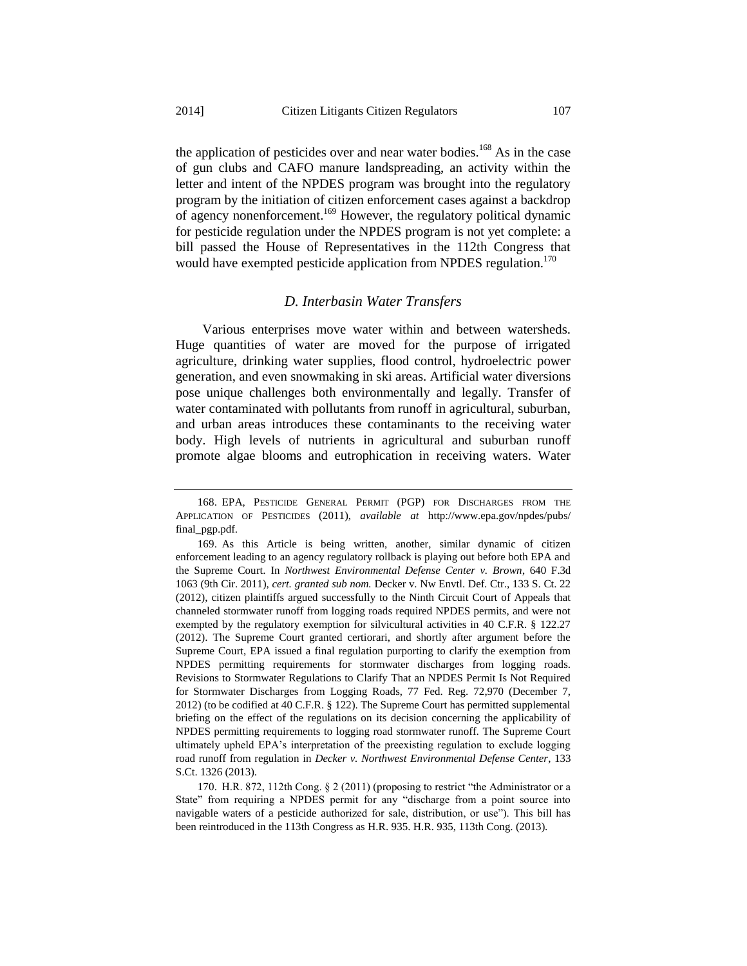the application of pesticides over and near water bodies.<sup>168</sup> As in the case of gun clubs and CAFO manure landspreading, an activity within the letter and intent of the NPDES program was brought into the regulatory program by the initiation of citizen enforcement cases against a backdrop of agency nonenforcement.<sup>169</sup> However, the regulatory political dynamic for pesticide regulation under the NPDES program is not yet complete: a bill passed the House of Representatives in the 112th Congress that would have exempted pesticide application from NPDES regulation.<sup>170</sup>

#### *D. Interbasin Water Transfers*

Various enterprises move water within and between watersheds. Huge quantities of water are moved for the purpose of irrigated agriculture, drinking water supplies, flood control, hydroelectric power generation, and even snowmaking in ski areas. Artificial water diversions pose unique challenges both environmentally and legally. Transfer of water contaminated with pollutants from runoff in agricultural, suburban, and urban areas introduces these contaminants to the receiving water body. High levels of nutrients in agricultural and suburban runoff promote algae blooms and eutrophication in receiving waters. Water

<sup>168.</sup> EPA, PESTICIDE GENERAL PERMIT (PGP) FOR DISCHARGES FROM THE APPLICATION OF PESTICIDES (2011), *available at* http://www.epa.gov/npdes/pubs/ final\_pgp.pdf.

<sup>169.</sup> As this Article is being written, another, similar dynamic of citizen enforcement leading to an agency regulatory rollback is playing out before both EPA and the Supreme Court. In *Northwest Environmental Defense Center v. Brown*, 640 F.3d 1063 (9th Cir. 2011), *cert. granted sub nom.* Decker v. Nw Envtl. Def. Ctr., 133 S. Ct. 22 (2012), citizen plaintiffs argued successfully to the Ninth Circuit Court of Appeals that channeled stormwater runoff from logging roads required NPDES permits, and were not exempted by the regulatory exemption for silvicultural activities in 40 C.F.R. § 122.27 (2012). The Supreme Court granted certiorari, and shortly after argument before the Supreme Court, EPA issued a final regulation purporting to clarify the exemption from NPDES permitting requirements for stormwater discharges from logging roads. Revisions to Stormwater Regulations to Clarify That an NPDES Permit Is Not Required for Stormwater Discharges from Logging Roads, 77 Fed. Reg. 72,970 (December 7, 2012) (to be codified at 40 C.F.R. § 122). The Supreme Court has permitted supplemental briefing on the effect of the regulations on its decision concerning the applicability of NPDES permitting requirements to logging road stormwater runoff. The Supreme Court ultimately upheld EPA's interpretation of the preexisting regulation to exclude logging road runoff from regulation in *Decker v. Northwest Environmental Defense Center*, 133 S.Ct. 1326 (2013).

<sup>170.</sup> H.R. 872, 112th Cong. § 2 (2011) (proposing to restrict "the Administrator or a State" from requiring a NPDES permit for any "discharge from a point source into navigable waters of a pesticide authorized for sale, distribution, or use"). This bill has been reintroduced in the 113th Congress as H.R. 935. H.R. 935, 113th Cong. (2013).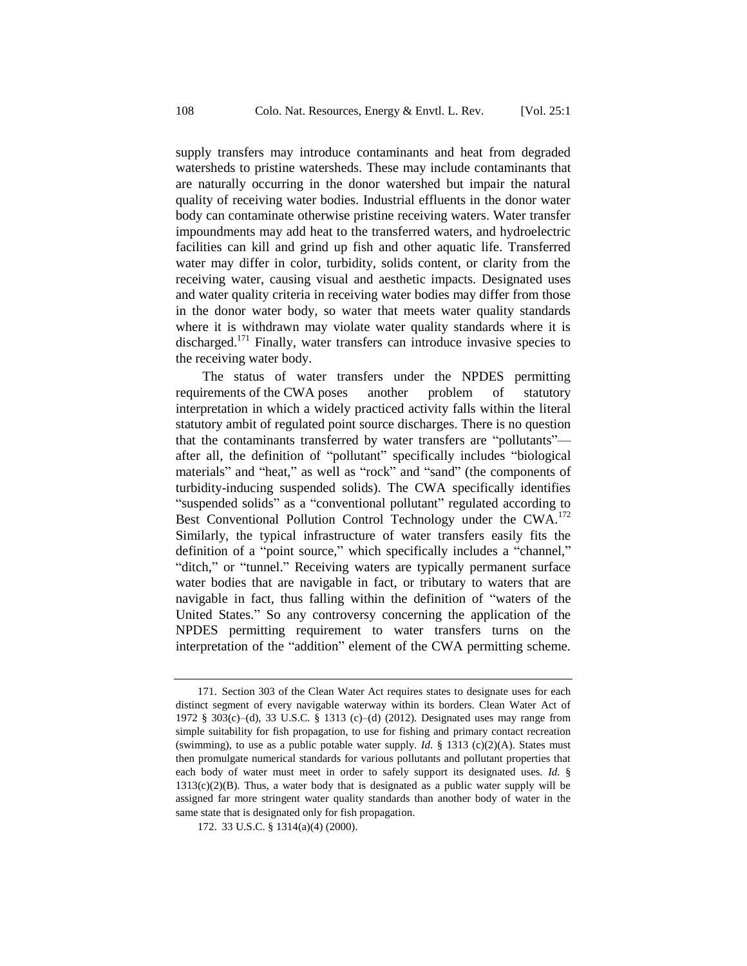supply transfers may introduce contaminants and heat from degraded watersheds to pristine watersheds. These may include contaminants that are naturally occurring in the donor watershed but impair the natural quality of receiving water bodies. Industrial effluents in the donor water body can contaminate otherwise pristine receiving waters. Water transfer impoundments may add heat to the transferred waters, and hydroelectric facilities can kill and grind up fish and other aquatic life. Transferred water may differ in color, turbidity, solids content, or clarity from the receiving water, causing visual and aesthetic impacts. Designated uses and water quality criteria in receiving water bodies may differ from those in the donor water body, so water that meets water quality standards where it is withdrawn may violate water quality standards where it is discharged.<sup>171</sup> Finally, water transfers can introduce invasive species to the receiving water body.

The status of water transfers under the NPDES permitting requirements of the CWA poses another problem of statutory interpretation in which a widely practiced activity falls within the literal statutory ambit of regulated point source discharges. There is no question that the contaminants transferred by water transfers are "pollutants" after all, the definition of "pollutant" specifically includes "biological materials" and "heat," as well as "rock" and "sand" (the components of turbidity-inducing suspended solids). The CWA specifically identifies "suspended solids" as a "conventional pollutant" regulated according to Best Conventional Pollution Control Technology under the CWA.<sup>172</sup> Similarly, the typical infrastructure of water transfers easily fits the definition of a "point source," which specifically includes a "channel," "ditch," or "tunnel." Receiving waters are typically permanent surface water bodies that are navigable in fact, or tributary to waters that are navigable in fact, thus falling within the definition of "waters of the United States." So any controversy concerning the application of the NPDES permitting requirement to water transfers turns on the interpretation of the "addition" element of the CWA permitting scheme.

<sup>171.</sup> Section 303 of the Clean Water Act requires states to designate uses for each distinct segment of every navigable waterway within its borders. Clean Water Act of 1972 § 303(c)–(d), 33 U.S.C. § 1313 (c)–(d) (2012). Designated uses may range from simple suitability for fish propagation, to use for fishing and primary contact recreation (swimming), to use as a public potable water supply. *Id.* § 1313 (c)(2)(A). States must then promulgate numerical standards for various pollutants and pollutant properties that each body of water must meet in order to safely support its designated uses. *Id.* §  $1313(c)(2)(B)$ . Thus, a water body that is designated as a public water supply will be assigned far more stringent water quality standards than another body of water in the same state that is designated only for fish propagation.

<sup>172.</sup> 33 U.S.C. § 1314(a)(4) (2000).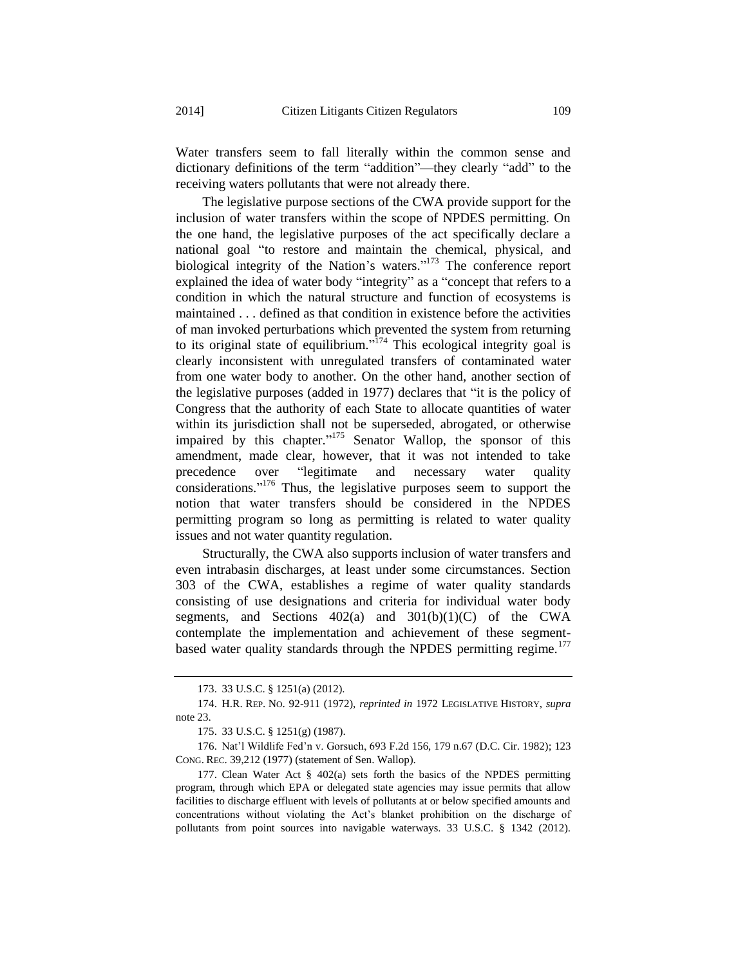Water transfers seem to fall literally within the common sense and dictionary definitions of the term "addition"—they clearly "add" to the receiving waters pollutants that were not already there.

The legislative purpose sections of the CWA provide support for the inclusion of water transfers within the scope of NPDES permitting. On the one hand, the legislative purposes of the act specifically declare a national goal "to restore and maintain the chemical, physical, and biological integrity of the Nation's waters."<sup>173</sup> The conference report explained the idea of water body "integrity" as a "concept that refers to a condition in which the natural structure and function of ecosystems is maintained . . . defined as that condition in existence before the activities of man invoked perturbations which prevented the system from returning to its original state of equilibrium."<sup> $174$ </sup> This ecological integrity goal is clearly inconsistent with unregulated transfers of contaminated water from one water body to another. On the other hand, another section of the legislative purposes (added in 1977) declares that "it is the policy of Congress that the authority of each State to allocate quantities of water within its jurisdiction shall not be superseded, abrogated, or otherwise impaired by this chapter."<sup>175</sup> Senator Wallop, the sponsor of this amendment, made clear, however, that it was not intended to take precedence over "legitimate and necessary water quality considerations." <sup>176</sup> Thus, the legislative purposes seem to support the notion that water transfers should be considered in the NPDES permitting program so long as permitting is related to water quality issues and not water quantity regulation.

Structurally, the CWA also supports inclusion of water transfers and even intrabasin discharges, at least under some circumstances. Section 303 of the CWA, establishes a regime of water quality standards consisting of use designations and criteria for individual water body segments, and Sections  $402(a)$  and  $301(b)(1)(C)$  of the CWA contemplate the implementation and achievement of these segmentbased water quality standards through the NPDES permitting regime.<sup>177</sup>

<sup>173.</sup> 33 U.S.C. § 1251(a) (2012).

<sup>174.</sup> H.R. REP. NO. 92-911 (1972), *reprinted in* 1972 LEGISLATIVE HISTORY, *supra* note [23.](#page-7-0)

<sup>175.</sup> 33 U.S.C. § 1251(g) (1987).

<sup>176.</sup> Nat'l Wildlife Fed'n v. Gorsuch, 693 F.2d 156, 179 n.67 (D.C. Cir. 1982); 123 CONG. REC. 39,212 (1977) (statement of Sen. Wallop).

<sup>177.</sup> Clean Water Act § 402(a) sets forth the basics of the NPDES permitting program, through which EPA or delegated state agencies may issue permits that allow facilities to discharge effluent with levels of pollutants at or below specified amounts and concentrations without violating the Act's blanket prohibition on the discharge of pollutants from point sources into navigable waterways. 33 U.S.C. § 1342 (2012).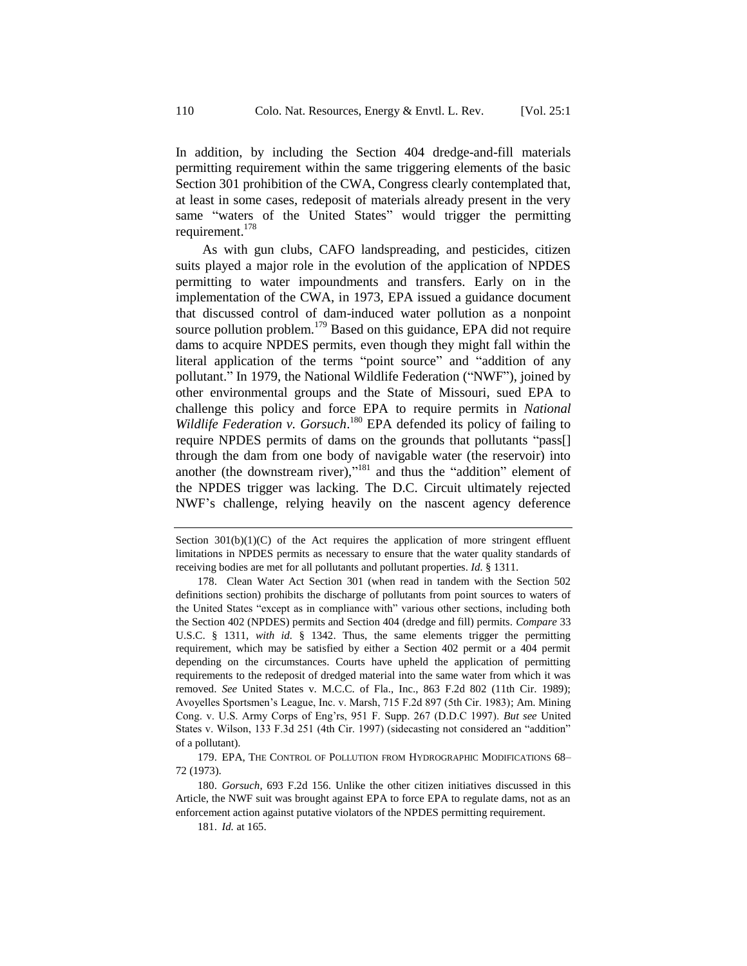In addition, by including the Section 404 dredge-and-fill materials permitting requirement within the same triggering elements of the basic Section 301 prohibition of the CWA, Congress clearly contemplated that, at least in some cases, redeposit of materials already present in the very same "waters of the United States" would trigger the permitting requirement.<sup>178</sup>

As with gun clubs, CAFO landspreading, and pesticides, citizen suits played a major role in the evolution of the application of NPDES permitting to water impoundments and transfers. Early on in the implementation of the CWA, in 1973, EPA issued a guidance document that discussed control of dam-induced water pollution as a nonpoint source pollution problem.<sup>179</sup> Based on this guidance, EPA did not require dams to acquire NPDES permits, even though they might fall within the literal application of the terms "point source" and "addition of any pollutant." In 1979, the National Wildlife Federation ("NWF"), joined by other environmental groups and the State of Missouri, sued EPA to challenge this policy and force EPA to require permits in *National*  Wildlife Federation v. Gorsuch.<sup>180</sup> EPA defended its policy of failing to require NPDES permits of dams on the grounds that pollutants "pass[] through the dam from one body of navigable water (the reservoir) into another (the downstream river),"<sup>181</sup> and thus the "addition" element of the NPDES trigger was lacking. The D.C. Circuit ultimately rejected NWF's challenge, relying heavily on the nascent agency deference

179. EPA, THE CONTROL OF POLLUTION FROM HYDROGRAPHIC MODIFICATIONS 68– 72 (1973).

180. *Gorsuch*, 693 F.2d 156. Unlike the other citizen initiatives discussed in this Article, the NWF suit was brought against EPA to force EPA to regulate dams, not as an enforcement action against putative violators of the NPDES permitting requirement.

181. *Id.* at 165.

Section  $301(b)(1)(C)$  of the Act requires the application of more stringent effluent limitations in NPDES permits as necessary to ensure that the water quality standards of receiving bodies are met for all pollutants and pollutant properties. *Id.* § 1311.

<sup>178.</sup> Clean Water Act Section 301 (when read in tandem with the Section 502 definitions section) prohibits the discharge of pollutants from point sources to waters of the United States "except as in compliance with" various other sections, including both the Section 402 (NPDES) permits and Section 404 (dredge and fill) permits. *Compare* 33 U.S.C. § 1311, *with id.* § 1342. Thus, the same elements trigger the permitting requirement, which may be satisfied by either a Section 402 permit or a 404 permit depending on the circumstances. Courts have upheld the application of permitting requirements to the redeposit of dredged material into the same water from which it was removed. *See* United States v. M.C.C. of Fla., Inc., 863 F.2d 802 (11th Cir. 1989); Avoyelles Sportsmen's League, Inc. v. Marsh, 715 F.2d 897 (5th Cir. 1983); Am. Mining Cong. v. U.S. Army Corps of Eng'rs, 951 F. Supp. 267 (D.D.C 1997). *But see* United States v. Wilson, 133 F.3d 251 (4th Cir. 1997) (sidecasting not considered an "addition" of a pollutant).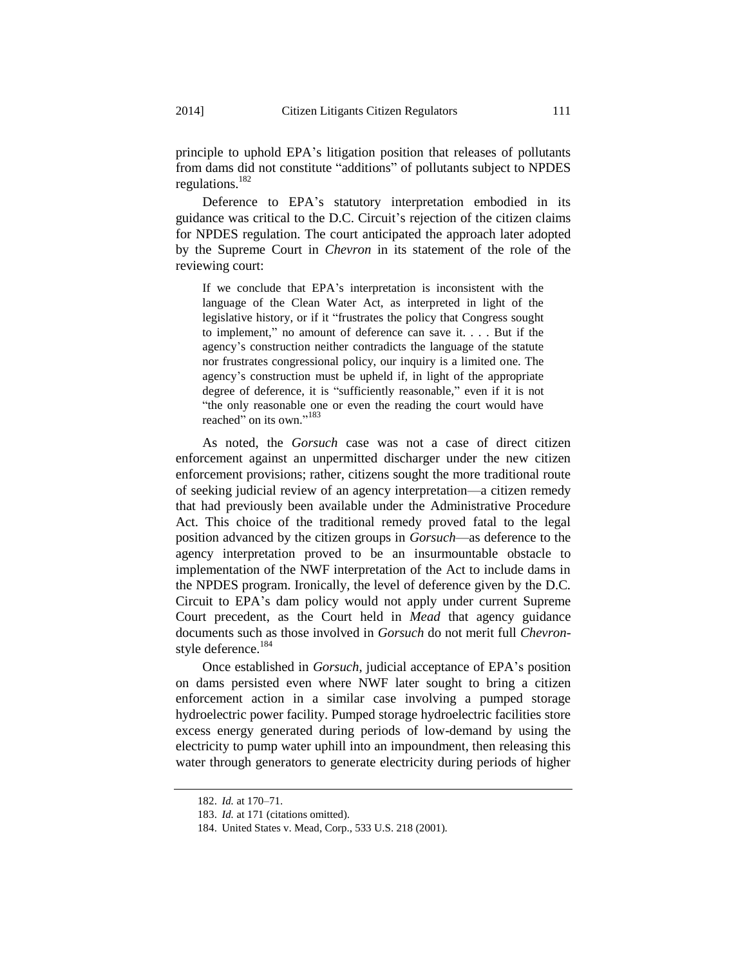regulations.<sup>182</sup> Deference to EPA's statutory interpretation embodied in its guidance was critical to the D.C. Circuit's rejection of the citizen claims for NPDES regulation. The court anticipated the approach later adopted by the Supreme Court in *Chevron* in its statement of the role of the reviewing court:

If we conclude that EPA's interpretation is inconsistent with the language of the Clean Water Act, as interpreted in light of the legislative history, or if it "frustrates the policy that Congress sought to implement," no amount of deference can save it. . . . But if the agency's construction neither contradicts the language of the statute nor frustrates congressional policy, our inquiry is a limited one. The agency's construction must be upheld if, in light of the appropriate degree of deference, it is "sufficiently reasonable," even if it is not "the only reasonable one or even the reading the court would have reached" on its own."<sup>183</sup>

As noted, the *Gorsuch* case was not a case of direct citizen enforcement against an unpermitted discharger under the new citizen enforcement provisions; rather, citizens sought the more traditional route of seeking judicial review of an agency interpretation—a citizen remedy that had previously been available under the Administrative Procedure Act. This choice of the traditional remedy proved fatal to the legal position advanced by the citizen groups in *Gorsuch*—as deference to the agency interpretation proved to be an insurmountable obstacle to implementation of the NWF interpretation of the Act to include dams in the NPDES program. Ironically, the level of deference given by the D.C. Circuit to EPA's dam policy would not apply under current Supreme Court precedent, as the Court held in *Mead* that agency guidance documents such as those involved in *Gorsuch* do not merit full *Chevron*style deference.<sup>184</sup>

Once established in *Gorsuch*, judicial acceptance of EPA's position on dams persisted even where NWF later sought to bring a citizen enforcement action in a similar case involving a pumped storage hydroelectric power facility. Pumped storage hydroelectric facilities store excess energy generated during periods of low-demand by using the electricity to pump water uphill into an impoundment, then releasing this water through generators to generate electricity during periods of higher

<sup>182.</sup> *Id.* at 170–71.

<sup>183.</sup> *Id.* at 171 (citations omitted).

<sup>184.</sup> United States v. Mead, Corp., 533 U.S. 218 (2001).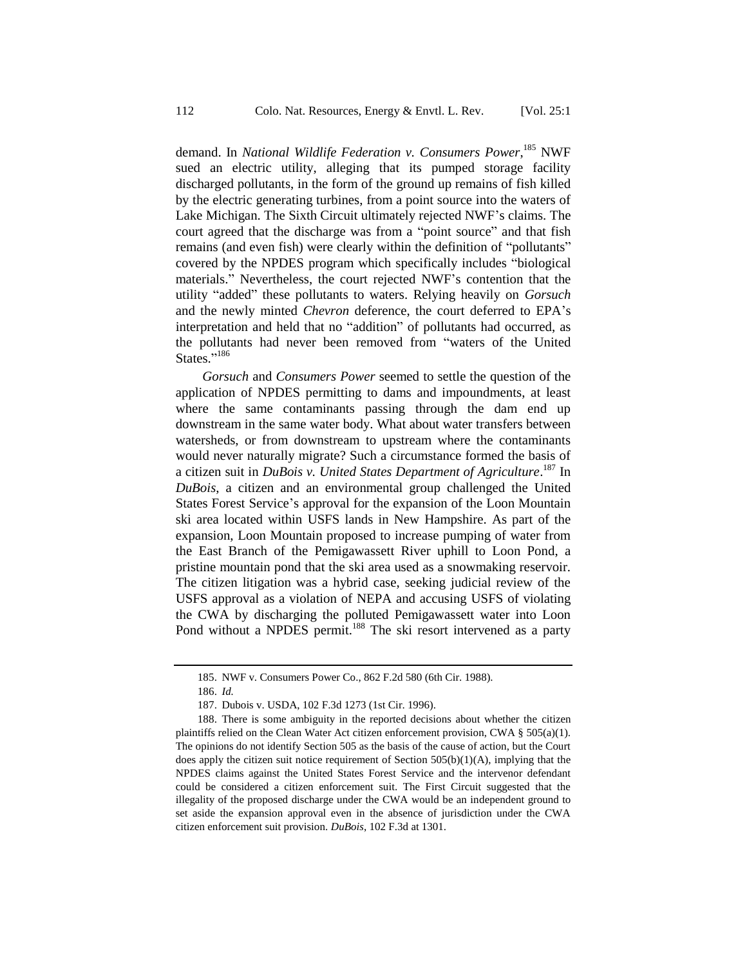demand. In *National Wildlife Federation v. Consumers Power*,<sup>185</sup> NWF sued an electric utility, alleging that its pumped storage facility discharged pollutants, in the form of the ground up remains of fish killed by the electric generating turbines, from a point source into the waters of Lake Michigan. The Sixth Circuit ultimately rejected NWF's claims. The court agreed that the discharge was from a "point source" and that fish remains (and even fish) were clearly within the definition of "pollutants" covered by the NPDES program which specifically includes "biological materials." Nevertheless, the court rejected NWF's contention that the utility "added" these pollutants to waters. Relying heavily on *Gorsuch* and the newly minted *Chevron* deference, the court deferred to EPA's interpretation and held that no "addition" of pollutants had occurred, as the pollutants had never been removed from "waters of the United States."<sup>186</sup>

*Gorsuch* and *Consumers Power* seemed to settle the question of the application of NPDES permitting to dams and impoundments, at least where the same contaminants passing through the dam end up downstream in the same water body. What about water transfers between watersheds, or from downstream to upstream where the contaminants would never naturally migrate? Such a circumstance formed the basis of a citizen suit in *DuBois v. United States Department of Agriculture*. <sup>187</sup> In *DuBois*, a citizen and an environmental group challenged the United States Forest Service's approval for the expansion of the Loon Mountain ski area located within USFS lands in New Hampshire. As part of the expansion, Loon Mountain proposed to increase pumping of water from the East Branch of the Pemigawassett River uphill to Loon Pond, a pristine mountain pond that the ski area used as a snowmaking reservoir. The citizen litigation was a hybrid case, seeking judicial review of the USFS approval as a violation of NEPA and accusing USFS of violating the CWA by discharging the polluted Pemigawassett water into Loon Pond without a NPDES permit.<sup>188</sup> The ski resort intervened as a party

<sup>185.</sup> NWF v. Consumers Power Co., 862 F.2d 580 (6th Cir. 1988).

<sup>186.</sup> *Id.*

<sup>187.</sup> Dubois v. USDA, 102 F.3d 1273 (1st Cir. 1996).

<sup>188.</sup> There is some ambiguity in the reported decisions about whether the citizen plaintiffs relied on the Clean Water Act citizen enforcement provision, CWA  $\S$  505(a)(1). The opinions do not identify Section 505 as the basis of the cause of action, but the Court does apply the citizen suit notice requirement of Section  $505(b)(1)(A)$ , implying that the NPDES claims against the United States Forest Service and the intervenor defendant could be considered a citizen enforcement suit. The First Circuit suggested that the illegality of the proposed discharge under the CWA would be an independent ground to set aside the expansion approval even in the absence of jurisdiction under the CWA citizen enforcement suit provision. *DuBois*, 102 F.3d at 1301.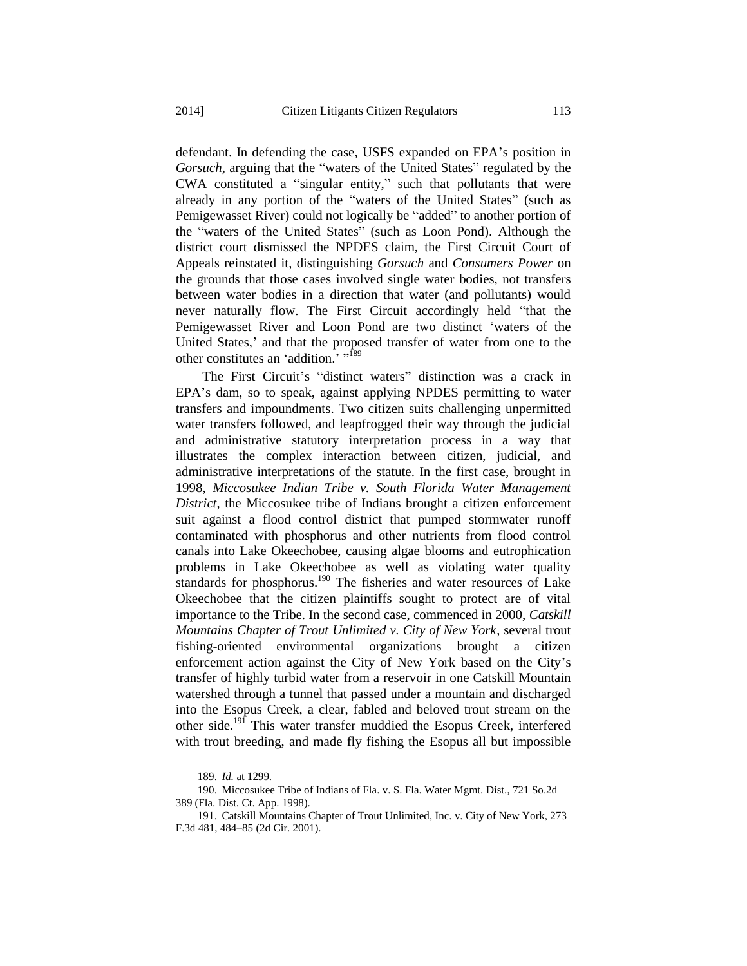defendant. In defending the case, USFS expanded on EPA's position in *Gorsuch*, arguing that the "waters of the United States" regulated by the CWA constituted a "singular entity," such that pollutants that were already in any portion of the "waters of the United States" (such as Pemigewasset River) could not logically be "added" to another portion of the "waters of the United States" (such as Loon Pond). Although the district court dismissed the NPDES claim, the First Circuit Court of Appeals reinstated it, distinguishing *Gorsuch* and *Consumers Power* on the grounds that those cases involved single water bodies, not transfers between water bodies in a direction that water (and pollutants) would never naturally flow. The First Circuit accordingly held "that the Pemigewasset River and Loon Pond are two distinct 'waters of the United States,' and that the proposed transfer of water from one to the other constitutes an 'addition.' "<sup>189</sup>

The First Circuit's "distinct waters" distinction was a crack in EPA's dam, so to speak, against applying NPDES permitting to water transfers and impoundments. Two citizen suits challenging unpermitted water transfers followed, and leapfrogged their way through the judicial and administrative statutory interpretation process in a way that illustrates the complex interaction between citizen, judicial, and administrative interpretations of the statute. In the first case, brought in 1998, *Miccosukee Indian Tribe v. South Florida Water Management District*, the Miccosukee tribe of Indians brought a citizen enforcement suit against a flood control district that pumped stormwater runoff contaminated with phosphorus and other nutrients from flood control canals into Lake Okeechobee, causing algae blooms and eutrophication problems in Lake Okeechobee as well as violating water quality standards for phosphorus.<sup>190</sup> The fisheries and water resources of Lake Okeechobee that the citizen plaintiffs sought to protect are of vital importance to the Tribe. In the second case, commenced in 2000, *Catskill Mountains Chapter of Trout Unlimited v. City of New York*, several trout fishing-oriented environmental organizations brought a citizen enforcement action against the City of New York based on the City's transfer of highly turbid water from a reservoir in one Catskill Mountain watershed through a tunnel that passed under a mountain and discharged into the Esopus Creek, a clear, fabled and beloved trout stream on the other side.<sup>191</sup> This water transfer muddied the Esopus Creek, interfered with trout breeding, and made fly fishing the Esopus all but impossible

<sup>189.</sup> *Id.* at 1299.

<sup>190.</sup> Miccosukee Tribe of Indians of Fla. v. S. Fla. Water Mgmt. Dist., 721 So.2d 389 (Fla. Dist. Ct. App. 1998).

<sup>191.</sup> Catskill Mountains Chapter of Trout Unlimited, Inc. v. City of New York, 273 F.3d 481, 484–85 (2d Cir. 2001).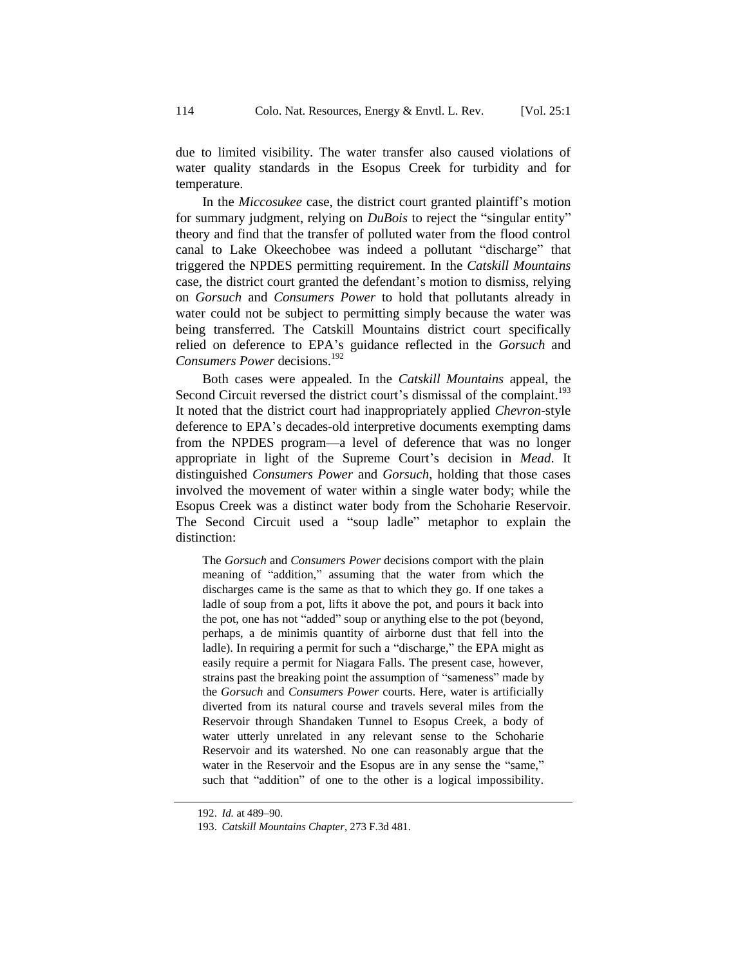due to limited visibility. The water transfer also caused violations of water quality standards in the Esopus Creek for turbidity and for temperature.

In the *Miccosukee* case, the district court granted plaintiff's motion for summary judgment, relying on *DuBois* to reject the "singular entity" theory and find that the transfer of polluted water from the flood control canal to Lake Okeechobee was indeed a pollutant "discharge" that triggered the NPDES permitting requirement. In the *Catskill Mountains* case, the district court granted the defendant's motion to dismiss, relying on *Gorsuch* and *Consumers Power* to hold that pollutants already in water could not be subject to permitting simply because the water was being transferred. The Catskill Mountains district court specifically relied on deference to EPA's guidance reflected in the *Gorsuch* and *Consumers Power* decisions.<sup>192</sup>

Both cases were appealed. In the *Catskill Mountains* appeal, the Second Circuit reversed the district court's dismissal of the complaint.<sup>193</sup> It noted that the district court had inappropriately applied *Chevron*-style deference to EPA's decades-old interpretive documents exempting dams from the NPDES program—a level of deference that was no longer appropriate in light of the Supreme Court's decision in *Mead*. It distinguished *Consumers Power* and *Gorsuch*, holding that those cases involved the movement of water within a single water body; while the Esopus Creek was a distinct water body from the Schoharie Reservoir. The Second Circuit used a "soup ladle" metaphor to explain the distinction:

The *Gorsuch* and *Consumers Power* decisions comport with the plain meaning of "addition," assuming that the water from which the discharges came is the same as that to which they go. If one takes a ladle of soup from a pot, lifts it above the pot, and pours it back into the pot, one has not "added" soup or anything else to the pot (beyond, perhaps, a de minimis quantity of airborne dust that fell into the ladle). In requiring a permit for such a "discharge," the EPA might as easily require a permit for Niagara Falls. The present case, however, strains past the breaking point the assumption of "sameness" made by the *Gorsuch* and *Consumers Power* courts. Here, water is artificially diverted from its natural course and travels several miles from the Reservoir through Shandaken Tunnel to Esopus Creek, a body of water utterly unrelated in any relevant sense to the Schoharie Reservoir and its watershed. No one can reasonably argue that the water in the Reservoir and the Esopus are in any sense the "same," such that "addition" of one to the other is a logical impossibility.

<sup>192.</sup> *Id.* at 489–90.

<sup>193.</sup> *Catskill Mountains Chapter*, 273 F.3d 481.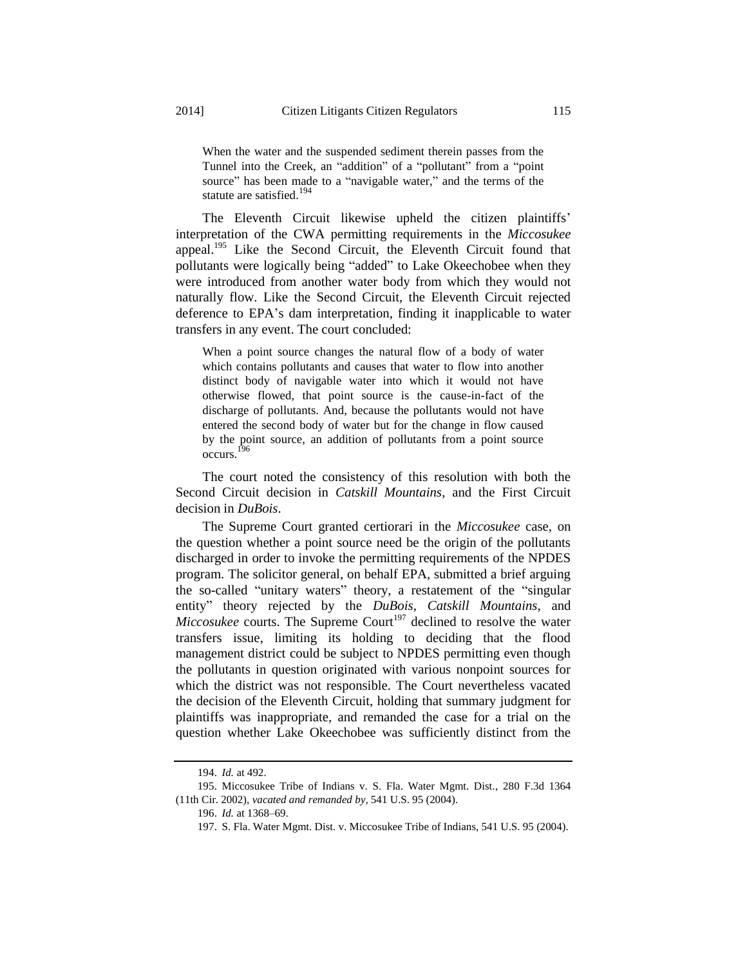When the water and the suspended sediment therein passes from the Tunnel into the Creek, an "addition" of a "pollutant" from a "point source" has been made to a "navigable water," and the terms of the statute are satisfied.<sup>194</sup>

The Eleventh Circuit likewise upheld the citizen plaintiffs' interpretation of the CWA permitting requirements in the *Miccosukee* appeal.<sup>195</sup> Like the Second Circuit, the Eleventh Circuit found that pollutants were logically being "added" to Lake Okeechobee when they were introduced from another water body from which they would not naturally flow. Like the Second Circuit, the Eleventh Circuit rejected deference to EPA's dam interpretation, finding it inapplicable to water transfers in any event. The court concluded:

When a point source changes the natural flow of a body of water which contains pollutants and causes that water to flow into another distinct body of navigable water into which it would not have otherwise flowed, that point source is the cause-in-fact of the discharge of pollutants. And, because the pollutants would not have entered the second body of water but for the change in flow caused by the point source, an addition of pollutants from a point source occurs. 196

The court noted the consistency of this resolution with both the Second Circuit decision in *Catskill Mountains*, and the First Circuit decision in *DuBois*.

The Supreme Court granted certiorari in the *Miccosukee* case, on the question whether a point source need be the origin of the pollutants discharged in order to invoke the permitting requirements of the NPDES program. The solicitor general, on behalf EPA, submitted a brief arguing the so-called "unitary waters" theory, a restatement of the "singular entity" theory rejected by the *DuBois*, *Catskill Mountains*, and *Miccosukee* courts. The Supreme Court<sup>197</sup> declined to resolve the water transfers issue, limiting its holding to deciding that the flood management district could be subject to NPDES permitting even though the pollutants in question originated with various nonpoint sources for which the district was not responsible. The Court nevertheless vacated the decision of the Eleventh Circuit, holding that summary judgment for plaintiffs was inappropriate, and remanded the case for a trial on the question whether Lake Okeechobee was sufficiently distinct from the

<sup>194.</sup> *Id.* at 492.

<sup>195.</sup> Miccosukee Tribe of Indians v. S. Fla. Water Mgmt. Dist*.*, 280 F.3d 1364 (11th Cir. 2002), *vacated and remanded by*, 541 U.S. 95 (2004).

<sup>196.</sup> *Id.* at 1368–69.

<sup>197.</sup> S. Fla. Water Mgmt. Dist. v. Miccosukee Tribe of Indians, 541 U.S. 95 (2004).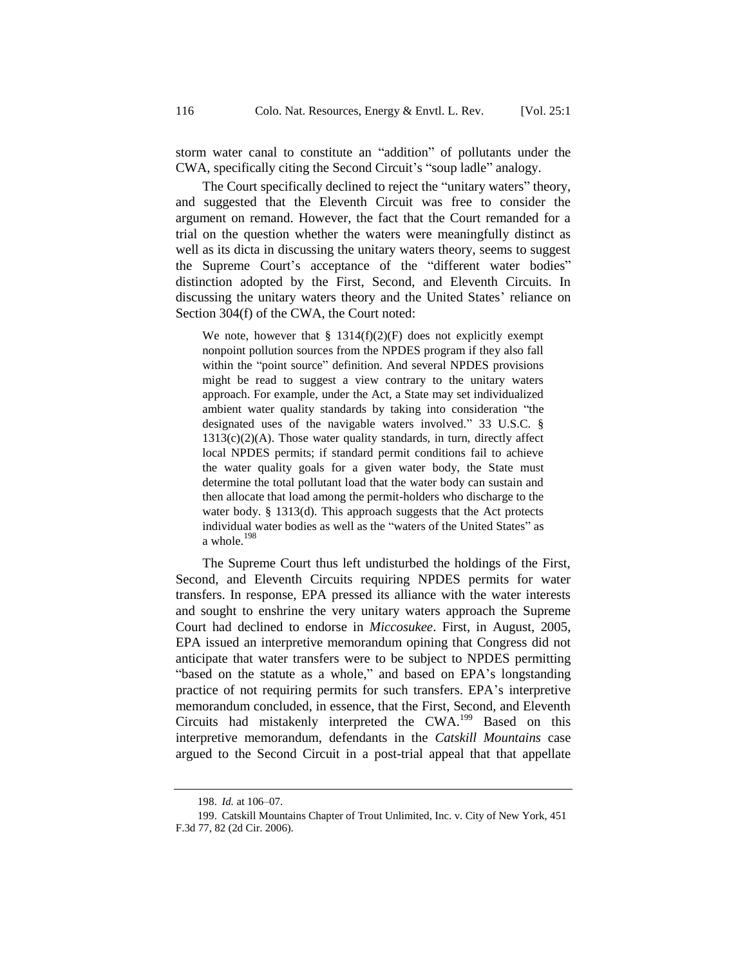storm water canal to constitute an "addition" of pollutants under the CWA, specifically citing the Second Circuit's "soup ladle" analogy.

The Court specifically declined to reject the "unitary waters" theory, and suggested that the Eleventh Circuit was free to consider the argument on remand. However, the fact that the Court remanded for a trial on the question whether the waters were meaningfully distinct as well as its dicta in discussing the unitary waters theory, seems to suggest the Supreme Court's acceptance of the "different water bodies" distinction adopted by the First, Second, and Eleventh Circuits. In discussing the unitary waters theory and the United States' reliance on Section 304(f) of the CWA, the Court noted:

We note, however that  $\S$  1314(f)(2)(F) does not explicitly exempt nonpoint pollution sources from the NPDES program if they also fall within the "point source" definition. And several NPDES provisions might be read to suggest a view contrary to the unitary waters approach. For example, under the Act, a State may set individualized ambient water quality standards by taking into consideration "the designated uses of the navigable waters involved." 33 U.S.C. §  $1313(c)(2)(A)$ . Those water quality standards, in turn, directly affect local NPDES permits; if standard permit conditions fail to achieve the water quality goals for a given water body, the State must determine the total pollutant load that the water body can sustain and then allocate that load among the permit-holders who discharge to the water body. § 1313(d). This approach suggests that the Act protects individual water bodies as well as the "waters of the United States" as a whole.<sup>198</sup>

The Supreme Court thus left undisturbed the holdings of the First, Second, and Eleventh Circuits requiring NPDES permits for water transfers. In response, EPA pressed its alliance with the water interests and sought to enshrine the very unitary waters approach the Supreme Court had declined to endorse in *Miccosukee*. First, in August, 2005, EPA issued an interpretive memorandum opining that Congress did not anticipate that water transfers were to be subject to NPDES permitting "based on the statute as a whole," and based on EPA's longstanding practice of not requiring permits for such transfers. EPA's interpretive memorandum concluded, in essence, that the First, Second, and Eleventh Circuits had mistakenly interpreted the CWA.<sup>199</sup> Based on this interpretive memorandum, defendants in the *Catskill Mountains* case argued to the Second Circuit in a post-trial appeal that that appellate

<sup>198.</sup> *Id.* at 106–07.

<sup>199.</sup> Catskill Mountains Chapter of Trout Unlimited, Inc. v. City of New York, 451 F.3d 77, 82 (2d Cir. 2006).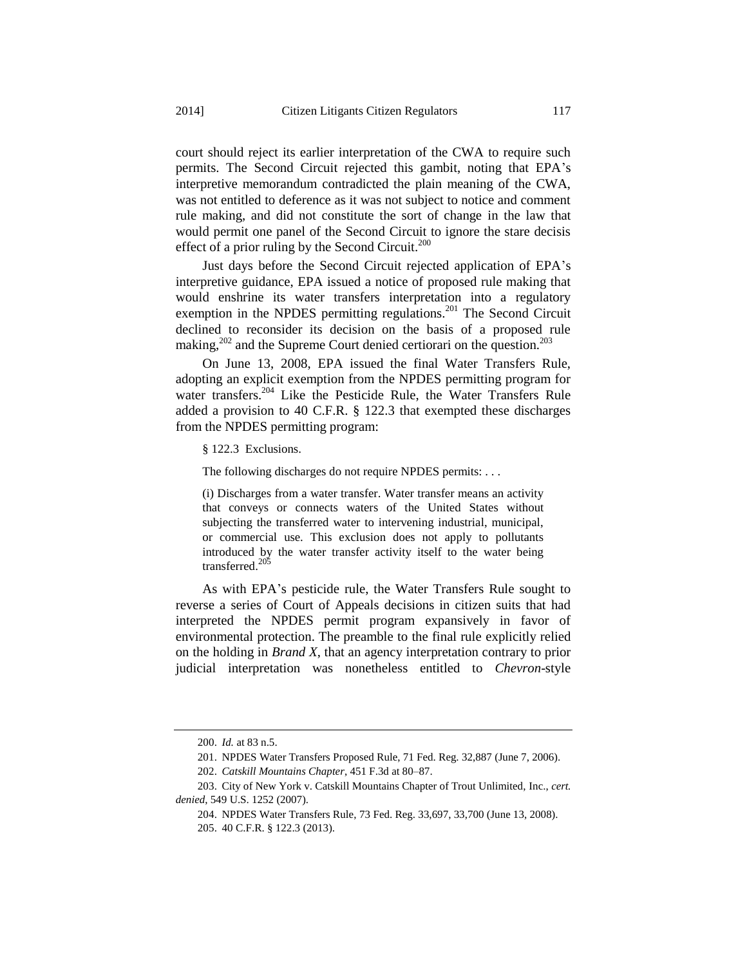court should reject its earlier interpretation of the CWA to require such permits. The Second Circuit rejected this gambit, noting that EPA's interpretive memorandum contradicted the plain meaning of the CWA, was not entitled to deference as it was not subject to notice and comment rule making, and did not constitute the sort of change in the law that would permit one panel of the Second Circuit to ignore the stare decisis effect of a prior ruling by the Second Circuit.<sup>200</sup>

Just days before the Second Circuit rejected application of EPA's interpretive guidance, EPA issued a notice of proposed rule making that would enshrine its water transfers interpretation into a regulatory exemption in the NPDES permitting regulations.<sup>201</sup> The Second Circuit declined to reconsider its decision on the basis of a proposed rule making,<sup>202</sup> and the Supreme Court denied certiorari on the question.<sup>203</sup>

On June 13, 2008, EPA issued the final Water Transfers Rule, adopting an explicit exemption from the NPDES permitting program for water transfers.<sup>204</sup> Like the Pesticide Rule, the Water Transfers Rule added a provision to 40 C.F.R. § 122.3 that exempted these discharges from the NPDES permitting program:

§ 122.3 Exclusions.

The following discharges do not require NPDES permits: . . .

(i) Discharges from a water transfer. Water transfer means an activity that conveys or connects waters of the United States without subjecting the transferred water to intervening industrial, municipal, or commercial use. This exclusion does not apply to pollutants introduced by the water transfer activity itself to the water being transferred.<sup>205</sup>

As with EPA's pesticide rule, the Water Transfers Rule sought to reverse a series of Court of Appeals decisions in citizen suits that had interpreted the NPDES permit program expansively in favor of environmental protection. The preamble to the final rule explicitly relied on the holding in *Brand X*, that an agency interpretation contrary to prior judicial interpretation was nonetheless entitled to *Chevron*-style

<sup>200.</sup> *Id.* at 83 n.5.

<sup>201.</sup> NPDES Water Transfers Proposed Rule, 71 Fed. Reg. 32,887 (June 7, 2006).

<sup>202.</sup> *Catskill Mountains Chapter*, 451 F.3d at 80–87.

<sup>203.</sup> City of New York v. Catskill Mountains Chapter of Trout Unlimited, Inc., *cert. denied*, 549 U.S. 1252 (2007).

<sup>204.</sup> NPDES Water Transfers Rule, 73 Fed. Reg. 33,697, 33,700 (June 13, 2008). 205. 40 C.F.R. § 122.3 (2013).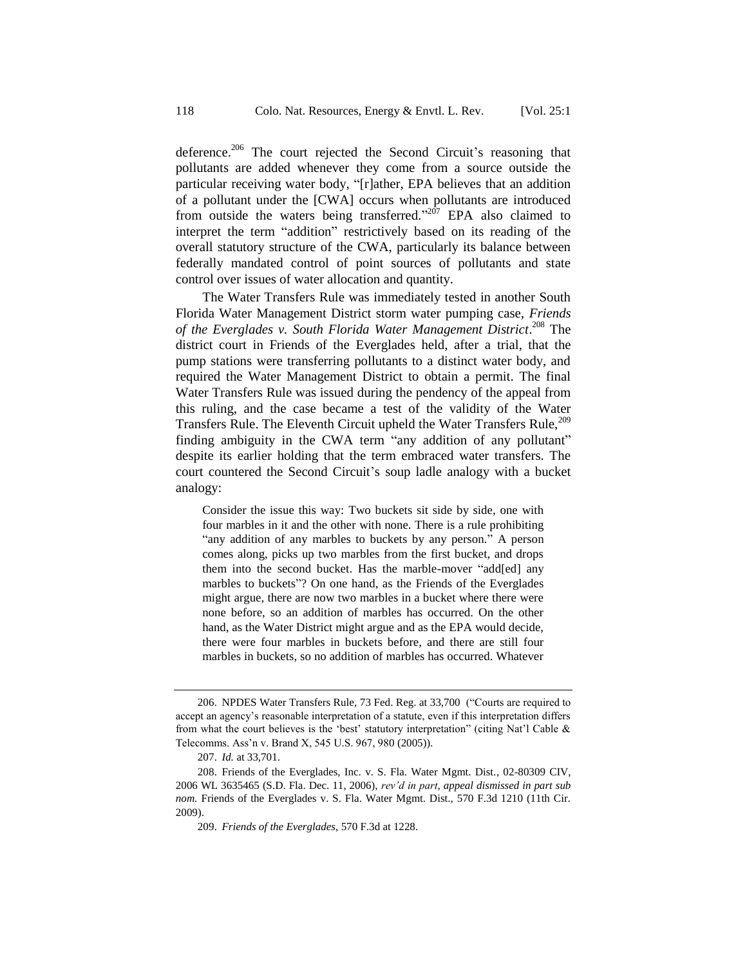deference.<sup>206</sup> The court rejected the Second Circuit's reasoning that pollutants are added whenever they come from a source outside the particular receiving water body, "[r]ather, EPA believes that an addition of a pollutant under the [CWA] occurs when pollutants are introduced from outside the waters being transferred."<sup>207</sup> EPA also claimed to interpret the term "addition" restrictively based on its reading of the overall statutory structure of the CWA, particularly its balance between federally mandated control of point sources of pollutants and state control over issues of water allocation and quantity.

The Water Transfers Rule was immediately tested in another South Florida Water Management District storm water pumping case, *Friends of the Everglades v. South Florida Water Management District*. <sup>208</sup> The district court in Friends of the Everglades held, after a trial, that the pump stations were transferring pollutants to a distinct water body, and required the Water Management District to obtain a permit. The final Water Transfers Rule was issued during the pendency of the appeal from this ruling, and the case became a test of the validity of the Water Transfers Rule. The Eleventh Circuit upheld the Water Transfers Rule,<sup>209</sup> finding ambiguity in the CWA term "any addition of any pollutant" despite its earlier holding that the term embraced water transfers. The court countered the Second Circuit's soup ladle analogy with a bucket analogy:

Consider the issue this way: Two buckets sit side by side, one with four marbles in it and the other with none. There is a rule prohibiting "any addition of any marbles to buckets by any person." A person comes along, picks up two marbles from the first bucket, and drops them into the second bucket. Has the marble-mover "add[ed] any marbles to buckets"? On one hand, as the Friends of the Everglades might argue, there are now two marbles in a bucket where there were none before, so an addition of marbles has occurred. On the other hand, as the Water District might argue and as the EPA would decide, there were four marbles in buckets before, and there are still four marbles in buckets, so no addition of marbles has occurred. Whatever

<sup>206.</sup> NPDES Water Transfers Rule, 73 Fed. Reg. at 33,700 ("Courts are required to accept an agency's reasonable interpretation of a statute, even if this interpretation differs from what the court believes is the 'best' statutory interpretation" (citing Nat'l Cable & Telecomms. Ass'n v. Brand X, 545 U.S. 967, 980 (2005)).

<sup>207.</sup> *Id.* at 33,701.

<sup>208.</sup> Friends of the Everglades, Inc. v. S. Fla. Water Mgmt. Dist*.*, 02-80309 CIV, 2006 WL 3635465 (S.D. Fla. Dec. 11, 2006), *rev'd in part*, *appeal dismissed in part sub nom.* Friends of the Everglades v. S. Fla. Water Mgmt. Dist., 570 F.3d 1210 (11th Cir. 2009).

<sup>209.</sup> *Friends of the Everglades*, 570 F.3d at 1228.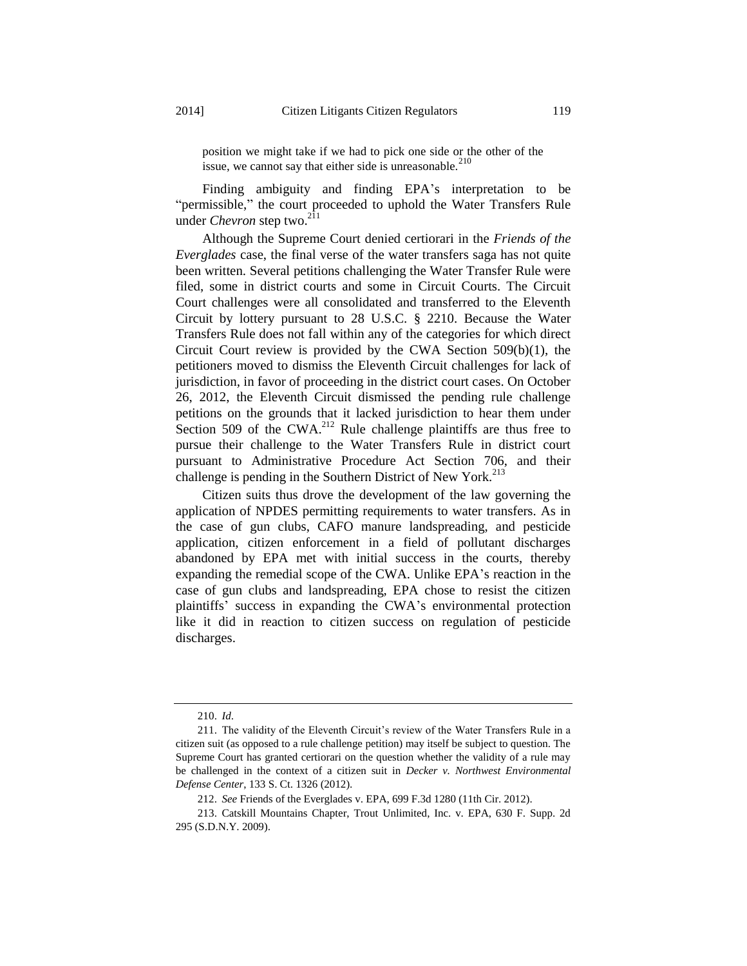position we might take if we had to pick one side or the other of the issue, we cannot say that either side is unreasonable. $210$ 

Finding ambiguity and finding EPA's interpretation to be "permissible," the court proceeded to uphold the Water Transfers Rule under *Chevron* step two.<sup>211</sup>

Although the Supreme Court denied certiorari in the *Friends of the Everglades* case, the final verse of the water transfers saga has not quite been written. Several petitions challenging the Water Transfer Rule were filed, some in district courts and some in Circuit Courts. The Circuit Court challenges were all consolidated and transferred to the Eleventh Circuit by lottery pursuant to 28 U.S.C. § 2210. Because the Water Transfers Rule does not fall within any of the categories for which direct Circuit Court review is provided by the CWA Section  $509(b)(1)$ , the petitioners moved to dismiss the Eleventh Circuit challenges for lack of jurisdiction, in favor of proceeding in the district court cases. On October 26, 2012, the Eleventh Circuit dismissed the pending rule challenge petitions on the grounds that it lacked jurisdiction to hear them under Section 509 of the CWA.<sup>212</sup> Rule challenge plaintiffs are thus free to pursue their challenge to the Water Transfers Rule in district court pursuant to Administrative Procedure Act Section 706, and their challenge is pending in the Southern District of New York.<sup>213</sup>

Citizen suits thus drove the development of the law governing the application of NPDES permitting requirements to water transfers. As in the case of gun clubs, CAFO manure landspreading, and pesticide application, citizen enforcement in a field of pollutant discharges abandoned by EPA met with initial success in the courts, thereby expanding the remedial scope of the CWA. Unlike EPA's reaction in the case of gun clubs and landspreading, EPA chose to resist the citizen plaintiffs' success in expanding the CWA's environmental protection like it did in reaction to citizen success on regulation of pesticide discharges.

<sup>210.</sup> *Id*.

<sup>211.</sup> The validity of the Eleventh Circuit's review of the Water Transfers Rule in a citizen suit (as opposed to a rule challenge petition) may itself be subject to question. The Supreme Court has granted certiorari on the question whether the validity of a rule may be challenged in the context of a citizen suit in *Decker v. Northwest Environmental Defense Center*, 133 S. Ct. 1326 (2012).

<sup>212.</sup> *See* Friends of the Everglades v. EPA, 699 F.3d 1280 (11th Cir. 2012).

<sup>213.</sup> Catskill Mountains Chapter, Trout Unlimited, Inc. v. EPA, 630 F. Supp. 2d 295 (S.D.N.Y. 2009).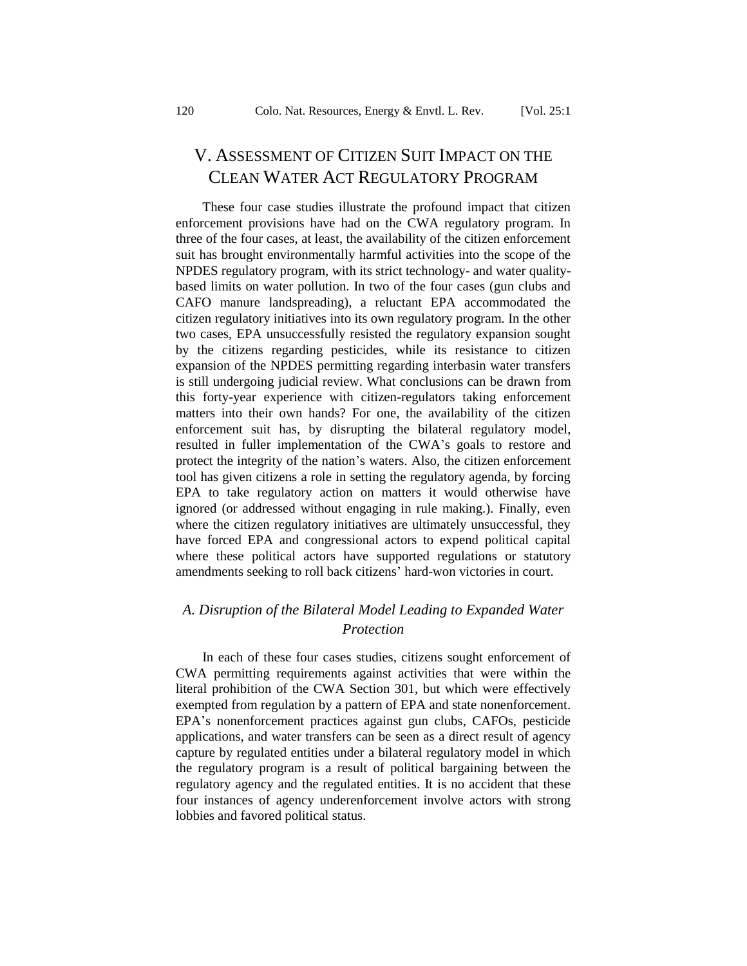## V. ASSESSMENT OF CITIZEN SUIT IMPACT ON THE CLEAN WATER ACT REGULATORY PROGRAM

These four case studies illustrate the profound impact that citizen enforcement provisions have had on the CWA regulatory program. In three of the four cases, at least, the availability of the citizen enforcement suit has brought environmentally harmful activities into the scope of the NPDES regulatory program, with its strict technology- and water qualitybased limits on water pollution. In two of the four cases (gun clubs and CAFO manure landspreading), a reluctant EPA accommodated the citizen regulatory initiatives into its own regulatory program. In the other two cases, EPA unsuccessfully resisted the regulatory expansion sought by the citizens regarding pesticides, while its resistance to citizen expansion of the NPDES permitting regarding interbasin water transfers is still undergoing judicial review. What conclusions can be drawn from this forty-year experience with citizen-regulators taking enforcement matters into their own hands? For one, the availability of the citizen enforcement suit has, by disrupting the bilateral regulatory model, resulted in fuller implementation of the CWA's goals to restore and protect the integrity of the nation's waters. Also, the citizen enforcement tool has given citizens a role in setting the regulatory agenda, by forcing EPA to take regulatory action on matters it would otherwise have ignored (or addressed without engaging in rule making.). Finally, even where the citizen regulatory initiatives are ultimately unsuccessful, they have forced EPA and congressional actors to expend political capital where these political actors have supported regulations or statutory amendments seeking to roll back citizens' hard-won victories in court.

## *A. Disruption of the Bilateral Model Leading to Expanded Water Protection*

In each of these four cases studies, citizens sought enforcement of CWA permitting requirements against activities that were within the literal prohibition of the CWA Section 301, but which were effectively exempted from regulation by a pattern of EPA and state nonenforcement. EPA's nonenforcement practices against gun clubs, CAFOs, pesticide applications, and water transfers can be seen as a direct result of agency capture by regulated entities under a bilateral regulatory model in which the regulatory program is a result of political bargaining between the regulatory agency and the regulated entities. It is no accident that these four instances of agency underenforcement involve actors with strong lobbies and favored political status.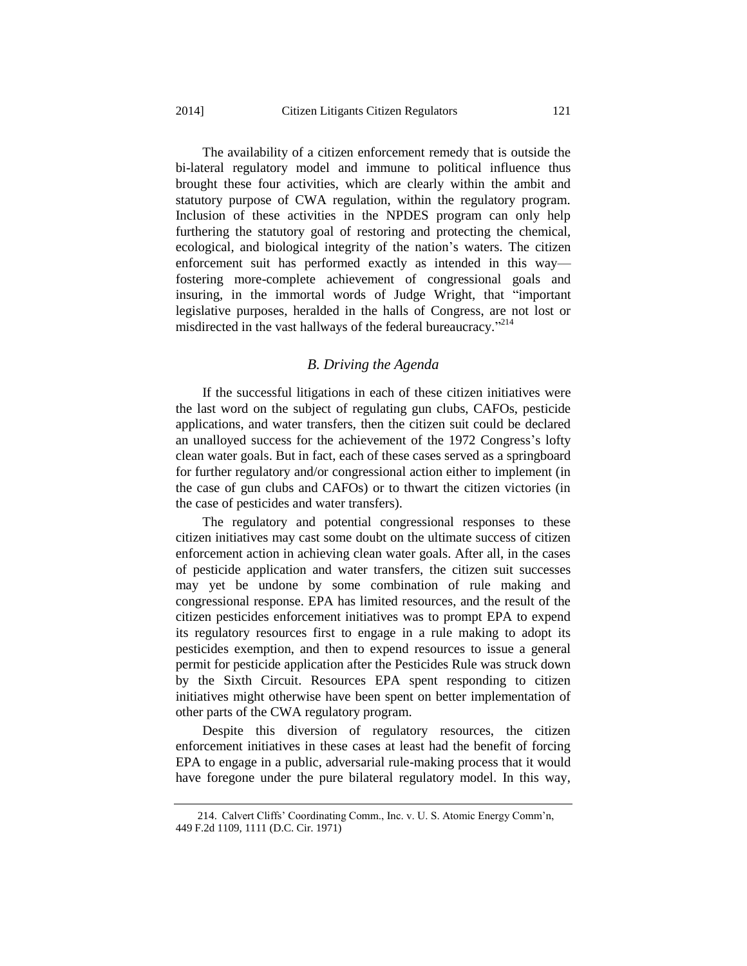The availability of a citizen enforcement remedy that is outside the bi-lateral regulatory model and immune to political influence thus brought these four activities, which are clearly within the ambit and statutory purpose of CWA regulation, within the regulatory program. Inclusion of these activities in the NPDES program can only help furthering the statutory goal of restoring and protecting the chemical, ecological, and biological integrity of the nation's waters. The citizen enforcement suit has performed exactly as intended in this way fostering more-complete achievement of congressional goals and insuring, in the immortal words of Judge Wright, that "important legislative purposes, heralded in the halls of Congress, are not lost or misdirected in the vast hallways of the federal bureaucracy."<sup>214</sup>

#### *B. Driving the Agenda*

If the successful litigations in each of these citizen initiatives were the last word on the subject of regulating gun clubs, CAFOs, pesticide applications, and water transfers, then the citizen suit could be declared an unalloyed success for the achievement of the 1972 Congress's lofty clean water goals. But in fact, each of these cases served as a springboard for further regulatory and/or congressional action either to implement (in the case of gun clubs and CAFOs) or to thwart the citizen victories (in the case of pesticides and water transfers).

The regulatory and potential congressional responses to these citizen initiatives may cast some doubt on the ultimate success of citizen enforcement action in achieving clean water goals. After all, in the cases of pesticide application and water transfers, the citizen suit successes may yet be undone by some combination of rule making and congressional response. EPA has limited resources, and the result of the citizen pesticides enforcement initiatives was to prompt EPA to expend its regulatory resources first to engage in a rule making to adopt its pesticides exemption, and then to expend resources to issue a general permit for pesticide application after the Pesticides Rule was struck down by the Sixth Circuit. Resources EPA spent responding to citizen initiatives might otherwise have been spent on better implementation of other parts of the CWA regulatory program.

Despite this diversion of regulatory resources, the citizen enforcement initiatives in these cases at least had the benefit of forcing EPA to engage in a public, adversarial rule-making process that it would have foregone under the pure bilateral regulatory model. In this way,

<sup>214.</sup> Calvert Cliffs' Coordinating Comm., Inc. v. U. S. Atomic Energy Comm'n, 449 F.2d 1109, 1111 (D.C. Cir. 1971)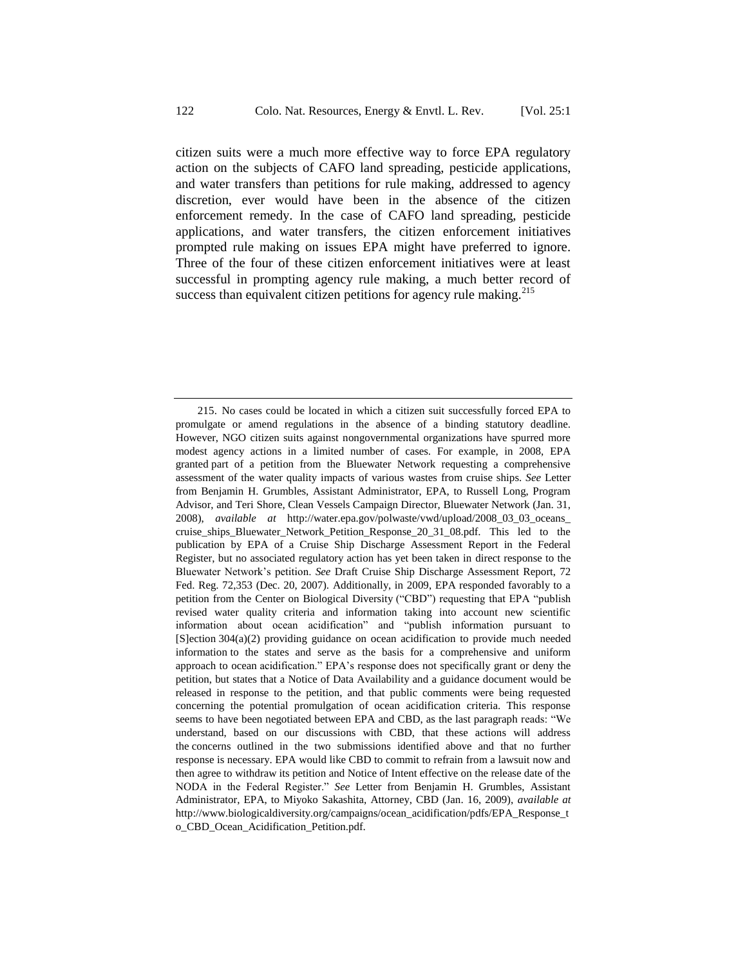citizen suits were a much more effective way to force EPA regulatory action on the subjects of CAFO land spreading, pesticide applications, and water transfers than petitions for rule making, addressed to agency discretion, ever would have been in the absence of the citizen enforcement remedy. In the case of CAFO land spreading, pesticide applications, and water transfers, the citizen enforcement initiatives prompted rule making on issues EPA might have preferred to ignore. Three of the four of these citizen enforcement initiatives were at least successful in prompting agency rule making, a much better record of success than equivalent citizen petitions for agency rule making. $215$ 

<sup>215.</sup> No cases could be located in which a citizen suit successfully forced EPA to promulgate or amend regulations in the absence of a binding statutory deadline. However, NGO citizen suits against nongovernmental organizations have spurred more modest agency actions in a limited number of cases. For example, in 2008, EPA granted part of a petition from the Bluewater Network requesting a comprehensive assessment of the water quality impacts of various wastes from cruise ships. *See* Letter from Benjamin H. Grumbles, Assistant Administrator, EPA, to Russell Long, Program Advisor, and Teri Shore, Clean Vessels Campaign Director, Bluewater Network (Jan. 31, 2008), *available at* http://water.epa.gov/polwaste/vwd/upload/2008\_03\_03\_oceans\_ cruise\_ships\_Bluewater\_Network\_Petition\_Response\_20\_31\_08.pdf. This led to the publication by EPA of a Cruise Ship Discharge Assessment Report in the Federal Register, but no associated regulatory action has yet been taken in direct response to the Bluewater Network's petition. *See* Draft Cruise Ship Discharge Assessment Report, 72 Fed. Reg. 72,353 (Dec. 20, 2007). Additionally, in 2009, EPA responded favorably to a petition from the Center on Biological Diversity ("CBD") requesting that EPA "publish revised water quality criteria and information taking into account new scientific information about ocean acidification" and "publish information pursuant to [S]ection 304(a)(2) providing guidance on ocean acidification to provide much needed information to the states and serve as the basis for a comprehensive and uniform approach to ocean acidification." EPA's response does not specifically grant or deny the petition, but states that a Notice of Data Availability and a guidance document would be released in response to the petition, and that public comments were being requested concerning the potential promulgation of ocean acidification criteria. This response seems to have been negotiated between EPA and CBD, as the last paragraph reads: "We understand, based on our discussions with CBD, that these actions will address the concerns outlined in the two submissions identified above and that no further response is necessary. EPA would like CBD to commit to refrain from a lawsuit now and then agree to withdraw its petition and Notice of Intent effective on the release date of the NODA in the Federal Register." *See* Letter from Benjamin H. Grumbles, Assistant Administrator, EPA, to Miyoko Sakashita, Attorney, CBD (Jan. 16, 2009), *available at*  http://www.biologicaldiversity.org/campaigns/ocean\_acidification/pdfs/EPA\_Response\_t o\_CBD\_Ocean\_Acidification\_Petition.pdf.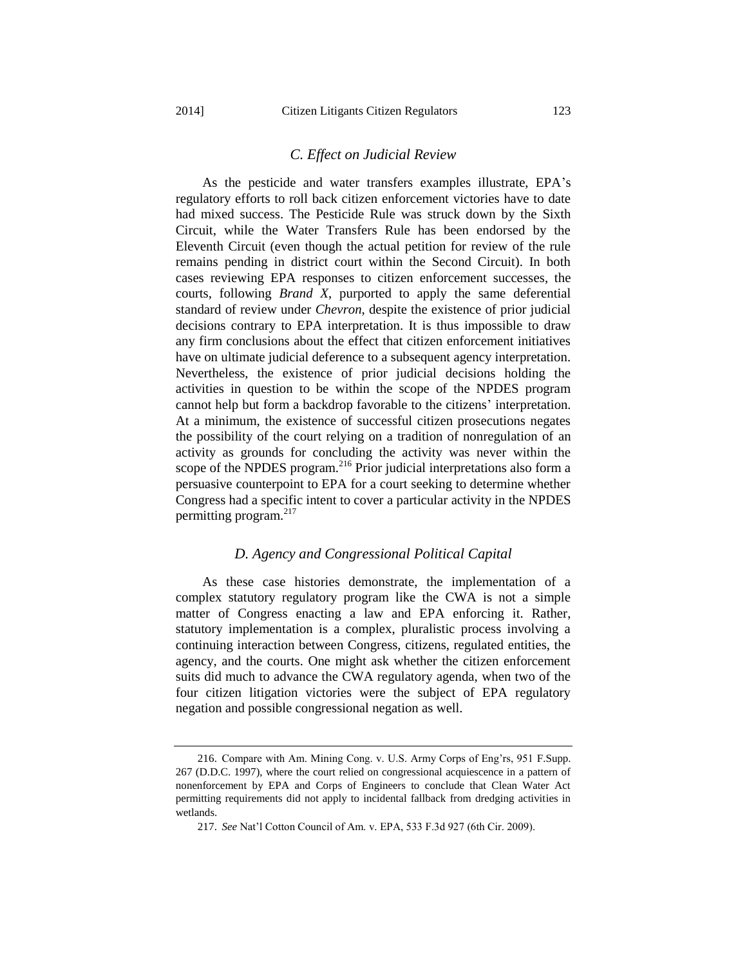#### *C. Effect on Judicial Review*

As the pesticide and water transfers examples illustrate, EPA's regulatory efforts to roll back citizen enforcement victories have to date had mixed success. The Pesticide Rule was struck down by the Sixth Circuit, while the Water Transfers Rule has been endorsed by the Eleventh Circuit (even though the actual petition for review of the rule remains pending in district court within the Second Circuit). In both cases reviewing EPA responses to citizen enforcement successes, the courts, following *Brand X*, purported to apply the same deferential standard of review under *Chevron*, despite the existence of prior judicial decisions contrary to EPA interpretation. It is thus impossible to draw any firm conclusions about the effect that citizen enforcement initiatives have on ultimate judicial deference to a subsequent agency interpretation. Nevertheless, the existence of prior judicial decisions holding the activities in question to be within the scope of the NPDES program cannot help but form a backdrop favorable to the citizens' interpretation. At a minimum, the existence of successful citizen prosecutions negates the possibility of the court relying on a tradition of nonregulation of an activity as grounds for concluding the activity was never within the scope of the NPDES program.<sup>216</sup> Prior judicial interpretations also form a persuasive counterpoint to EPA for a court seeking to determine whether Congress had a specific intent to cover a particular activity in the NPDES permitting program.<sup>217</sup>

#### *D. Agency and Congressional Political Capital*

As these case histories demonstrate, the implementation of a complex statutory regulatory program like the CWA is not a simple matter of Congress enacting a law and EPA enforcing it. Rather, statutory implementation is a complex, pluralistic process involving a continuing interaction between Congress, citizens, regulated entities, the agency, and the courts. One might ask whether the citizen enforcement suits did much to advance the CWA regulatory agenda, when two of the four citizen litigation victories were the subject of EPA regulatory negation and possible congressional negation as well.

<sup>216.</sup> Compare with Am. Mining Cong. v. U.S. Army Corps of Eng'rs, 951 F.Supp. 267 (D.D.C. 1997), where the court relied on congressional acquiescence in a pattern of nonenforcement by EPA and Corps of Engineers to conclude that Clean Water Act permitting requirements did not apply to incidental fallback from dredging activities in wetlands.

<sup>217.</sup> *See* Nat'l Cotton Council of Am. v. EPA, 533 F.3d 927 (6th Cir. 2009).